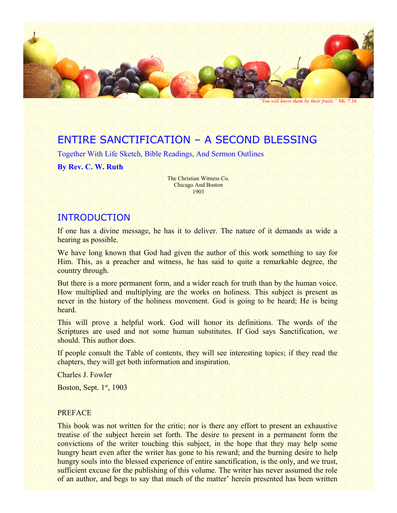

*"You will know them by their fruits."* Mt. 7:16

# ENTIRE SANCTIFICATION – A SECOND BLESSING

Together With Life Sketch, Bible Readings, And Sermon Outlines

**By Rev. C. W. Ruth**

The Christian Witness Co. Chicago And Boston 1903

### INTRODUCTION

If one has a divine message, he has it to deliver. The nature of it demands as wide a hearing as possible.

We have long known that God had given the author of this work something to say for Him. This, as a preacher and witness, he has said to quite a remarkable degree, the country through.

But there is a more permanent form, and a wider reach for truth than by the human voice. How multiplied and multiplying are the works on holiness. This subject is present as never in the history of the holiness movement. God is going to be heard; He is being heard.

This will prove a helpful work. God will honor its definitions. The words of the Scriptures are used and not some human substitutes. If God says Sanctification, we should. This author does.

If people consult the Table of contents, they will see interesting topics; if they read the chapters, they will get both information and inspiration.

Charles J. Fowler

Boston, Sept.  $1<sup>st</sup>$ , 1903

#### **PREFACE**

This book was not written for the critic; nor is there any effort to present an exhaustive treatise of the subject herein set forth. The desire to present in a permanent form the convictions of the writer touching this subject, in the hope that they may help some hungry heart even after the writer has gone to his reward; and the burning desire to help hungry souls into the blessed experience of entire sanctification, is the only, and we trust, sufficient excuse for the publishing of this volume. The writer has never assumed the role of an author, and begs to say that much of the matter' herein presented has been written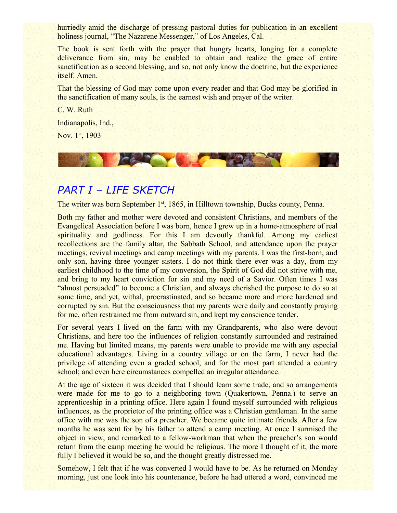hurriedly amid the discharge of pressing pastoral duties for publication in an excellent holiness journal, "The Nazarene Messenger," of Los Angeles, Cal.

The book is sent forth with the prayer that hungry hearts, longing for a complete deliverance from sin, may be enabled to obtain and realize the grace of entire sanctification as a second blessing, and so, not only know the doctrine, but the experience itself. Amen.

That the blessing of God may come upon every reader and that God may be glorified in the sanctification of many souls, is the earnest wish and prayer of the writer.

C. W. Ruth Indianapolis, Ind.,

Nov. 1st, 1903



# *PART I – LIFE SKETCH*

The writer was born September 1<sup>st</sup>, 1865, in Hilltown township, Bucks county, Penna.

Both my father and mother were devoted and consistent Christians, and members of the Evangelical Association before I was born, hence I grew up in a home-atmosphere of real spirituality and godliness. For this I am devoutly thankful. Among my earliest recollections are the family altar, the Sabbath School, and attendance upon the prayer meetings, revival meetings and camp meetings with my parents. I was the first-born, and only son, having three younger sisters. I do not think there ever was a day, from my earliest childhood to the time of my conversion, the Spirit of God did not strive with me, and bring to my heart conviction for sin and my need of a Savior. Often times I was "almost persuaded" to become a Christian, and always cherished the purpose to do so at some time, and yet, withal, procrastinated, and so became more and more hardened and corrupted by sin. But the consciousness that my parents were daily and constantly praying for me, often restrained me from outward sin, and kept my conscience tender.

For several years I lived on the farm with my Grandparents, who also were devout Christians, and here too the influences of religion constantly surrounded and restrained me. Having but limited means, my parents were unable to provide me with any especial educational advantages. Living in a country village or on the farm, I never had the privilege of attending even a graded school, and for the most part attended a country school; and even here circumstances compelled an irregular attendance.

At the age of sixteen it was decided that I should learn some trade, and so arrangements were made for me to go to a neighboring town (Quakertown, Penna.) to serve an apprenticeship in a printing office. Here again I found myself surrounded with religious influences, as the proprietor of the printing office was a Christian gentleman. In the same office with me was the son of a preacher. We became quite intimate friends. After a few months he was sent for by his father to attend a camp meeting. At once I surmised the object in view, and remarked to a fellow-workman that when the preacher's son would return from the camp meeting he would be religious. The more I thought of it, the more fully I believed it would be so, and the thought greatly distressed me.

Somehow, I felt that if he was converted I would have to be. As he returned on Monday morning, just one look into his countenance, before he had uttered a word, convinced me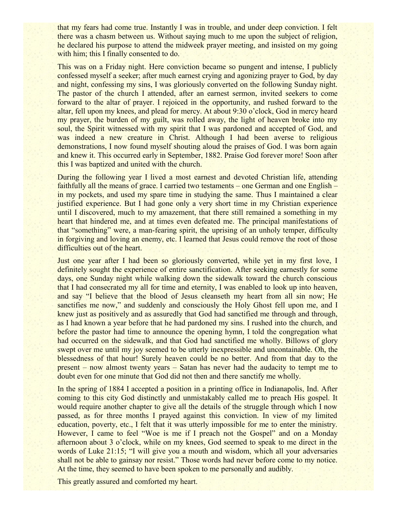that my fears had come true. Instantly I was in trouble, and under deep conviction. I felt there was a chasm between us. Without saying much to me upon the subject of religion, he declared his purpose to attend the midweek prayer meeting, and insisted on my going with him; this I finally consented to do.

This was on a Friday night. Here conviction became so pungent and intense, I publicly confessed myself a seeker; after much earnest crying and agonizing prayer to God, by day and night, confessing my sins, I was gloriously converted on the following Sunday night. The pastor of the church I attended, after an earnest sermon, invited seekers to come forward to the altar of prayer. I rejoiced in the opportunity, and rushed forward to the altar, fell upon my knees, and plead for mercy. At about 9:30 o'clock, God in mercy heard my prayer, the burden of my guilt, was rolled away, the light of heaven broke into my soul, the Spirit witnessed with my spirit that I was pardoned and accepted of God, and was indeed a new creature in Christ. Although I had been averse to religious demonstrations, I now found myself shouting aloud the praises of God. I was born again and knew it. This occurred early in September, 1882. Praise God forever more! Soon after this I was baptized and united with the church.

During the following year I lived a most earnest and devoted Christian life, attending faithfully all the means of grace. I carried two testaments – one German and one English – in my pockets, and used my spare time in studying the same. Thus I maintained a clear justified experience. But I had gone only a very short time in my Christian experience until I discovered, much to my amazement, that there still remained a something in my heart that hindered me, and at times even defeated me. The principal manifestations of that "something" were, a man-fearing spirit, the uprising of an unholy temper, difficulty in forgiving and loving an enemy, etc. I learned that Jesus could remove the root of those difficulties out of the heart.

Just one year after I had been so gloriously converted, while yet in my first love, I definitely sought the experience of entire sanctification. After seeking earnestly for some days, one Sunday night while walking down the sidewalk toward the church conscious that I had consecrated my all for time and eternity, I was enabled to look up into heaven, and say "I believe that the blood of Jesus cleanseth my heart from all sin now; He sanctifies me now," and suddenly and consciously the Holy Ghost fell upon me, and I knew just as positively and as assuredly that God had sanctified me through and through, as I had known a year before that he had pardoned my sins. I rushed into the church, and before the pastor had time to announce the opening hymn, I told the congregation what had occurred on the sidewalk, and that God had sanctified me wholly. Billows of glory swept over me until my joy seemed to be utterly inexpressible and uncontainable. Oh, the blessedness of that hour! Surely heaven could be no better. And from that day to the present – now almost twenty years – Satan has never had the audacity to tempt me to doubt even for one minute that God did not then and there sanctify me wholly.

In the spring of 1884 I accepted a position in a printing office in Indianapolis, Ind. After coming to this city God distinctly and unmistakably called me to preach His gospel. It would require another chapter to give all the details of the struggle through which I now passed, as for three months I prayed against this conviction. In view of my limited education, poverty, etc., I felt that it was utterly impossible for me to enter the ministry. However, I came to feel "Woe is me if I preach not the Gospel" and on a Monday afternoon about 3 o'clock, while on my knees, God seemed to speak to me direct in the words of Luke 21:15; "I will give you a mouth and wisdom, which all your adversaries shall not be able to gainsay nor resist." Those words had never before come to my notice. At the time, they seemed to have been spoken to me personally and audibly.

This greatly assured and comforted my heart.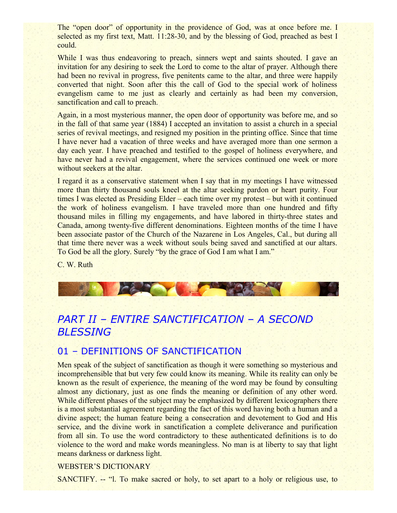The "open door" of opportunity in the providence of God, was at once before me. I selected as my first text, Matt. 11:28-30, and by the blessing of God, preached as best I could.

While I was thus endeavoring to preach, sinners wept and saints shouted. I gave an invitation for any desiring to seek the Lord to come to the altar of prayer. Although there had been no revival in progress, five penitents came to the altar, and three were happily converted that night. Soon after this the call of God to the special work of holiness evangelism came to me just as clearly and certainly as had been my conversion, sanctification and call to preach.

Again, in a most mysterious manner, the open door of opportunity was before me, and so in the fall of that same year (1884) I accepted an invitation to assist a church in a special series of revival meetings, and resigned my position in the printing office. Since that time I have never had a vacation of three weeks and have averaged more than one sermon a day each year. I have preached and testified to the gospel of holiness everywhere, and have never had a revival engagement, where the services continued one week or more without seekers at the altar.

I regard it as a conservative statement when I say that in my meetings I have witnessed more than thirty thousand souls kneel at the altar seeking pardon or heart purity. Four times I was elected as Presiding Elder – each time over my protest – but with it continued the work of holiness evangelism. I have traveled more than one hundred and fifty thousand miles in filling my engagements, and have labored in thirty-three states and Canada, among twenty-five different denominations. Eighteen months of the time I have been associate pastor of the Church of the Nazarene in Los Angeles, Cal., but during all that time there never was a week without souls being saved and sanctified at our altars. To God be all the glory. Surely "by the grace of God I am what I am."

C. W. Ruth



# *PART II – ENTIRE SANCTIFICATION – A SECOND BLESSING*

### 01 – DEFINITIONS OF SANCTIFICATION

Men speak of the subject of sanctification as though it were something so mysterious and incomprehensible that but very few could know its meaning. While its reality can only be known as the result of experience, the meaning of the word may be found by consulting almost any dictionary, just as one finds the meaning or definition of any other word. While different phases of the subject may be emphasized by different lexicographers there is a most substantial agreement regarding the fact of this word having both a human and a divine aspect; the human feature being a consecration and devotement to God and His service, and the divine work in sanctification a complete deliverance and purification from all sin. To use the word contradictory to these authenticated definitions is to do violence to the word and make words meaningless. No man is at liberty to say that light means darkness or darkness light.

#### WEBSTER'S DICTIONARY

SANCTIFY. -- "l. To make sacred or holy, to set apart to a holy or religious use, to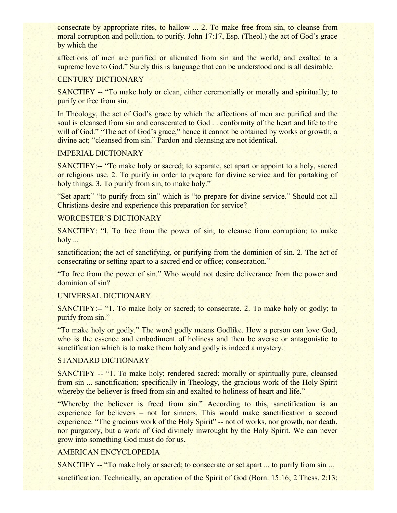consecrate by appropriate rites, to hallow ... 2. To make free from sin, to cleanse from moral corruption and pollution, to purify. John 17:17, Esp. (Theol.) the act of God's grace by which the

affections of men are purified or alienated from sin and the world, and exalted to a supreme love to God." Surely this is language that can be understood and is all desirable.

#### CENTURY DICTIONARY

SANCTIFY -- "To make holy or clean, either ceremonially or morally and spiritually; to purify or free from sin.

In Theology, the act of God's grace by which the affections of men are purified and the soul is cleansed from sin and consecrated to God . . conformity of the heart and life to the will of God." "The act of God's grace," hence it cannot be obtained by works or growth; a divine act; "cleansed from sin." Pardon and cleansing are not identical.

#### IMPERIAL DICTIONARY

SANCTIFY:-- "To make holy or sacred; to separate, set apart or appoint to a holy, sacred or religious use. 2. To purify in order to prepare for divine service and for partaking of holy things. 3. To purify from sin, to make holy."

"Set apart;" "to purify from sin" which is "to prepare for divine service." Should not all Christians desire and experience this preparation for service?

#### WORCESTER'S DICTIONARY

SANCTIFY: "1. To free from the power of sin; to cleanse from corruption; to make holy ...

sanctification; the act of sanctifying, or purifying from the dominion of sin. 2. The act of consecrating or setting apart to a sacred end or office; consecration."

"To free from the power of sin." Who would not desire deliverance from the power and dominion of sin?

#### UNIVERSAL DICTIONARY

SANCTIFY:-- "1. To make holy or sacred; to consecrate. 2. To make holy or godly; to purify from sin."

"To make holy or godly." The word godly means Godlike. How a person can love God, who is the essence and embodiment of holiness and then be averse or antagonistic to sanctification which is to make them holy and godly is indeed a mystery.

#### STANDARD DICTIONARY

SANCTIFY -- "1. To make holy; rendered sacred: morally or spiritually pure, cleansed from sin ... sanctification; specifically in Theology, the gracious work of the Holy Spirit whereby the believer is freed from sin and exalted to holiness of heart and life."

"Whereby the believer is freed from sin." According to this, sanctification is an experience for believers – not for sinners. This would make sanctification a second experience. "The gracious work of the Holy Spirit" -- not of works, nor growth, nor death, nor purgatory, but a work of God divinely inwrought by the Holy Spirit. We can never grow into something God must do for us.

#### AMERICAN ENCYCLOPEDIA

SANCTIFY -- "To make holy or sacred; to consecrate or set apart ... to purify from sin ...

sanctification. Technically, an operation of the Spirit of God (Born. 15:16; 2 Thess. 2:13;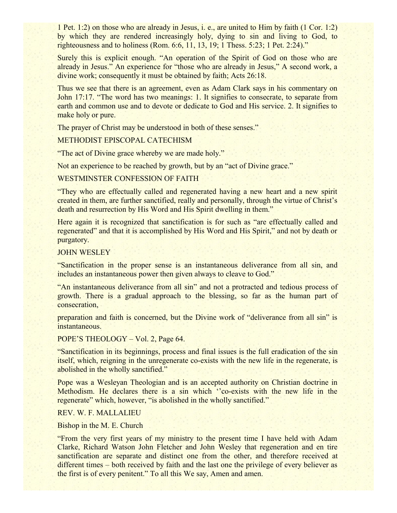1 Pet. 1:2) on those who are already in Jesus, i. e., are united to Him by faith (1 Cor. 1:2) by which they are rendered increasingly holy, dying to sin and living to God, to righteousness and to holiness (Rom. 6:6, 11, 13, 19; 1 Thess. 5:23; 1 Pet. 2:24)."

Surely this is explicit enough. "An operation of the Spirit of God on those who are already in Jesus." An experience for "those who are already in Jesus," A second work, a divine work; consequently it must be obtained by faith; Acts 26:18.

Thus we see that there is an agreement, even as Adam Clark says in his commentary on John 17:17. "The word has two meanings: 1. It signifies to consecrate, to separate from earth and common use and to devote or dedicate to God and His service. 2. It signifies to make holy or pure.

The prayer of Christ may be understood in both of these senses."

#### METHODIST EPISCOPAL CATECHISM

"The act of Divine grace whereby we are made holy."

Not an experience to be reached by growth, but by an "act of Divine grace."

#### WESTMINSTER CONFESSION OF FAITH

"They who are effectually called and regenerated having a new heart and a new spirit created in them, are further sanctified, really and personally, through the virtue of Christ's death and resurrection by His Word and His Spirit dwelling in them."

Here again it is recognized that sanctification is for such as "are effectually called and regenerated" and that it is accomplished by His Word and His Spirit," and not by death or purgatory.

#### JOHN WESLEY

"Sanctification in the proper sense is an instantaneous deliverance from all sin, and includes an instantaneous power then given always to cleave to God."

"An instantaneous deliverance from all sin" and not a protracted and tedious process of growth. There is a gradual approach to the blessing, so far as the human part of consecration,

preparation and faith is concerned, but the Divine work of "deliverance from all sin" is instantaneous.

POPE'S THEOLOGY – Vol. 2, Page 64.

"Sanctification in its beginnings, process and final issues is the full eradication of the sin itself, which, reigning in the unregenerate co-exists with the new life in the regenerate, is abolished in the wholly sanctified."

Pope was a Wesleyan Theologian and is an accepted authority on Christian doctrine in Methodism. He declares there is a sin which ''co-exists with the new life in the regenerate" which, however, "is abolished in the wholly sanctified."

#### REV. W. F. MALLALIEU

Bishop in the M. E. Church

"From the very first years of my ministry to the present time I have held with Adam Clarke, Richard Watson John Fletcher and John Wesley that regeneration and en tire sanctification are separate and distinct one from the other, and therefore received at different times – both received by faith and the last one the privilege of every believer as the first is of every penitent." To all this We say, Amen and amen.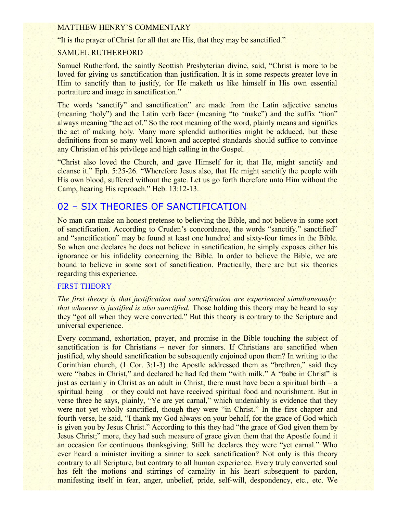#### MATTHEW HENRY'S COMMENTARY

"It is the prayer of Christ for all that are His, that they may be sanctified."

#### SAMUEL RUTHERFORD

Samuel Rutherford, the saintly Scottish Presbyterian divine, said, "Christ is more to be loved for giving us sanctification than justification. It is in some respects greater love in Him to sanctify than to justify, for He maketh us like himself in His own essential portraiture and image in sanctification."

The words 'sanctify' and sanctification' are made from the Latin adjective sanctus (meaning 'holy") and the Latin verb facer (meaning "to 'make") and the suffix "tion" always meaning "the act of." So the root meaning of the word, plainly means and signifies the act of making holy. Many more splendid authorities might be adduced, but these definitions from so many well known and accepted standards should suffice to convince any Christian of his privilege and high calling in the Gospel.

"Christ also loved the Church, and gave Himself for it; that He, might sanctify and cleanse it." Eph. 5:25-26. "Wherefore Jesus also, that He might sanctify the people with His own blood, suffered without the gate. Let us go forth therefore unto Him without the Camp, hearing His reproach." Heb. 13:12-13.

### 02 – SIX THEORIES OF SANCTIFICATION

No man can make an honest pretense to believing the Bible, and not believe in some sort of sanctification. According to Cruden's concordance, the words "sanctify." sanctified" and "sanctification" may be found at least one hundred and sixty-four times in the Bible. So when one declares he does not believe in sanctification, he simply exposes either his ignorance or his infidelity concerning the Bible. In order to believe the Bible, we are bound to believe in some sort of sanctification. Practically, there are but six theories regarding this experience.

#### FIRST THEORY

*The first theory is that justification and sanctification are experienced simultaneously; that whoever is justified is also sanctified.* Those holding this theory may be heard to say they "got all when they were converted." But this theory is contrary to the Scripture and universal experience.

Every command, exhortation, prayer, and promise in the Bible touching the subject of sanctification is for Christians – never for sinners. If Christians are sanctified when justified, why should sanctification be subsequently enjoined upon them? In writing to the Corinthian church, (1 Cor. 3:1-3) the Apostle addressed them as "brethren," said they were "babes in Christ," and declared he had fed them "with milk." A "babe in Christ" is just as certainly in Christ as an adult in Christ; there must have been a spiritual birth – a spiritual being – or they could not have received spiritual food and nourishment. But in verse three he says, plainly, "Ye are yet carnal," which undeniably is evidence that they were not yet wholly sanctified, though they were "in Christ." In the first chapter and fourth verse, he said, "I thank my God always on your behalf, for the grace of God which is given you by Jesus Christ." According to this they had "the grace of God given them by Jesus Christ;" more, they had such measure of grace given them that the Apostle found it an occasion for continuous thanksgiving. Still he declares they were "yet carnal." Who ever heard a minister inviting a sinner to seek sanctification? Not only is this theory contrary to all Scripture, but contrary to all human experience. Every truly converted soul has felt the motions and stirrings of carnality in his heart subsequent to pardon, manifesting itself in fear, anger, unbelief, pride, self-will, despondency, etc., etc. We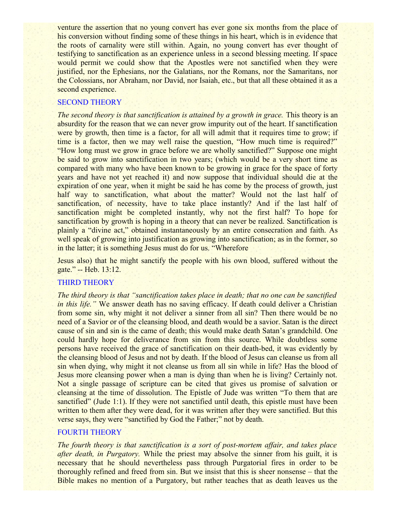venture the assertion that no young convert has ever gone six months from the place of his conversion without finding some of these things in his heart, which is in evidence that the roots of carnality were still within. Again, no young convert has ever thought of testifying to sanctification as an experience unless in a second blessing meeting. If space would permit we could show that the Apostles were not sanctified when they were justified, nor the Ephesians, nor the Galatians, nor the Romans, nor the Samaritans, nor the Colossians, nor Abraham, nor David, nor Isaiah, etc., but that all these obtained it as a second experience.

#### SECOND THEORY

*The second theory is that sanctification is attained by a growth in grace. This theory is an* absurdity for the reason that we can never grow impurity out of the heart. If sanctification were by growth, then time is a factor, for all will admit that it requires time to grow; if time is a factor, then we may well raise the question, "How much time is required?" "How long must we grow in grace before we are wholly sanctified?" Suppose one might be said to grow into sanctification in two years; (which would be a very short time as compared with many who have been known to be growing in grace for the space of forty years and have not yet reached it) and now suppose that individual should die at the expiration of one year, when it might be said he has come by the process of growth, just half way to sanctification, what about the matter? Would not the last half of sanctification, of necessity, have to take place instantly? And if the last half of sanctification might be completed instantly, why not the first half? To hope for sanctification by growth is hoping in a theory that can never be realized. Sanctification is plainly a "divine act," obtained instantaneously by an entire consecration and faith. As well speak of growing into justification as growing into sanctification; as in the former, so in the latter; it is something Jesus must do for us. "Wherefore

Jesus also) that he might sanctify the people with his own blood, suffered without the gate." -- Heb. 13:12.

#### THIRD THEORY

*The third theory is that "sanctification takes place in death; that no one can be sanctified in this life.*" We answer death has no saving efficacy. If death could deliver a Christian from some sin, why might it not deliver a sinner from all sin? Then there would be no need of a Savior or of the cleansing blood, and death would be a savior. Satan is the direct cause of sin and sin is the came of death; this would make death Satan's grandchild. One could hardly hope for deliverance from sin from this source. While doubtless some persons have received the grace of sanctification on their death-bed, it was evidently by the cleansing blood of Jesus and not by death. If the blood of Jesus can cleanse us from all sin when dying, why might it not cleanse us from all sin while in life? Has the blood of Jesus more cleansing power when a man is dying than when he is living? Certainly not. Not a single passage of scripture can be cited that gives us promise of salvation or cleansing at the time of dissolution. The Epistle of Jude was written "To them that are sanctified" (Jude 1:1). If they were not sanctified until death, this epistle must have been written to them after they were dead, for it was written after they were sanctified. But this verse says, they were "sanctified by God the Father;" not by death.

### FOURTH THEORY

*The fourth theory is that sanctification is a sort of post-mortem affair, and takes place after death, in Purgatory.* While the priest may absolve the sinner from his guilt, it is necessary that he should nevertheless pass through Purgatorial fires in order to be thoroughly refined and freed from sin. But we insist that this is sheer nonsense – that the Bible makes no mention of a Purgatory, but rather teaches that as death leaves us the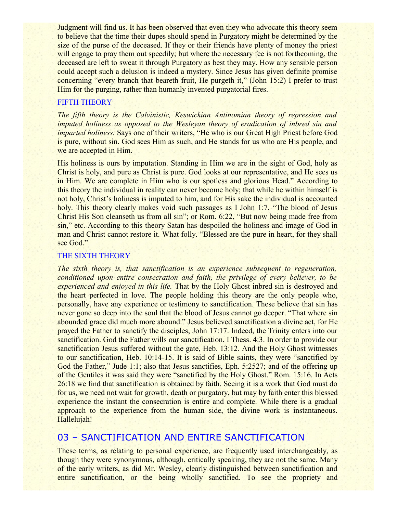Judgment will find us. It has been observed that even they who advocate this theory seem to believe that the time their dupes should spend in Purgatory might be determined by the size of the purse of the deceased. If they or their friends have plenty of money the priest will engage to pray them out speedily; but where the necessary fee is not forthcoming, the deceased are left to sweat it through Purgatory as best they may. How any sensible person could accept such a delusion is indeed a mystery. Since Jesus has given definite promise concerning "every branch that beareth fruit, He purgeth it," (John 15:2) I prefer to trust Him for the purging, rather than humanly invented purgatorial fires.

#### FIFTH THEORY

*The fifth theory is the Calvinistic, Keswickian Antinomian theory of repression and imputed holiness as opposed to the Wesleyan theory of eradication of inbred sin and imparted holiness.* Says one of their writers, "He who is our Great High Priest before God is pure, without sin. God sees Him as such, and He stands for us who are His people, and we are accepted in Him.

His holiness is ours by imputation. Standing in Him we are in the sight of God, holy as Christ is holy, and pure as Christ is pure. God looks at our representative, and He sees us in Him. We are complete in Him who is our spotless and glorious Head." According to this theory the individual in reality can never become holy; that while he within himself is not holy, Christ's holiness is imputed to him, and for His sake the individual is accounted holy. This theory clearly makes void such passages as I John 1:7, "The blood of Jesus" Christ His Son cleanseth us from all sin"; or Rom. 6:22, "But now being made free from sin," etc. According to this theory Satan has despoiled the holiness and image of God in man and Christ cannot restore it. What folly. "Blessed are the pure in heart, for they shall see God."

#### THE SIXTH THEORY

*The sixth theory is, that sanctification is an experience subsequent to regeneration, conditioned upon entire consecration and faith, the privilege of every believer, to be experienced and enjoyed in this life.* That by the Holy Ghost inbred sin is destroyed and the heart perfected in love. The people holding this theory are the only people who, personally, have any experience or testimony to sanctification. These believe that sin has never gone so deep into the soul that the blood of Jesus cannot go deeper. "That where sin abounded grace did much more abound." Jesus believed sanctification a divine act, for He prayed the Father to sanctify the disciples, John 17:17. Indeed, the Trinity enters into our sanctification. God the Father wills our sanctification, I Thess. 4:3. In order to provide our sanctification Jesus suffered without the gate, Heb. 13:12. And the Holy Ghost witnesses to our sanctification, Heb. 10:14-15. It is said of Bible saints, they were "sanctified by God the Father," Jude 1:1; also that Jesus sanctifies, Eph. 5:2527; and of the offering up of the Gentiles it was said they were "sanctified by the Holy Ghost." Rom. 15:16. In Acts 26:18 we find that sanctification is obtained by faith. Seeing it is a work that God must do for us, we need not wait for growth, death or purgatory, but may by faith enter this blessed experience the instant the consecration is entire and complete. While there is a gradual approach to the experience from the human side, the divine work is instantaneous. Hallelujah!

## 03 – SANCTIFICATION AND ENTIRE SANCTIFICATION

These terms, as relating to personal experience, are frequently used interchangeably, as though they were synonymous, although, critically speaking, they are not the same. Many of the early writers, as did Mr. Wesley, clearly distinguished between sanctification and entire sanctification, or the being wholly sanctified. To see the propriety and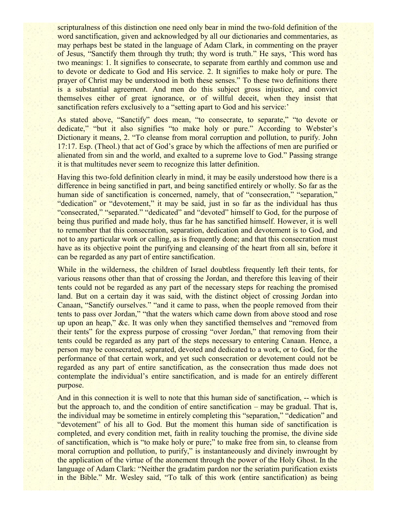scripturalness of this distinction one need only bear in mind the two-fold definition of the word sanctification, given and acknowledged by all our dictionaries and commentaries, as may perhaps best be stated in the language of Adam Clark, in commenting on the prayer of Jesus, "Sanctify them through thy truth; thy word is truth." He says, 'This word has two meanings: 1. It signifies to consecrate, to separate from earthly and common use and to devote or dedicate to God and His service. 2. It signifies to make holy or pure. The prayer of Christ may be understood in both these senses." To these two definitions there is a substantial agreement. And men do this subject gross injustice, and convict themselves either of great ignorance, or of willful deceit, when they insist that sanctification refers exclusively to a "setting apart to God and his service:'

As stated above, "Sanctify" does mean, "to consecrate, to separate," "to devote or dedicate," "but it also signifies "to make holy or pure." According to Webster's Dictionary it means, 2. "To cleanse from moral corruption and pollution, to purify. John 17:17. Esp. (Theol.) that act of God's grace by which the affections of men are purified or alienated from sin and the world, and exalted to a supreme love to God." Passing strange it is that multitudes never seem to recognize this latter definition.

Having this two-fold definition clearly in mind, it may be easily understood how there is a difference in being sanctified in part, and being sanctified entirely or wholly. So far as the human side of sanctification is concerned, namely, that of "consecration," "separation," "dedication" or "devotement," it may be said, just in so far as the individual has thus "consecrated," "separated." "dedicated" and "devoted" himself to God, for the purpose of being thus purified and made holy, thus far he has sanctified himself. However, it is well to remember that this consecration, separation, dedication and devotement is to God, and not to any particular work or calling, as is frequently done; and that this consecration must have as its objective point the purifying and cleansing of the heart from all sin, before it can be regarded as any part of entire sanctification.

While in the wilderness, the children of Israel doubtless frequently left their tents, for various reasons other than that of crossing the Jordan, and therefore this leaving of their tents could not be regarded as any part of the necessary steps for reaching the promised land. But on a certain day it was said, with the distinct object of crossing Jordan into Canaan, "Sanctify ourselves." "and it came to pass, when the people removed from their tents to pass over Jordan," "that the waters which came down from above stood and rose up upon an heap," &c. It was only when they sanctified themselves and "removed from their tents" for the express purpose of crossing "over Jordan," that removing from their tents could be regarded as any part of the steps necessary to entering Canaan. Hence, a person may be consecrated, separated, devoted and dedicated to a work, or to God, for the performance of that certain work, and yet such consecration or devotement could not be regarded as any part of entire sanctification, as the consecration thus made does not contemplate the individual's entire sanctification, and is made for an entirely different purpose.

And in this connection it is well to note that this human side of sanctification, -- which is but the approach to, and the condition of entire sanctification – may be gradual. That is, the individual may be sometime in entirely completing this "separation," "dedication" and "devotement" of his all to God. But the moment this human side of sanctification is completed, and every condition met, faith in reality touching the promise, the divine side of sanctification, which is "to make holy or pure;" to make free from sin, to cleanse from moral corruption and pollution, to purify," is instantaneously and divinely inwrought by the application of the virtue of the atonement through the power of the Holy Ghost. In the language of Adam Clark: "Neither the gradatim pardon nor the seriatim purification exists in the Bible." Mr. Wesley said, "To talk of this work (entire sanctification) as being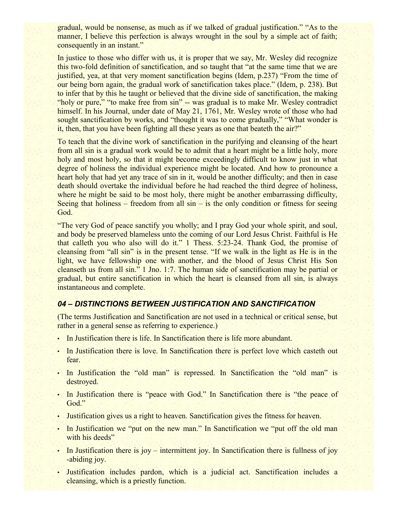gradual, would be nonsense, as much as if we talked of gradual justification." "As to the manner. I believe this perfection is always wrought in the soul by a simple act of faith; consequently in an instant."

In justice to those who differ with us, it is proper that we say, Mr. Wesley did recognize this two-fold definition of sanctification, and so taught that "at the same time that we are justified, yea, at that very moment sanctification begins (Idem, p.237) "From the time of our being born again, the gradual work of sanctification takes place." (Idem, p. 238). But to infer that by this he taught or believed that the divine side of sanctification, the making "holy or pure," "to make free from sin" -- was gradual is to make Mr. Wesley contradict himself. In his Journal, under date of May 21, 1761, Mr. Wesley wrote of those who had sought sanctification by works, and "thought it was to come gradually," "What wonder is it, then, that you have been fighting all these years as one that beateth the air?"

To teach that the divine work of sanctification in the purifying and cleansing of the heart from all sin is a gradual work would be to admit that a heart might be a little holy, more holy and most holy, so that it might become exceedingly difficult to know just in what degree of holiness the individual experience might be located. And how to pronounce a heart holy that had yet any trace of sin in it, would be another difficulty; and then in case death should overtake the individual before he had reached the third degree of holiness, where he might be said to be most holy, there might be another embarrassing difficulty, Seeing that holiness – freedom from all  $sin - is$  the only condition or fitness for seeing God.

"The very God of peace sanctify you wholly; and I pray God your whole spirit, and soul, and body be preserved blameless unto the coming of our Lord Jesus Christ. Faithful is He that calleth you who also will do it." 1 Thess. 5:23-24. Thank God, the promise of cleansing from "all sin" is in the present tense. "If we walk in the light as He is in the light, we have fellowship one with another, and the blood of Jesus Christ His Son cleanseth us from all sin." 1 Jno. 1:7. The human side of sanctification may be partial or gradual, but entire sanctification in which the heart is cleansed from all sin, is always instantaneous and complete.

#### *04 – DISTINCTIONS BETWEEN JUSTIFICATION AND SANCTIFICATION*

(The terms Justification and Sanctification are not used in a technical or critical sense, but rather in a general sense as referring to experience.)

- In Justification there is life. In Sanctification there is life more abundant.
- In Justification there is love. In Sanctification there is perfect love which casteth out fear.
- In Justification the "old man" is repressed. In Sanctification the "old man" is destroyed.
- In Justification there is "peace with God." In Sanctification there is "the peace of God."
- Justification gives us a right to heaven. Sanctification gives the fitness for heaven.
- In Justification we "put on the new man." In Sanctification we "put off the old man with his deeds"
- In Justification there is joy intermittent joy. In Sanctification there is fullness of joy -abiding joy.
- Justification includes pardon, which is a judicial act. Sanctification includes a cleansing, which is a priestly function.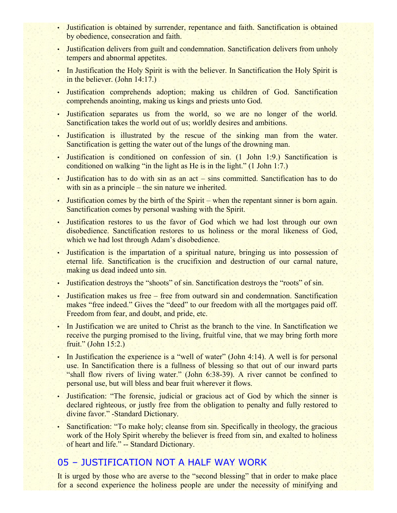- Justification is obtained by surrender, repentance and faith. Sanctification is obtained by obedience, consecration and faith.
- Justification delivers from guilt and condemnation. Sanctification delivers from unholy tempers and abnormal appetites.
- In Justification the Holy Spirit is with the believer. In Sanctification the Holy Spirit is in the believer. (John 14:17.)
- Justification comprehends adoption; making us children of God. Sanctification comprehends anointing, making us kings and priests unto God.
- Justification separates us from the world, so we are no longer of the world. Sanctification takes the world out of us; worldly desires and ambitions.
- Justification is illustrated by the rescue of the sinking man from the water. Sanctification is getting the water out of the lungs of the drowning man.
- Justification is conditioned on confession of sin. (1 John 1:9.) Sanctification is conditioned on walking "in the light as He is in the light." (1 John 1:7.)
- Justification has to do with sin as an act sins committed. Sanctification has to do with sin as a principle – the sin nature we inherited.
- Justification comes by the birth of the Spirit when the repentant sinner is born again. Sanctification comes by personal washing with the Spirit.
- Justification restores to us the favor of God which we had lost through our own disobedience. Sanctification restores to us holiness or the moral likeness of God, which we had lost through Adam's disobedience.
- Justification is the impartation of a spiritual nature, bringing us into possession of eternal life. Sanctification is the crucifixion and destruction of our carnal nature, making us dead indeed unto sin.
- Justification destroys the "shoots" of sin. Sanctification destroys the "roots" of sin.
- Justification makes us free free from outward sin and condemnation. Sanctification makes "free indeed." Gives the "deed" to our freedom with all the mortgages paid off. Freedom from fear, and doubt, and pride, etc.
- In Justification we are united to Christ as the branch to the vine. In Sanctification we receive the purging promised to the living, fruitful vine, that we may bring forth more fruit." (John 15:2.)
- In Justification the experience is a "well of water" (John 4:14). A well is for personal use. In Sanctification there is a fullness of blessing so that out of our inward parts "shall flow rivers of living water." (John 6:38-39). A river cannot be confined to personal use, but will bless and bear fruit wherever it flows.
- Justification: "The forensic, judicial or gracious act of God by which the sinner is declared righteous, or justly free from the obligation to penalty and fully restored to divine favor." -Standard Dictionary.
- Sanctification: "To make holy; cleanse from sin. Specifically in theology, the gracious work of the Holy Spirit whereby the believer is freed from sin, and exalted to holiness of heart and life." -- Standard Dictionary.

### 05 – JUSTIFICATION NOT A HALF WAY WORK

It is urged by those who are averse to the "second blessing" that in order to make place for a second experience the holiness people are under the necessity of minifying and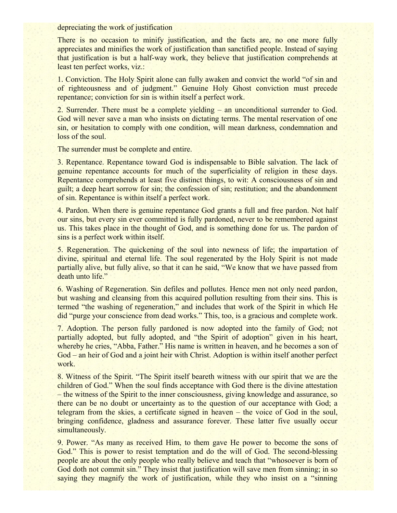depreciating the work of justification

There is no occasion to minify justification, and the facts are, no one more fully appreciates and minifies the work of justification than sanctified people. Instead of saying that justification is but a half-way work, they believe that justification comprehends at least ten perfect works, viz.:

1. Conviction. The Holy Spirit alone can fully awaken and convict the world "of sin and of righteousness and of judgment." Genuine Holy Ghost conviction must precede repentance; conviction for sin is within itself a perfect work.

2. Surrender. There must be a complete yielding – an unconditional surrender to God. God will never save a man who insists on dictating terms. The mental reservation of one sin, or hesitation to comply with one condition, will mean darkness, condemnation and loss of the soul.

The surrender must be complete and entire.

3. Repentance. Repentance toward God is indispensable to Bible salvation. The lack of genuine repentance accounts for much of the superficiality of religion in these days. Repentance comprehends at least five distinct things, to wit: A consciousness of sin and guilt; a deep heart sorrow for sin; the confession of sin; restitution; and the abandonment of sin. Repentance is within itself a perfect work.

4. Pardon. When there is genuine repentance God grants a full and free pardon. Not half our sins, but every sin ever committed is fully pardoned, never to be remembered against us. This takes place in the thought of God, and is something done for us. The pardon of sins is a perfect work within itself.

5. Regeneration. The quickening of the soul into newness of life; the impartation of divine, spiritual and eternal life. The soul regenerated by the Holy Spirit is not made partially alive, but fully alive, so that it can he said, "We know that we have passed from death unto life."

6. Washing of Regeneration. Sin defiles and pollutes. Hence men not only need pardon, but washing and cleansing from this acquired pollution resulting from their sins. This is termed "the washing of regeneration," and includes that work of the Spirit in which He did "purge your conscience from dead works." This, too, is a gracious and complete work.

7. Adoption. The person fully pardoned is now adopted into the family of God; not partially adopted, but fully adopted, and "the Spirit of adoption" given in his heart, whereby he cries, "Abba, Father." His name is written in heaven, and he becomes a son of God – an heir of God and a joint heir with Christ. Adoption is within itself another perfect work.

8. Witness of the Spirit. "The Spirit itself beareth witness with our spirit that we are the children of God." When the soul finds acceptance with God there is the divine attestation – the witness of the Spirit to the inner consciousness, giving knowledge and assurance, so there can be no doubt or uncertainty as to the question of our acceptance with God; a telegram from the skies, a certificate signed in heaven – the voice of God in the soul, bringing confidence, gladness and assurance forever. These latter five usually occur simultaneously.

9. Power. "As many as received Him, to them gave He power to become the sons of God." This is power to resist temptation and do the will of God. The second-blessing people are about the only people who really believe and teach that "whosoever is born of God doth not commit sin." They insist that justification will save men from sinning; in so saying they magnify the work of justification, while they who insist on a "sinning"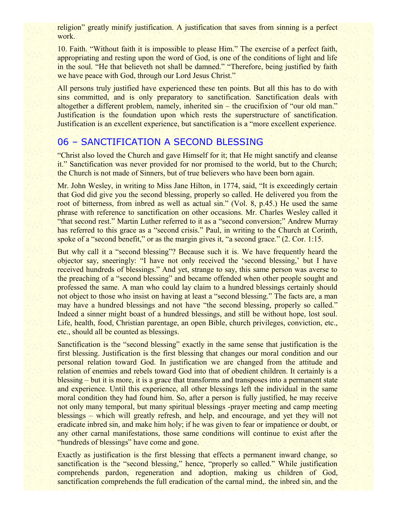religion" greatly minify justification. A justification that saves from sinning is a perfect work.

10. Faith. "Without faith it is impossible to please Him." The exercise of a perfect faith, appropriating and resting upon the word of God, is one of the conditions of light and life in the soul. "He that believeth not shall be damned." "Therefore, being justified by faith we have peace with God, through our Lord Jesus Christ."

All persons truly justified have experienced these ten points. But all this has to do with sins committed, and is only preparatory to sanctification. Sanctification deals with altogether a different problem, namely, inherited sin – the crucifixion of "our old man." Justification is the foundation upon which rests the superstructure of sanctification. Justification is an excellent experience, but sanctification is a "more excellent experience.

# 06 – SANCTIFICATION A SECOND BLESSING

"Christ also loved the Church and gave Himself for it; that He might sanctify and cleanse it." Sanctification was never provided for nor promised to the world, but to the Church; the Church is not made of Sinners, but of true believers who have been born again.

Mr. John Wesley, in writing to Miss Jane Hilton, in 1774, said, "It is exceedingly certain that God did give you the second blessing, properly so called. He delivered you from the root of bitterness, from inbred as well as actual sin." (Vol. 8, p.45.) He used the same phrase with reference to sanctification on other occasions. Mr. Charles Wesley called it "that second rest." Martin Luther referred to it as a "second conversion;" Andrew Murray has referred to this grace as a "second crisis." Paul, in writing to the Church at Corinth, spoke of a "second benefit," or as the margin gives it, "a second grace." (2. Cor. 1:15.

But why call it a "second blessing"? Because such it is. We have frequently heard the objector say, sneeringly: "I have not only received the 'second blessing,' but I have received hundreds of blessings." And yet, strange to say, this same person was averse to the preaching of a "second blessing" and became offended when other people sought and professed the same. A man who could lay claim to a hundred blessings certainly should not object to those who insist on having at least a "second blessing." The facts are, a man may have a hundred blessings and not have "the second blessing, properly so called." Indeed a sinner might boast of a hundred blessings, and still be without hope, lost soul. Life, health, food, Christian parentage, an open Bible, church privileges, conviction, etc., etc., should all be counted as blessings.

Sanctification is the "second blessing" exactly in the same sense that justification is the first blessing. Justification is the first blessing that changes our moral condition and our personal relation toward God. In justification we are changed from the attitude and relation of enemies and rebels toward God into that of obedient children. It certainly is a blessing – but it is more, it is a grace that transforms and transposes into a permanent state and experience. Until this experience, all other blessings left the individual in the same moral condition they had found him. So, after a person is fully justified, he may receive not only many temporal, but many spiritual blessings -prayer meeting and camp meeting blessings – which will greatly refresh, and help, and encourage, and yet they will not eradicate inbred sin, and make him holy; if he was given to fear or impatience or doubt, or any other carnal manifestations, those same conditions will continue to exist after the "hundreds of blessings" have come and gone.

Exactly as justification is the first blessing that effects a permanent inward change, so sanctification is the "second blessing," hence, "properly so called." While justification comprehends pardon, regeneration and adoption, making us children of God, sanctification comprehends the full eradication of the carnal mind,. the inbred sin, and the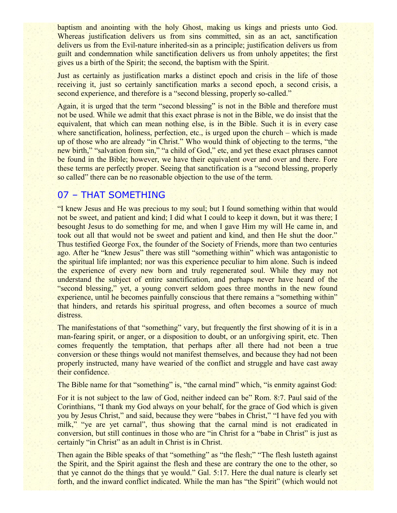baptism and anointing with the holy Ghost, making us kings and priests unto God. Whereas justification delivers us from sins committed, sin as an act, sanctification delivers us from the Evil-nature inherited-sin as a principle; justification delivers us from guilt and condemnation while sanctification delivers us from unholy appetites; the first gives us a birth of the Spirit; the second, the baptism with the Spirit.

Just as certainly as justification marks a distinct epoch and crisis in the life of those receiving it, just so certainly sanctification marks a second epoch, a second crisis, a second experience, and therefore is a "second blessing, properly so-called."

Again, it is urged that the term "second blessing" is not in the Bible and therefore must not be used. While we admit that this exact phrase is not in the Bible, we do insist that the equivalent, that which can mean nothing else, is in the Bible. Such it is in every case where sanctification, holiness, perfection, etc., is urged upon the church – which is made up of those who are already "in Christ." Who would think of objecting to the terms, "the new birth," "salvation from sin," "a child of God," etc, and yet these exact phrases cannot be found in the Bible; however, we have their equivalent over and over and there. Fore these terms are perfectly proper. Seeing that sanctification is a "second blessing, properly so called" there can be no reasonable objection to the use of the term.

# 07 – THAT SOMETHING

"I knew Jesus and He was precious to my soul; but I found something within that would not be sweet, and patient and kind; I did what I could to keep it down, but it was there; I besought Jesus to do something for me, and when I gave Him my will He came in, and took out all that would not be sweet and patient and kind, and then He shut the door." Thus testified George Fox, the founder of the Society of Friends, more than two centuries ago. After he "knew Jesus" there was still "something within" which was antagonistic to the spiritual life implanted; nor was this experience peculiar to him alone. Such is indeed the experience of every new born and truly regenerated soul. While they may not understand the subject of entire sanctification, and perhaps never have heard of the "second blessing," yet, a young convert seldom goes three months in the new found experience, until he becomes painfully conscious that there remains a "something within" that hinders, and retards his spiritual progress, and often becomes a source of much distress.

The manifestations of that "something" vary, but frequently the first showing of it is in a man-fearing spirit, or anger, or a disposition to doubt, or an unforgiving spirit, etc. Then comes frequently the temptation, that perhaps after all there had not been a true conversion or these things would not manifest themselves, and because they had not been properly instructed, many have wearied of the conflict and struggle and have cast away their confidence.

The Bible name for that "something" is, "the carnal mind" which, "is enmity against God:

For it is not subject to the law of God, neither indeed can be" Rom. 8:7. Paul said of the Corinthians, "I thank my God always on your behalf, for the grace of God which is given you by Jesus Christ," and said, because they were "babes in Christ," "I have fed you with milk," "ye are yet carnal", thus showing that the carnal mind is not eradicated in conversion, but still continues in those who are "in Christ for a "babe in Christ" is just as certainly "in Christ" as an adult in Christ is in Christ.

Then again the Bible speaks of that "something" as "the flesh;" "The flesh lusteth against the Spirit, and the Spirit against the flesh and these are contrary the one to the other, so that ye cannot do the things that ye would." Gal. 5:17. Here the dual nature is clearly set forth, and the inward conflict indicated. While the man has "the Spirit" (which would not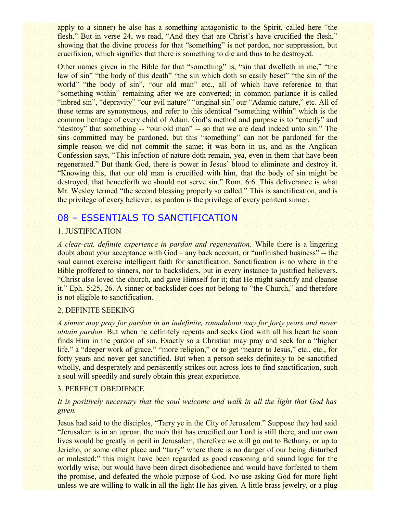apply to a sinner) he also has a something antagonistic to the Spirit, called here "the flesh." But in verse 24, we read, "And they that are Christ's have crucified the flesh," showing that the divine process for that "something" is not pardon, nor suppression, but crucifixion, which signifies that there is something to die and thus to be destroyed.

Other names given in the Bible for that "something" is, "sin that dwelleth in me," "the law of sin" "the body of this death" "the sin which doth so easily beset" "the sin of the world" "the body of sin", "our old man" etc., all of which have reference to that "something within" remaining after we are converted; in common parlance it is called "inbred sin", "depravity" "our evil nature" "original sin" our "Adamic nature," etc. All of these terms are synonymous, and refer to this identical "something within" which is the common heritage of every child of Adam. God's method and purpose is to "crucify" and "destroy" that something -- "our old man" -- so that we are dead indeed unto sin." The sins committed may be pardoned, but this "something" can not be pardoned for the simple reason we did not commit the same; it was born in us, and as the Anglican Confession says, "This infection of nature doth remain, yea, even in them that have been regenerated." But thank God, there is power in Jesus' blood to eliminate and destroy it. "Knowing this, that our old man is crucified with him, that the body of sin might be destroyed, that henceforth we should not serve sin." Rom. 6:6. This deliverance is what Mr. Wesley termed "the second blessing properly so called." This is sanctification, and is the privilege of every believer, as pardon is the privilege of every penitent sinner.

### 08 – ESSENTIALS TO SANCTIFICATION

#### 1. JUSTIFICATION

*A clear-cut, definite experience in pardon and regeneration.* While there is a lingering doubt about your acceptance with God – any back account, or "unfinished business" -- the soul cannot exercise intelligent faith for sanctification. Sanctification is no where in the Bible proffered to sinners, nor to backsliders, but in every instance to justified believers. "Christ also loved the church, and gave Himself for it; that He might sanctify and cleanse it." Eph. 5:25, 26. A sinner or backslider does not belong to "the Church," and therefore is not eligible to sanctification.

#### 2. DEFINITE SEEKING

*A sinner may pray for pardon in an indefinite, roundabout way for forty years and never obtain pardon.* But when he definitely repents and seeks God with all his heart he soon finds Him in the pardon of sin. Exactly so a Christian may pray and seek for a "higher life," a "deeper work of grace," "more religion," or to get "nearer to Jesus," etc., etc., for forty years and never get sanctified. But when a person seeks definitely to be sanctified wholly, and desperately and persistently strikes out across lots to find sanctification, such a soul will speedily and surely obtain this great experience.

#### 3. PERFECT OBEDIENCE

#### *It is positively necessary that the soul welcome and walk in all the light that God has given.*

Jesus had said to the disciples, "Tarry ye in the City of Jerusalem." Suppose they had said "Jerusalem is in an uproar, the mob that has crucified our Lord is still there, and our own lives would be greatly in peril in Jerusalem, therefore we will go out to Bethany, or up to Jericho, or some other place and "tarry" where there is no danger of our being disturbed or molested;" this might have been regarded as good reasoning and sound logic for the worldly wise, but would have been direct disobedience and would have forfeited to them the promise, and defeated the whole purpose of God. No use asking God for more light unless we are willing to walk in all the light He has given. A little brass jewelry, or a plug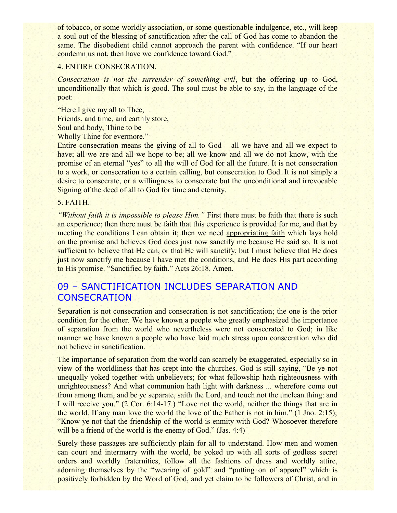of tobacco, or some worldly association, or some questionable indulgence, etc., will keep a soul out of the blessing of sanctification after the call of God has come to abandon the same. The disobedient child cannot approach the parent with confidence. "If our heart condemn us not, then have we confidence toward God."

#### 4. ENTIRE CONSECRATION.

*Consecration is not the surrender of something evil*, but the offering up to God, unconditionally that which is good. The soul must be able to say, in the language of the poet:

"Here I give my all to Thee, Friends, and time, and earthly store, Soul and body, Thine to be Wholly Thine for evermore."

Entire consecration means the giving of all to God – all we have and all we expect to have; all we are and all we hope to be; all we know and all we do not know, with the promise of an eternal "yes" to all the will of God for all the future. It is not consecration to a work, or consecration to a certain calling, but consecration to God. It is not simply a desire to consecrate, or a willingness to consecrate but the unconditional and irrevocable Signing of the deed of all to God for time and eternity.

#### 5. FAITH.

*"Without faith it is impossible to please Him."* First there must be faith that there is such an experience; then there must be faith that this experience is provided for me, and that by meeting the conditions I can obtain it; then we need appropriating faith which lays hold on the promise and believes God does just now sanctify me because He said so. It is not sufficient to believe that He can, or that He will sanctify, but I must believe that He does just now sanctify me because I have met the conditions, and He does His part according to His promise. "Sanctified by faith." Acts 26:18. Amen.

## 09 – SANCTIFICATION INCLUDES SEPARATION AND **CONSECRATION**

Separation is not consecration and consecration is not sanctification; the one is the prior condition for the other. We have known a people who greatly emphasized the importance of separation from the world who nevertheless were not consecrated to God; in like manner we have known a people who have laid much stress upon consecration who did not believe in sanctification.

The importance of separation from the world can scarcely be exaggerated, especially so in view of the worldliness that has crept into the churches. God is still saying, "Be ye not unequally yoked together with unbelievers; for what fellowship hath righteousness with unrighteousness? And what communion hath light with darkness ... wherefore come out from among them, and be ye separate, saith the Lord, and touch not the unclean thing: and I will receive you." (2 Cor. 6:14-17.) "Love not the world, neither the things that are in the world. If any man love the world the love of the Father is not in him." (1 Jno. 2:15); "Know ye not that the friendship of the world is enmity with God? Whosoever therefore will be a friend of the world is the enemy of God." (Jas. 4:4)

Surely these passages are sufficiently plain for all to understand. How men and women can court and intermarry with the world, be yoked up with all sorts of godless secret orders and worldly fraternities, follow all the fashions of dress and worldly attire, adorning themselves by the "wearing of gold" and "putting on of apparel" which is positively forbidden by the Word of God, and yet claim to be followers of Christ, and in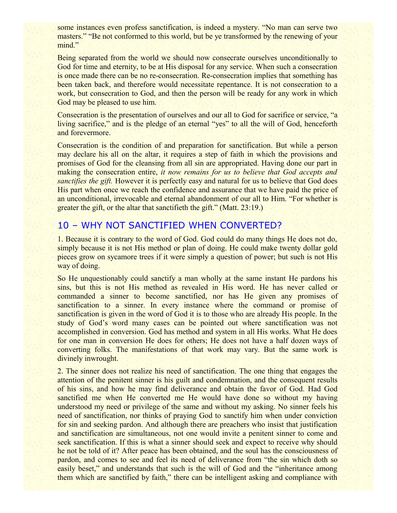some instances even profess sanctification, is indeed a mystery. "No man can serve two masters." "Be not conformed to this world, but be ye transformed by the renewing of your mind."

Being separated from the world we should now consecrate ourselves unconditionally to God for time and eternity, to be at His disposal for any service. When such a consecration is once made there can be no re-consecration. Re-consecration implies that something has been taken back, and therefore would necessitate repentance. It is not consecration to a work, but consecration to God, and then the person will be ready for any work in which God may be pleased to use him.

Consecration is the presentation of ourselves and our all to God for sacrifice or service, "a living sacrifice," and is the pledge of an eternal "yes" to all the will of God, henceforth and forevermore.

Consecration is the condition of and preparation for sanctification. But while a person may declare his all on the altar, it requires a step of faith in which the provisions and promises of God for the cleansing from all sin are appropriated. Having done our part in making the consecration entire, *it now remains for us to believe that God accepts and sanctifies the gift.* However it is perfectly easy and natural for us to believe that God does His part when once we reach the confidence and assurance that we have paid the price of an unconditional, irrevocable and eternal abandonment of our all to Him. "For whether is greater the gift, or the altar that sanctifieth the gift." (Matt. 23:19.)

### 10 – WHY NOT SANCTIFIED WHEN CONVERTED?

1. Because it is contrary to the word of God. God could do many things He does not do, simply because it is not His method or plan of doing. He could make twenty dollar gold pieces grow on sycamore trees if it were simply a question of power; but such is not His way of doing.

So He unquestionably could sanctify a man wholly at the same instant He pardons his sins, but this is not His method as revealed in His word. He has never called or commanded a sinner to become sanctified, nor has He given any promises of sanctification to a sinner. In every instance where the command or promise of sanctification is given in the word of God it is to those who are already His people. In the study of God's word many cases can be pointed out where sanctification was not accomplished in conversion. God has method and system in all His works. What He does for one man in conversion He does for others; He does not have a half dozen ways of converting folks. The manifestations of that work may vary. But the same work is divinely inwrought.

2. The sinner does not realize his need of sanctification. The one thing that engages the attention of the penitent sinner is his guilt and condemnation, and the consequent results of his sins, and how he may find deliverance and obtain the favor of God. Had God sanctified me when He converted me He would have done so without my having understood my need or privilege of the same and without my asking. No sinner feels his need of sanctification, nor thinks of praying God to sanctify him when under conviction for sin and seeking pardon. And although there are preachers who insist that justification and sanctification are simultaneous, not one would invite a penitent sinner to come and seek sanctification. If this is what a sinner should seek and expect to receive why should he not be told of it? After peace has been obtained, and the soul has the consciousness of pardon, and comes to see and feel its need of deliverance from "the sin which doth so easily beset," and understands that such is the will of God and the "inheritance among them which are sanctified by faith," there can be intelligent asking and compliance with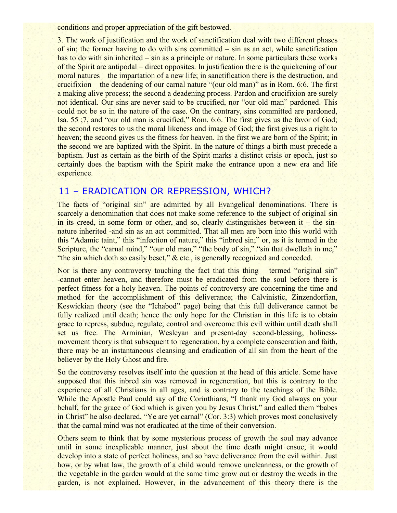conditions and proper appreciation of the gift bestowed.

3. The work of justification and the work of sanctification deal with two different phases of sin; the former having to do with sins committed – sin as an act, while sanctification has to do with sin inherited – sin as a principle or nature. In some particulars these works of the Spirit are antipodal – direct opposites. In justification there is the quickening of our moral natures – the impartation of a new life; in sanctification there is the destruction, and crucifixion – the deadening of our carnal nature "(our old man)" as in Rom. 6:6. The first a making alive process; the second a deadening process. Pardon and crucifixion are surely not identical. Our sins are never said to be crucified, nor "our old man" pardoned. This could not be so in the nature of the case. On the contrary, sins committed are pardoned, Isa. 55 ;7, and "our old man is crucified," Rom. 6:6. The first gives us the favor of God; the second restores to us the moral likeness and image of God; the first gives us a right to heaven; the second gives us the fitness for heaven. In the first we are born of the Spirit; in the second we are baptized with the Spirit. In the nature of things a birth must precede a baptism. Just as certain as the birth of the Spirit marks a distinct crisis or epoch, just so certainly does the baptism with the Spirit make the entrance upon a new era and life experience.

# 11 – ERADICATION OR REPRESSION, WHICH?

The facts of "original sin" are admitted by all Evangelical denominations. There is scarcely a denomination that does not make some reference to the subject of original sin in its creed, in some form or other, and so, clearly distinguishes between it – the sinnature inherited -and sin as an act committed. That all men are born into this world with this "Adamic taint," this "infection of nature," this "inbred sin;" or, as it is termed in the Scripture, the "carnal mind," "our old man," "the body of sin," "sin that dwelleth in me," "the sin which doth so easily beset," & etc., is generally recognized and conceded.

Nor is there any controversy touching the fact that this thing – termed "original sin" -cannot enter heaven, and therefore must be eradicated from the soul before there is perfect fitness for a holy heaven. The points of controversy are concerning the time and method for the accomplishment of this deliverance; the Calvinistic, Zinzendorfian, Keswickian theory (see the "Ichabod" page) being that this full deliverance cannot be fully realized until death; hence the only hope for the Christian in this life is to obtain grace to repress, subdue, regulate, control and overcome this evil within until death shall set us free. The Arminian, Wesleyan and present-day second-blessing, holinessmovement theory is that subsequent to regeneration, by a complete consecration and faith, there may be an instantaneous cleansing and eradication of all sin from the heart of the believer by the Holy Ghost and fire.

So the controversy resolves itself into the question at the head of this article. Some have supposed that this inbred sin was removed in regeneration, but this is contrary to the experience of all Christians in all ages, and is contrary to the teachings of the Bible. While the Apostle Paul could say of the Corinthians, "I thank my God always on your behalf, for the grace of God which is given you by Jesus Christ," and called them "babes in Christ" he also declared, "Ye are yet carnal" (Cor. 3:3) which proves most conclusively that the carnal mind was not eradicated at the time of their conversion.

Others seem to think that by some mysterious process of growth the soul may advance until in some inexplicable manner, just about the time death might ensue, it would develop into a state of perfect holiness, and so have deliverance from the evil within. Just how, or by what law, the growth of a child would remove uncleanness, or the growth of the vegetable in the garden would at the same time grow out or destroy the weeds in the garden, is not explained. However, in the advancement of this theory there is the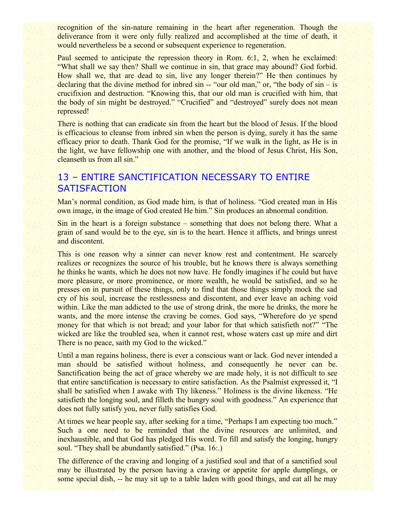recognition of the sin-nature remaining in the heart after regeneration. Though the deliverance from it were only fully realized and accomplished at the time of death, it would nevertheless be a second or subsequent experience to regeneration.

Paul seemed to anticipate the repression theory in Rom. 6:1, 2, when he exclaimed: "What shall we say then? Shall we continue in sin, that grace may abound? God forbid. How shall we, that are dead to sin, live any longer therein?" He then continues by declaring that the divine method for inbred sin  $-$  "our old man," or, "the body of  $\sin - i\sin$ crucifixion and destruction. "Knowing this, that our old man is crucified with him, that the body of sin might be destroyed." "Crucified" and "destroyed" surely does not mean repressed!

There is nothing that can eradicate sin from the heart but the blood of Jesus. If the blood is efficacious to cleanse from inbred sin when the person is dying, surely it has the same efficacy prior to death. Thank God for the promise, "If we walk in the light, as He is in the light, we have fellowship one with another, and the blood of Jesus Christ, His Son, cleanseth us from all sin."

# 13 – ENTIRE SANCTIFICATION NECESSARY TO ENTIRE **SATISFACTION**

Man's normal condition, as God made him, is that of holiness. "God created man in His own image, in the image of God created He him." Sin produces an abnormal condition.

Sin in the heart is a foreign substance – something that does not belong there. What a grain of sand would be to the eye, sin is to the heart. Hence it afflicts, and brings unrest and discontent.

This is one reason why a sinner can never know rest and contentment. He scarcely realizes or recognizes the source of his trouble, but he knows there is always something he thinks he wants, which he does not now have. He fondly imagines if he could but have more pleasure, or more prominence, or more wealth, he would be satisfied, and so he presses on in pursuit of these things, only to find that those things simply mock the sad cry of his soul, increase the restlessness and discontent, and ever leave an aching void within. Like the man addicted to the use of strong drink, the more he drinks, the more he wants, and the more intense the craving be comes. God says, "Wherefore do ye spend money for that which is not bread; and your labor for that which satisfieth not?" "The wicked are like the troubled sea, when it cannot rest, whose waters cast up mire and dirt There is no peace, saith my God to the wicked."

Until a man regains holiness, there is ever a conscious want or lack. God never intended a man should be satisfied without holiness, and consequently he never can be. Sanctification being the act of grace whereby we are made holy, it is not difficult to see that entire sanctification is necessary to entire satisfaction. As the Psalmist expressed it, "I shall be satisfied when I awake with Thy likeness." Holiness is the divine likeness. "He satisfieth the longing soul, and filleth the hungry soul with goodness." An experience that does not fully satisfy you, never fully satisfies God.

At times we hear people say, after seeking for a time, "Perhaps I am expecting too much." Such a one need to be reminded that the divine resources are unlimited, and inexhaustible, and that God has pledged His word. To fill and satisfy the longing, hungry soul. "They shall be abundantly satisfied." (Psa. 16:.)

The difference of the craving and longing of a justified soul and that of a sanctified soul may be illustrated by the person having a craving or appetite for apple dumplings, or some special dish, -- he may sit up to a table laden with good things, and eat all he may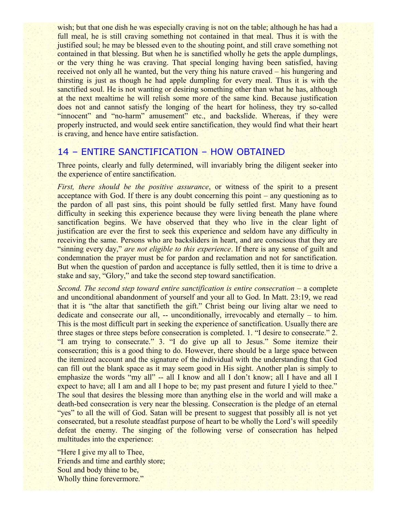wish; but that one dish he was especially craving is not on the table; although he has had a full meal, he is still craving something not contained in that meal. Thus it is with the justified soul; he may be blessed even to the shouting point, and still crave something not contained in that blessing. But when he is sanctified wholly he gets the apple dumplings, or the very thing he was craving. That special longing having been satisfied, having received not only all he wanted, but the very thing his nature craved – his hungering and thirsting is just as though he had apple dumpling for every meal. Thus it is with the sanctified soul. He is not wanting or desiring something other than what he has, although at the next mealtime he will relish some more of the same kind. Because justification does not and cannot satisfy the longing of the heart for holiness, they try so-called "innocent" and "no-harm" amusement" etc., and backslide. Whereas, if they were properly instructed, and would seek entire sanctification, they would find what their heart is craving, and hence have entire satisfaction.

### 14 – ENTIRE SANCTIFICATION – HOW OBTAINED

Three points, clearly and fully determined, will invariably bring the diligent seeker into the experience of entire sanctification.

*First, there should be the positive assurance*, or witness of the spirit to a present acceptance with God. If there is any doubt concerning this point – any questioning as to the pardon of all past sins, this point should be fully settled first. Many have found difficulty in seeking this experience because they were living beneath the plane where sanctification begins. We have observed that they who live in the clear light of justification are ever the first to seek this experience and seldom have any difficulty in receiving the same. Persons who are backsliders in heart, and are conscious that they are "sinning every day," *are not eligible to this experience*. If there is any sense of guilt and condemnation the prayer must be for pardon and reclamation and not for sanctification. But when the question of pardon and acceptance is fully settled, then it is time to drive a stake and say, "Glory," and take the second step toward sanctification.

*Second. The second step toward entire sanctification is entire consecration* – a complete and unconditional abandonment of yourself and your all to God. In Matt. 23:19, we read that it is "the altar that sanctifieth the gift." Christ being our living altar we need to dedicate and consecrate our all, -- unconditionally, irrevocably and eternally – to him. This is the most difficult part in seeking the experience of sanctification. Usually there are three stages or three steps before consecration is completed. 1. "I desire to consecrate." 2. "I am trying to consecrate." 3. "I do give up all to Jesus." Some itemize their consecration; this is a good thing to do. However, there should be a large space between the itemized account and the signature of the individual with the understanding that God can fill out the blank space as it may seem good in His sight. Another plan is simply to emphasize the words "my all" -- all I know and all I don't know; all I have and all I expect to have; all I am and all I hope to be; my past present and future I yield to thee." The soul that desires the blessing more than anything else in the world and will make a death-bed consecration is very near the blessing. Consecration is the pledge of an eternal "yes" to all the will of God. Satan will be present to suggest that possibly all is not yet consecrated, but a resolute steadfast purpose of heart to be wholly the Lord's will speedily defeat the enemy. The singing of the following verse of consecration has helped multitudes into the experience:

"Here I give my all to Thee, Friends and time and earthly store; Soul and body thine to be, Wholly thine forevermore."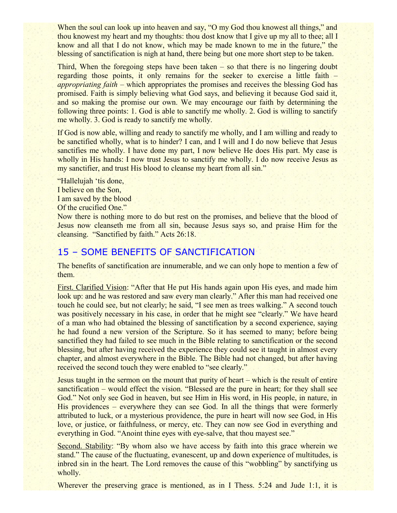When the soul can look up into heaven and say, "O my God thou knowest all things," and thou knowest my heart and my thoughts: thou dost know that I give up my all to thee; all I know and all that I do not know, which may be made known to me in the future," the blessing of sanctification is nigh at hand, there being but one more short step to be taken.

Third, When the foregoing steps have been taken – so that there is no lingering doubt regarding those points, it only remains for the seeker to exercise a little faith – *appropriating faith* – which appropriates the promises and receives the blessing God has promised. Faith is simply believing what God says, and believing it because God said it, and so making the promise our own. We may encourage our faith by determining the following three points: 1. God is able to sanctify me wholly. 2. God is willing to sanctify me wholly. 3. God is ready to sanctify me wholly.

If God is now able, willing and ready to sanctify me wholly, and I am willing and ready to be sanctified wholly, what is to hinder? I can, and I will and I do now believe that Jesus sanctifies me wholly. I have done my part, I now believe He does His part. My case is wholly in His hands: I now trust Jesus to sanctify me wholly. I do now receive Jesus as my sanctifier, and trust His blood to cleanse my heart from all sin."

"Hallelujah 'tis done, I believe on the Son, I am saved by the blood Of the crucified One."

Now there is nothing more to do but rest on the promises, and believe that the blood of Jesus now cleanseth me from all sin, because Jesus says so, and praise Him for the cleansing. "Sanctified by faith." Acts 26:18.

# 15 – SOME BENEFITS OF SANCTIFICATION

The benefits of sanctification are innumerable, and we can only hope to mention a few of them.

First. Clarified Vision: "After that He put His hands again upon His eyes, and made him look up: and he was restored and saw every man clearly." After this man had received one touch he could see, but not clearly; he said, "I see men as trees walking." A second touch was positively necessary in his case, in order that he might see "clearly." We have heard of a man who had obtained the blessing of sanctification by a second experience, saying he had found a new version of the Scripture. So it has seemed to many; before being sanctified they had failed to see much in the Bible relating to sanctification or the second blessing, but after having received the experience they could see it taught in almost every chapter, and almost everywhere in the Bible. The Bible had not changed, but after having received the second touch they were enabled to "see clearly."

Jesus taught in the sermon on the mount that purity of heart – which is the result of entire sanctification – would effect the vision. "Blessed are the pure in heart; for they shall see God." Not only see God in heaven, but see Him in His word, in His people, in nature, in His providences – everywhere they can see God. In all the things that were formerly attributed to luck, or a mysterious providence, the pure in heart will now see God, in His love, or justice, or faithfulness, or mercy, etc. They can now see God in everything and everything in God. "Anoint thine eyes with eye-salve, that thou mayest see."

Second. Stability: "By whom also we have access by faith into this grace wherein we stand." The cause of the fluctuating, evanescent, up and down experience of multitudes, is inbred sin in the heart. The Lord removes the cause of this "wobbling" by sanctifying us wholly.

Wherever the preserving grace is mentioned, as in I Thess. 5:24 and Jude 1:1, it is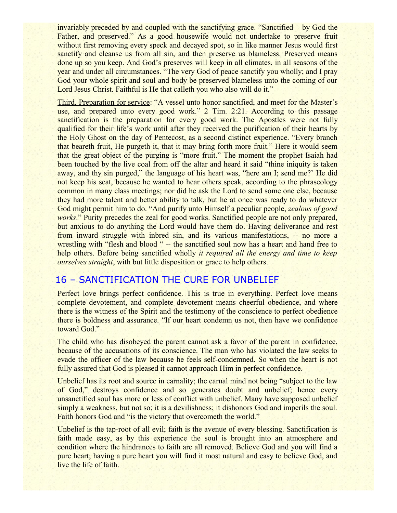invariably preceded by and coupled with the sanctifying grace. "Sanctified – by God the Father, and preserved." As a good housewife would not undertake to preserve fruit without first removing every speck and decayed spot, so in like manner Jesus would first sanctify and cleanse us from all sin, and then preserve us blameless. Preserved means done up so you keep. And God's preserves will keep in all climates, in all seasons of the year and under all circumstances. "The very God of peace sanctify you wholly; and I pray God your whole spirit and soul and body be preserved blameless unto the coming of our Lord Jesus Christ. Faithful is He that calleth you who also will do it."

Third. Preparation for service: "A vessel unto honor sanctified, and meet for the Master's use, and prepared unto every good work." 2 Tim. 2:21. According to this passage sanctification is the preparation for every good work. The Apostles were not fully qualified for their life's work until after they received the purification of their hearts by the Holy Ghost on the day of Pentecost, as a second distinct experience. "Every branch that beareth fruit, He purgeth it, that it may bring forth more fruit." Here it would seem that the great object of the purging is "more fruit." The moment the prophet Isaiah had been touched by the live coal from off the altar and heard it said "thine iniquity is taken" away, and thy sin purged," the language of his heart was, "here am I; send me?' He did not keep his seat, because he wanted to hear others speak, according to the phraseology common in many class meetings; nor did he ask the Lord to send some one else, because they had more talent and better ability to talk, but he at once was ready to do whatever God might permit him to do. "And purify unto Himself a peculiar people, *zealous of good works*." Purity precedes the zeal for good works. Sanctified people are not only prepared, but anxious to do anything the Lord would have them do. Having deliverance and rest from inward struggle with inbred sin, and its various manifestations, -- no more a wrestling with "flesh and blood " -- the sanctified soul now has a heart and hand free to help others. Before being sanctified wholly *it required all the energy and time to keep ourselves straight*, with but little disposition or grace to help others.

# 16 – SANCTIFICATION THE CURE FOR UNBELIEF

Perfect love brings perfect confidence. This is true in everything. Perfect love means complete devotement, and complete devotement means cheerful obedience, and where there is the witness of the Spirit and the testimony of the conscience to perfect obedience there is boldness and assurance. "If our heart condemn us not, then have we confidence toward God."

The child who has disobeyed the parent cannot ask a favor of the parent in confidence, because of the accusations of its conscience. The man who has violated the law seeks to evade the officer of the law because he feels self-condemned. So when the heart is not fully assured that God is pleased it cannot approach Him in perfect confidence.

Unbelief has its root and source in carnality; the carnal mind not being "subject to the law of God," destroys confidence and so generates doubt and unbelief; hence every unsanctified soul has more or less of conflict with unbelief. Many have supposed unbelief simply a weakness, but not so; it is a devilishness; it dishonors God and imperils the soul. Faith honors God and "is the victory that overcometh the world."

Unbelief is the tap-root of all evil; faith is the avenue of every blessing. Sanctification is faith made easy, as by this experience the soul is brought into an atmosphere and condition where the hindrances to faith are all removed. Believe God and you will find a pure heart; having a pure heart you will find it most natural and easy to believe God, and live the life of faith.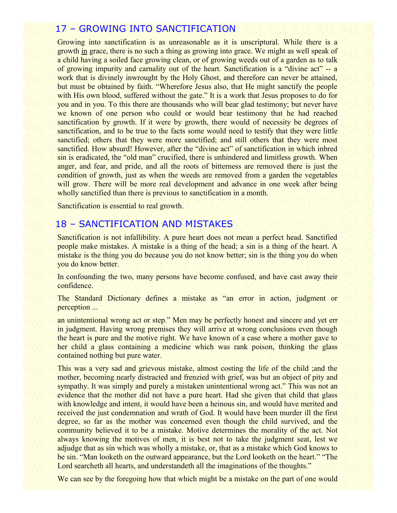# 17 – GROWING INTO SANCTIFICATION

Growing into sanctification is as unreasonable as it is unscriptural. While there is a growth in grace, there is no such a thing as growing into grace. We might as well speak of a child having a soiled face growing clean, or of growing weeds out of a garden as to talk of growing impurity and carnality out of the heart. Sanctification is a "divine act" -- a work that is divinely inwrought by the Holy Ghost, and therefore can never be attained, but must be obtained by faith. "Wherefore Jesus also, that He might sanctify the people with His own blood, suffered without the gate." It is a work that Jesus proposes to do for you and in you. To this there are thousands who will bear glad testimony; but never have we known of one person who could or would bear testimony that he had reached sanctification by growth. If it were by growth, there would of necessity be degrees of sanctification, and to be true to the facts some would need to testify that they were little sanctified; others that they were more sanctified; and still others that they were most sanctified. How absurd! However, after the "divine act" of sanctification in which inbred sin is eradicated, the "old man" crucified, there is unhindered and limitless growth. When anger, and fear, and pride, and all the roots of bitterness are removed there is just the condition of growth, just as when the weeds are removed from a garden the vegetables will grow. There will be more real development and advance in one week after being wholly sanctified than there is previous to sanctification in a month.

Sanctification is essential to real growth.

### 18 – SANCTIFICATION AND MISTAKES

Sanctification is not infallibility. A pure heart does not mean a perfect head. Sanctified people make mistakes. A mistake is a thing of the head; a sin is a thing of the heart. A mistake is the thing you do because you do not know better; sin is the thing you do when you do know better.

In confounding the two, many persons have become confused, and have cast away their confidence.

The Standard Dictionary defines a mistake as "an error in action, judgment or perception ...

an unintentional wrong act or step." Men may be perfectly honest and sincere and yet err in judgment. Having wrong premises they will arrive at wrong conclusions even though the heart is pure and the motive right. We have known of a case where a mother gave to her child a glass containing a medicine which was rank poison, thinking the glass contained nothing but pure water.

This was a very sad and grievous mistake, almost costing the life of the child ;and the mother, becoming nearly distracted and frenzied with grief, was but an object of pity and sympathy. It was simply and purely a mistaken unintentional wrong act." This was not an evidence that the mother did not have a pure heart. Had she given that child that glass with knowledge and intent, it would have been a heinous sin, and would have merited and received the just condemnation and wrath of God. It would have been murder ill the first degree, so far as the mother was concerned even though the child survived, and the community believed it to be a mistake. Motive determines the morality of the act. Not always knowing the motives of men, it is best not to take the judgment seat, lest we adjudge that as sin which was wholly a mistake, or, that as a mistake which God knows to be sin. "Man looketh on the outward appearance, but the Lord looketh on the heart." "The Lord searcheth all hearts, and understandeth all the imaginations of the thoughts."

We can see by the foregoing how that which might be a mistake on the part of one would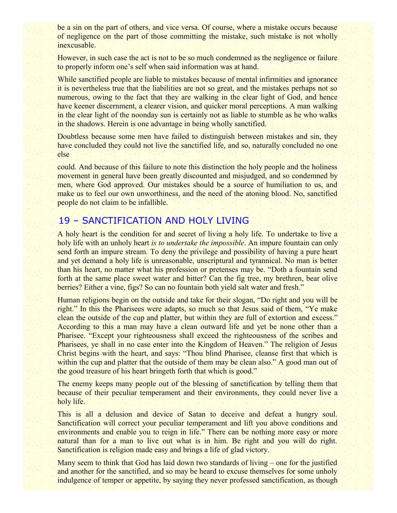be a sin on the part of others, and vice versa. Of course, where a mistake occurs because of negligence on the part of those committing the mistake, such mistake is not wholly inexcusable.

However, in such case the act is not to be so much condemned as the negligence or failure to properly inform one's self when said information was at hand.

While sanctified people are liable to mistakes because of mental infirmities and ignorance it is nevertheless true that the liabilities are not so great, and the mistakes perhaps not so numerous, owing to the fact that they are walking in the clear light of God, and hence have keener discernment, a clearer vision, and quicker moral perceptions. A man walking in the clear light of the noonday sun is certainly not as liable to stumble as he who walks in the shadows. Herein is one advantage in being wholly sanctified.

Doubtless because some men have failed to distinguish between mistakes and sin, they have concluded they could not live the sanctified life, and so, naturally concluded no one else

could. And because of this failure to note this distinction the holy people and the holiness movement in general have been greatly discounted and misjudged, and so condemned by men, where God approved. Our mistakes should be a source of humiliation to us, and make us to feel our own unworthiness, and the need of the atoning blood. No, sanctified people do not claim to be infallible.

# 19 – SANCTIFICATION AND HOLY LIVING

A holy heart is the condition for and secret of living a holy life. To undertake to live a holy life with an unholy heart *is to undertake the impossible*. An impure fountain can only send forth an impure stream. To deny the privilege and possibility of having a pure heart and yet demand a holy life is unreasonable, unscriptural and tyrannical. No man is better than his heart, no matter what his profession or pretenses may be. "Doth a fountain send forth at the same place sweet water and bitter? Can the fig tree, my brethren, bear olive berries? Either a vine, figs? So can no fountain both yield salt water and fresh."

Human religions begin on the outside and take for their slogan, "Do right and you will be right." In this the Pharisees were adapts, so much so that Jesus said of them, "Ye make clean the outside of the cup and platter, but within they are full of extortion and excess." According to this a man may have a clean outward life and yet be none other than a Pharisee. "Except your righteousness shall exceed the righteousness of the scribes and Pharisees, ye shall in no case enter into the Kingdom of Heaven." The religion of Jesus Christ begins with the heart, and says: "Thou blind Pharisee, cleanse first that which is within the cup and platter that the outside of them may be clean also." A good man out of the good treasure of his heart bringeth forth that which is good."

The enemy keeps many people out of the blessing of sanctification by telling them that because of their peculiar temperament and their environments, they could never live a holy life.

This is all a delusion and device of Satan to deceive and defeat a hungry soul. Sanctification will correct your peculiar temperament and lift you above conditions and environments and enable you to reign in life." There can be nothing more easy or more natural than for a man to live out what is in him. Be right and you will do right. Sanctification is religion made easy and brings a life of glad victory.

Many seem to think that God has laid down two standards of living – one for the justified and another for the sanctified, and so may be heard to excuse themselves for some unholy indulgence of temper or appetite, by saying they never professed sanctification, as though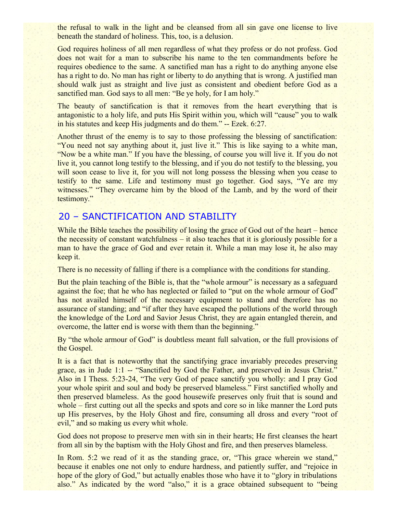the refusal to walk in the light and be cleansed from all sin gave one license to live beneath the standard of holiness. This, too, is a delusion.

God requires holiness of all men regardless of what they profess or do not profess. God does not wait for a man to subscribe his name to the ten commandments before he requires obedience to the same. A sanctified man has a right to do anything anyone else has a right to do. No man has right or liberty to do anything that is wrong. A justified man should walk just as straight and live just as consistent and obedient before God as a sanctified man. God says to all men: "Be ye holy, for I am holy."

The beauty of sanctification is that it removes from the heart everything that is antagonistic to a holy life, and puts His Spirit within you, which will "cause" you to walk in his statutes and keep His judgments and do them." -- Ezek. 6:27.

Another thrust of the enemy is to say to those professing the blessing of sanctification: "You need not say anything about it, just live it." This is like saying to a white man, "Now be a white man." If you have the blessing, of course you will live it. If you do not live it, you cannot long testify to the blessing, and if you do not testify to the blessing, you will soon cease to live it, for you will not long possess the blessing when you cease to testify to the same. Life and testimony must go together. God says, "Ye are my witnesses." "They overcame him by the blood of the Lamb, and by the word of their testimony."

# 20 – SANCTIFICATION AND STABILITY

While the Bible teaches the possibility of losing the grace of God out of the heart – hence the necessity of constant watchfulness – it also teaches that it is gloriously possible for a man to have the grace of God and ever retain it. While a man may lose it, he also may keep it.

There is no necessity of falling if there is a compliance with the conditions for standing.

But the plain teaching of the Bible is, that the "whole armour" is necessary as a safeguard against the foe; that he who has neglected or failed to "put on the whole armour of God" has not availed himself of the necessary equipment to stand and therefore has no assurance of standing; and "if after they have escaped the pollutions of the world through the knowledge of the Lord and Savior Jesus Christ, they are again entangled therein, and overcome, the latter end is worse with them than the beginning."

By "the whole armour of God" is doubtless meant full salvation, or the full provisions of the Gospel.

It is a fact that is noteworthy that the sanctifying grace invariably precedes preserving grace, as in Jude 1:1 -- "Sanctified by God the Father, and preserved in Jesus Christ." Also in I Thess. 5:23-24, "The very God of peace sanctify you wholly: and I pray God your whole spirit and soul and body be preserved blameless." First sanctified wholly and then preserved blameless. As the good housewife preserves only fruit that is sound and whole – first cutting out all the specks and spots and core so in like manner the Lord puts up His preserves, by the Holy Ghost and fire, consuming all dross and every "root of evil," and so making us every whit whole.

God does not propose to preserve men with sin in their hearts; He first cleanses the heart from all sin by the baptism with the Holy Ghost and fire, and then preserves blameless.

In Rom. 5:2 we read of it as the standing grace, or, "This grace wherein we stand," because it enables one not only to endure hardness, and patiently suffer, and "rejoice in hope of the glory of God," but actually enables those who have it to "glory in tribulations" also." As indicated by the word "also," it is a grace obtained subsequent to "being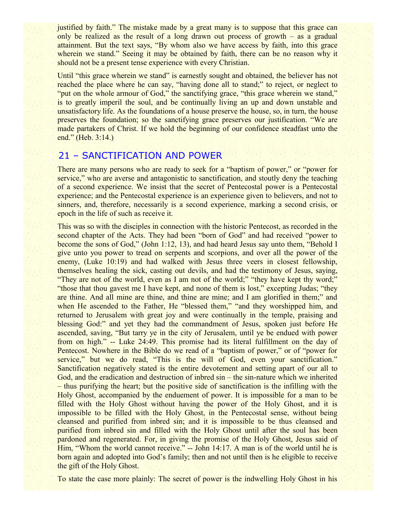justified by faith." The mistake made by a great many is to suppose that this grace can only be realized as the result of a long drawn out process of growth – as a gradual attainment. But the text says, "By whom also we have access by faith, into this grace wherein we stand." Seeing it may be obtained by faith, there can be no reason why it should not be a present tense experience with every Christian.

Until "this grace wherein we stand" is earnestly sought and obtained, the believer has not reached the place where he can say, "having done all to stand;" to reject, or neglect to "put on the whole armour of God," the sanctifying grace, "this grace wherein we stand," is to greatly imperil the soul, and be continually living an up and down unstable and unsatisfactory life. As the foundations of a house preserve the house, so, in turn, the house preserves the foundation; so the sanctifying grace preserves our justification. "We are made partakers of Christ. If we hold the beginning of our confidence steadfast unto the end." (Heb. 3:14.)

# 21 – SANCTIFICATION AND POWER

There are many persons who are ready to seek for a "baptism of power," or "power for service," who are averse and antagonistic to sanctification, and stoutly deny the teaching of a second experience. We insist that the secret of Pentecostal power is a Pentecostal experience; and the Pentecostal experience is an experience given to believers, and not to sinners, and, therefore, necessarily is a second experience, marking a second crisis, or epoch in the life of such as receive it.

This was so with the disciples in connection with the historic Pentecost, as recorded in the second chapter of the Acts. They had been "born of God" and had received "power to become the sons of God," (John 1:12, 13), and had heard Jesus say unto them, "Behold I give unto you power to tread on serpents and scorpions, and over all the power of the enemy, (Luke 10:19) and had walked with Jesus three veers in closest fellowship, themselves healing the sick, casting out devils, and had the testimony of Jesus, saying, "They are not of the world, even as I am not of the world;" "they have kept thy word;" "those that thou gavest me I have kept, and none of them is lost," excepting Judas; "they are thine. And all mine are thine, and thine are mine; and I am glorified in them;" and when He ascended to the Father, He "blessed them," "and they worshipped him, and returned to Jerusalem with great joy and were continually in the temple, praising and blessing God:" and yet they had the commandment of Jesus, spoken just before He ascended, saving, "But tarry ye in the city of Jerusalem, until ye be endued with power from on high." -- Luke 24:49. This promise had its literal fulfillment on the day of Pentecost. Nowhere in the Bible do we read of a "baptism of power," or of "power for service," but we do read, "This is the will of God, even your sanctification." Sanctification negatively stated is the entire devotement and setting apart of our all to God, and the eradication and destruction of inbred sin – the sin-nature which we inherited – thus purifying the heart; but the positive side of sanctification is the infilling with the Holy Ghost, accompanied by the enduement of power. It is impossible for a man to be filled with the Holy Ghost without having the power of the Holy Ghost, and it is impossible to be filled with the Holy Ghost, in the Pentecostal sense, without being cleansed and purified from inbred sin; and it is impossible to be thus cleansed and purified from inbred sin and filled with the Holy Ghost until after the soul has been pardoned and regenerated. For, in giving the promise of the Holy Ghost, Jesus said of Him, "Whom the world cannot receive." -- John 14:17. A man is of the world until he is born again and adopted into God's family; then and not until then is he eligible to receive the gift of the Holy Ghost.

To state the case more plainly: The secret of power is the indwelling Holy Ghost in his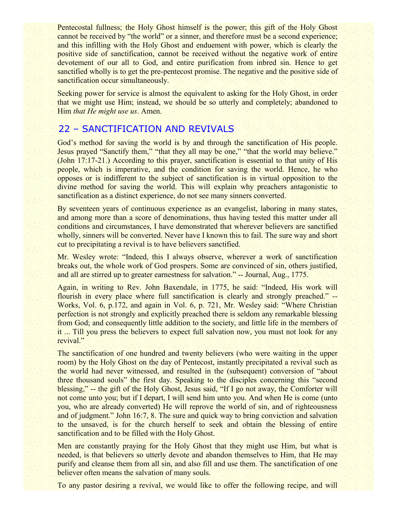Pentecostal fullness; the Holy Ghost himself is the power; this gift of the Holy Ghost cannot be received by "the world" or a sinner, and therefore must be a second experience; and this infilling with the Holy Ghost and enduement with power, which is clearly the positive side of sanctification, cannot be received without the negative work of entire devotement of our all to God, and entire purification from inbred sin. Hence to get sanctified wholly is to get the pre-pentecost promise. The negative and the positive side of sanctification occur simultaneously.

Seeking power for service is almost the equivalent to asking for the Holy Ghost, in order that we might use Him; instead, we should be so utterly and completely; abandoned to Him *that He might use us*. Amen.

# 22 – SANCTIFICATION AND REVIVALS

God's method for saving the world is by and through the sanctification of His people. Jesus prayed "Sanctify them," "that they all may be one," "that the world may believe." (John 17:17-21.) According to this prayer, sanctification is essential to that unity of His people, which is imperative, and the condition for saving the world. Hence, he who opposes or is indifferent to the subject of sanctification is in virtual opposition to the divine method for saving the world. This will explain why preachers antagonistic to sanctification as a distinct experience, do not see many sinners converted.

By seventeen years of continuous experience as an evangelist, laboring in many states, and among more than a score of denominations, thus having tested this matter under all conditions and circumstances, I have demonstrated that wherever believers are sanctified wholly, sinners will be converted. Never have I known this to fail. The sure way and short cut to precipitating a revival is to have believers sanctified.

Mr. Wesley wrote: "Indeed, this I always observe, wherever a work of sanctification breaks out, the whole work of God prospers. Some are convinced of sin, others justified, and all are stirred up to greater earnestness for salvation." -- Journal, Aug., 1775.

Again, in writing to Rev. John Baxendale, in 1775, he said: "Indeed, His work will flourish in every place where full sanctification is clearly and strongly preached." -- Works, Vol. 6, p.172, and again in Vol. 6, p. 721, Mr. Wesley said: "Where Christian perfection is not strongly and explicitly preached there is seldom any remarkable blessing from God; and consequently little addition to the society, and little life in the members of it ... Till you press the believers to expect full salvation now, you must not look for any revival."

The sanctification of one hundred and twenty believers (who were waiting in the upper room) by the Holy Ghost on the day of Pentecost, instantly precipitated a revival such as the world had never witnessed, and resulted in the (subsequent) conversion of "about three thousand souls" the first day. Speaking to the disciples concerning this "second blessing," -- the gift of the Holy Ghost, Jesus said, "If I go not away, the Comforter will not come unto you; but if I depart, I will send him unto you. And when He is come (unto you, who are already converted) He will reprove the world of sin, and of righteousness and of judgment." John 16:7, 8. The sure and quick way to bring conviction and salvation to the unsaved, is for the church herself to seek and obtain the blessing of entire sanctification and to be filled with the Holy Ghost.

Men are constantly praying for the Holy Ghost that they might use Him, but what is needed, is that believers so utterly devote and abandon themselves to Him, that He may purify and cleanse them from all sin, and also fill and use them. The sanctification of one believer often means the salvation of many souls.

To any pastor desiring a revival, we would like to offer the following recipe, and will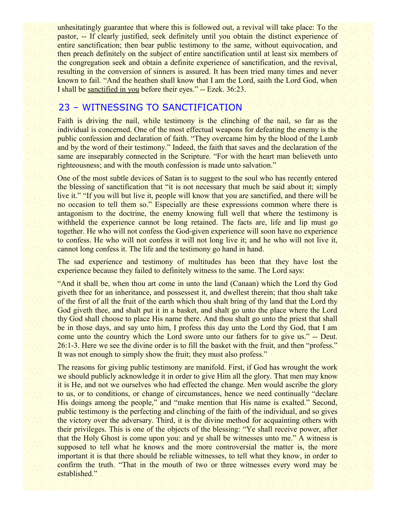unhesitatingly guarantee that where this is followed out, a revival will take place: To the pastor, -- If clearly justified, seek definitely until you obtain the distinct experience of entire sanctification; then bear public testimony to the same, without equivocation, and then preach definitely on the subject of entire sanctification until at least six members of the congregation seek and obtain a definite experience of sanctification, and the revival, resulting in the conversion of sinners is assured. It has been tried many times and never known to fail. "And the heathen shall know that I am the Lord, saith the Lord God, when I shall be sanctified in you before their eyes." -- Ezek. 36:23.

# 23 – WITNESSING TO SANCTIFICATION

Faith is driving the nail, while testimony is the clinching of the nail, so far as the individual is concerned. One of the most effectual weapons for defeating the enemy is the public confession and declaration of faith. "They overcame him by the blood of the Lamb and by the word of their testimony." Indeed, the faith that saves and the declaration of the same are inseparably connected in the Scripture. "For with the heart man believeth unto righteousness; and with the mouth confession is made unto salvation."

One of the most subtle devices of Satan is to suggest to the soul who has recently entered the blessing of sanctification that "it is not necessary that much be said about it; simply live it." "If you will but live it, people will know that you are sanctified, and there will be no occasion to tell them so." Especially are these expressions common where there is antagonism to the doctrine, the enemy knowing full well that where the testimony is withheld the experience cannot be long retained. The facts are, life and lip must go together. He who will not confess the God-given experience will soon have no experience to confess. He who will not confess it will not long live it; and he who will not live it, cannot long confess it. The life and the testimony go hand in hand.

The sad experience and testimony of multitudes has been that they have lost the experience because they failed to definitely witness to the same. The Lord says:

"And it shall be, when thou art come in unto the land (Canaan) which the Lord thy God giveth thee for an inheritance, and possessest it, and dwellest therein; that thou shalt take of the first of all the fruit of the earth which thou shalt bring of thy land that the Lord thy God giveth thee, and shalt put it in a basket, and shalt go unto the place where the Lord thy God shall choose to place His name there. And thou shalt go unto the priest that shall be in those days, and say unto him, I profess this day unto the Lord thy God, that I am come unto the country which the Lord swore unto our fathers for to give us." -- Deut. 26:1-3. Here we see the divine order is to fill the basket with the fruit, and then "profess." It was not enough to simply show the fruit; they must also profess."

The reasons for giving public testimony are manifold. First, if God has wrought the work we should publicly acknowledge it in order to give Him all the glory. That men may know it is He, and not we ourselves who had effected the change. Men would ascribe the glory to us, or to conditions, or change of circumstances, hence we need continually "declare His doings among the people," and "make mention that His name is exalted." Second, public testimony is the perfecting and clinching of the faith of the individual, and so gives the victory over the adversary. Third, it is the divine method for acquainting others with their privileges. This is one of the objects of the blessing: "Ye shall receive power, after that the Holy Ghost is come upon you: and ye shall be witnesses unto me." A witness is supposed to tell what he knows and the more controversial the matter is, the more important it is that there should be reliable witnesses, to tell what they know, in order to confirm the truth. "That in the mouth of two or three witnesses every word may be established."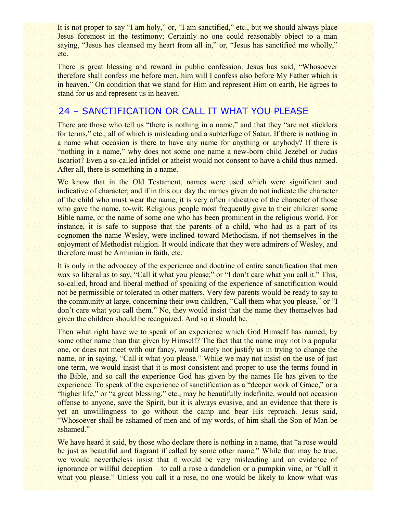It is not proper to say "I am holy," or, "I am sanctified," etc., but we should always place Jesus foremost in the testimony; Certainly no one could reasonably object to a man saying, "Jesus has cleansed my heart from all in," or, "Jesus has sanctified me wholly," etc.

There is great blessing and reward in public confession. Jesus has said, "Whosoever therefore shall confess me before men, him will I confess also before My Father which is in heaven." On condition that we stand for Him and represent Him on earth, He agrees to stand for us and represent us in heaven.

# 24 – SANCTIFICATION OR CALL IT WHAT YOU PLEASE

There are those who tell us "there is nothing in a name," and that they "are not sticklers" for terms," etc., all of which is misleading and a subterfuge of Satan. If there is nothing in a name what occasion is there to have any name for anything or anybody? If there is "nothing in a name," why does not some one name a new-born child Jezebel or Judas Iscariot? Even a so-called infidel or atheist would not consent to have a child thus named. After all, there is something in a name.

We know that in the Old Testament, names were used which were significant and indicative of character; and if in this our day the names given do not indicate the character of the child who must wear the name, it is very often indicative of the character of those who gave the name, to-wit: Religious people most frequently give to their children some Bible name, or the name of some one who has been prominent in the religious world. For instance, it is safe to suppose that the parents of a child, who had as a part of its cognomen the name Wesley, were inclined toward Methodism, if not themselves in the enjoyment of Methodist religion. It would indicate that they were admirers of Wesley, and therefore must be Arminian in faith, etc.

It is only in the advocacy of the experience and doctrine of entire sanctification that men wax so liberal as to say, "Call it what you please;" or "I don't care what you call it." This, so-called, broad and liberal method of speaking of the experience of sanctification would not be permissible or tolerated in other matters. Very few parents would be ready to say to the community at large, concerning their own children, "Call them what you please," or "I don't care what you call them." No, they would insist that the name they themselves had given the children should be recognized. And so it should be.

Then what right have we to speak of an experience which God Himself has named, by some other name than that given by Himself? The fact that the name may not b a popular one, or does not meet with our fancy, would surely not justify us in trying to change the name, or in saying, "Call it what you please." While we may not insist on the use of just one term, we would insist that it is most consistent and proper to use the terms found in the Bible, and so call the experience God has given by the names He has given to the experience. To speak of the experience of sanctification as a "deeper work of Grace," or a "higher life," or "a great blessing," etc., may be beautifully indefinite, would not occasion offense to anyone, save the Spirit, but it is always evasive, and an evidence that there is yet an unwillingness to go without the camp and bear His reproach. Jesus said, "Whosoever shall be ashamed of men and of my words, of him shall the Son of Man be ashamed."

We have heard it said, by those who declare there is nothing in a name, that "a rose would" be just as beautiful and fragrant if called by some other name." While that may be true, we would nevertheless insist that it would be very misleading and an evidence of ignorance or willful deception – to call a rose a dandelion or a pumpkin vine, or "Call it what you please." Unless you call it a rose, no one would be likely to know what was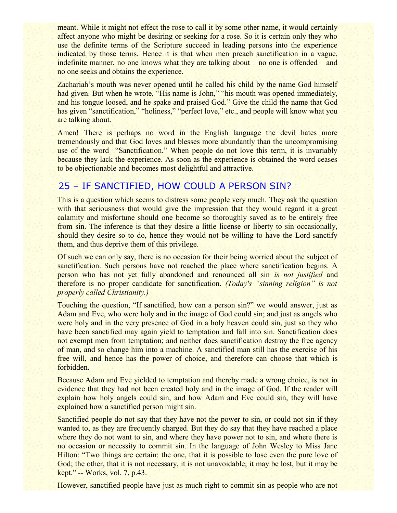meant. While it might not effect the rose to call it by some other name, it would certainly affect anyone who might be desiring or seeking for a rose. So it is certain only they who use the definite terms of the Scripture succeed in leading persons into the experience indicated by those terms. Hence it is that when men preach sanctification in a vague, indefinite manner, no one knows what they are talking about – no one is offended – and no one seeks and obtains the experience.

Zachariah's mouth was never opened until he called his child by the name God himself had given. But when he wrote, "His name is John," "his mouth was opened immediately, and his tongue loosed, and he spake and praised God." Give the child the name that God has given "sanctification," "holiness," "perfect love," etc., and people will know what you are talking about.

Amen! There is perhaps no word in the English language the devil hates more tremendously and that God loves and blesses more abundantly than the uncompromising use of the word "Sanctification." When people do not love this term, it is invariably because they lack the experience. As soon as the experience is obtained the word ceases to be objectionable and becomes most delightful and attractive.

# 25 – IF SANCTIFIED, HOW COULD A PERSON SIN?

This is a question which seems to distress some people very much. They ask the question with that seriousness that would give the impression that they would regard it a great calamity and misfortune should one become so thoroughly saved as to be entirely free from sin. The inference is that they desire a little license or liberty to sin occasionally, should they desire so to do, hence they would not be willing to have the Lord sanctify them, and thus deprive them of this privilege.

Of such we can only say, there is no occasion for their being worried about the subject of sanctification. Such persons have not reached the place where sanctification begins. A person who has not yet fully abandoned and renounced all sin *is not justified* and therefore is no proper candidate for sanctification. *(Today's "sinning religion" is not properly called Christianity.)*

Touching the question, "If sanctified, how can a person sin?" we would answer, just as Adam and Eve, who were holy and in the image of God could sin; and just as angels who were holy and in the very presence of God in a holy heaven could sin, just so they who have been sanctified may again yield to temptation and fall into sin. Sanctification does not exempt men from temptation; and neither does sanctification destroy the free agency of man, and so change him into a machine. A sanctified man still has the exercise of his free will, and hence has the power of choice, and therefore can choose that which is forbidden.

Because Adam and Eve yielded to temptation and thereby made a wrong choice, is not in evidence that they had not been created holy and in the image of God. If the reader will explain how holy angels could sin, and how Adam and Eve could sin, they will have explained how a sanctified person might sin.

Sanctified people do not say that they have not the power to sin, or could not sin if they wanted to, as they are frequently charged. But they do say that they have reached a place where they do not want to sin, and where they have power not to sin, and where there is no occasion or necessity to commit sin. In the language of John Wesley to Miss Jane Hilton: "Two things are certain: the one, that it is possible to lose even the pure love of God; the other, that it is not necessary, it is not unavoidable; it may be lost, but it may be kept." -- Works, vol. 7, p.43.

However, sanctified people have just as much right to commit sin as people who are not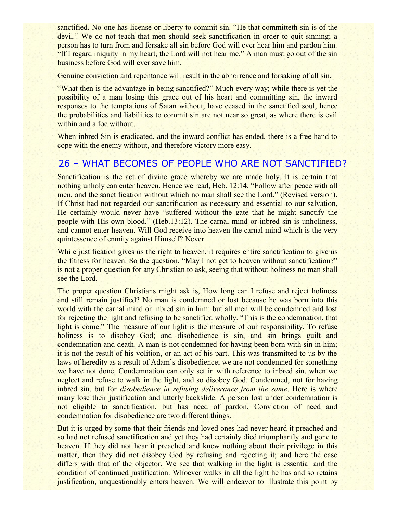sanctified. No one has license or liberty to commit sin. "He that committeth sin is of the devil." We do not teach that men should seek sanctification in order to quit sinning; a person has to turn from and forsake all sin before God will ever hear him and pardon him. "If I regard iniquity in my heart, the Lord will not hear me." A man must go out of the sin business before God will ever save him.

Genuine conviction and repentance will result in the abhorrence and forsaking of all sin.

"What then is the advantage in being sanctified?" Much every way; while there is yet the possibility of a man losing this grace out of his heart and committing sin, the inward responses to the temptations of Satan without, have ceased in the sanctified soul, hence the probabilities and liabilities to commit sin are not near so great, as where there is evil within and a foe without.

When inbred Sin is eradicated, and the inward conflict has ended, there is a free hand to cope with the enemy without, and therefore victory more easy.

## 26 – WHAT BECOMES OF PEOPLE WHO ARE NOT SANCTIFIED?

Sanctification is the act of divine grace whereby we are made holy. It is certain that nothing unholy can enter heaven. Hence we read, Heb. 12:14, "Follow after peace with all men, and the sanctification without which no man shall see the Lord." (Revised version). If Christ had not regarded our sanctification as necessary and essential to our salvation, He certainly would never have "suffered without the gate that he might sanctify the people with His own blood." (Heb.13:12). The carnal mind or inbred sin is unholiness, and cannot enter heaven. Will God receive into heaven the carnal mind which is the very quintessence of enmity against Himself? Never.

While justification gives us the right to heaven, it requires entire sanctification to give us the fitness for heaven. So the question, "May I not get to heaven without sanctification?" is not a proper question for any Christian to ask, seeing that without holiness no man shall see the Lord.

The proper question Christians might ask is, How long can I refuse and reject holiness and still remain justified? No man is condemned or lost because he was born into this world with the carnal mind or inbred sin in him: but all men will be condemned and lost for rejecting the light and refusing to be sanctified wholly. "This is the condemnation, that light is come." The measure of our light is the measure of our responsibility. To refuse holiness is to disobey God; and disobedience is sin, and sin brings guilt and condemnation and death. A man is not condemned for having been born with sin in him; it is not the result of his volition, or an act of his part. This was transmitted to us by the laws of heredity as a result of Adam's disobedience; we are not condemned for something we have not done. Condemnation can only set in with reference to inbred sin, when we neglect and refuse to walk in the light, and so disobey God. Condemned, not for having inbred sin, but for *disobedience in refusing deliverance from the same*. Here is where many lose their justification and utterly backslide. A person lost under condemnation is not eligible to sanctification, but has need of pardon. Conviction of need and condemnation for disobedience are two different things.

But it is urged by some that their friends and loved ones had never heard it preached and so had not refused sanctification and yet they had certainly died triumphantly and gone to heaven. If they did not hear it preached and knew nothing about their privilege in this matter, then they did not disobey God by refusing and rejecting it; and here the case differs with that of the objector. We see that walking in the light is essential and the condition of continued justification. Whoever walks in all the light he has and so retains justification, unquestionably enters heaven. We will endeavor to illustrate this point by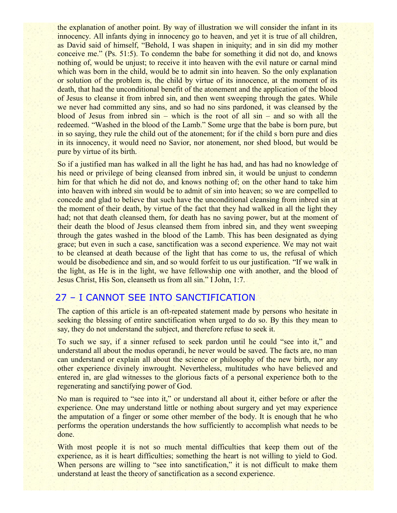the explanation of another point. By way of illustration we will consider the infant in its innocency. All infants dying in innocency go to heaven, and yet it is true of all children, as David said of himself, "Behold, I was shapen in iniquity; and in sin did my mother conceive me." (Ps. 51:5). To condemn the babe for something it did not do, and knows nothing of, would be unjust; to receive it into heaven with the evil nature or carnal mind which was born in the child, would be to admit sin into heaven. So the only explanation or solution of the problem is, the child by virtue of its innocence, at the moment of its death, that had the unconditional benefit of the atonement and the application of the blood of Jesus to cleanse it from inbred sin, and then went sweeping through the gates. While we never had committed any sins, and so had no sins pardoned, it was cleansed by the blood of Jesus from inbred sin – which is the root of all sin – and so with all the redeemed. "Washed in the blood of the Lamb." Some urge that the babe is born pure, but in so saying, they rule the child out of the atonement; for if the child s born pure and dies in its innocency, it would need no Savior, nor atonement, nor shed blood, but would be pure by virtue of its birth.

So if a justified man has walked in all the light he has had, and has had no knowledge of his need or privilege of being cleansed from inbred sin, it would be unjust to condemn him for that which he did not do, and knows nothing of; on the other hand to take him into heaven with inbred sin would be to admit of sin into heaven; so we are compelled to concede and glad to believe that such have the unconditional cleansing from inbred sin at the moment of their death, by virtue of the fact that they had walked in all the light they had; not that death cleansed them, for death has no saving power, but at the moment of their death the blood of Jesus cleansed them from inbred sin, and they went sweeping through the gates washed in the blood of the Lamb. This has been designated as dying grace; but even in such a case, sanctification was a second experience. We may not wait to be cleansed at death because of the light that has come to us, the refusal of which would be disobedience and sin, and so would forfeit to us our justification. "If we walk in the light, as He is in the light, we have fellowship one with another, and the blood of Jesus Christ, His Son, cleanseth us from all sin." I John, 1:7.

# 27 – I CANNOT SEE INTO SANCTIFICATION

The caption of this article is an oft-repeated statement made by persons who hesitate in seeking the blessing of entire sanctification when urged to do so. By this they mean to say, they do not understand the subject, and therefore refuse to seek it.

To such we say, if a sinner refused to seek pardon until he could "see into it," and understand all about the modus operandi, he never would be saved. The facts are, no man can understand or explain all about the science or philosophy of the new birth, nor any other experience divinely inwrought. Nevertheless, multitudes who have believed and entered in, are glad witnesses to the glorious facts of a personal experience both to the regenerating and sanctifying power of God.

No man is required to "see into it," or understand all about it, either before or after the experience. One may understand little or nothing about surgery and yet may experience the amputation of a finger or some other member of the body. It is enough that he who performs the operation understands the how sufficiently to accomplish what needs to be done.

With most people it is not so much mental difficulties that keep them out of the experience, as it is heart difficulties; something the heart is not willing to yield to God. When persons are willing to "see into sanctification," it is not difficult to make them understand at least the theory of sanctification as a second experience.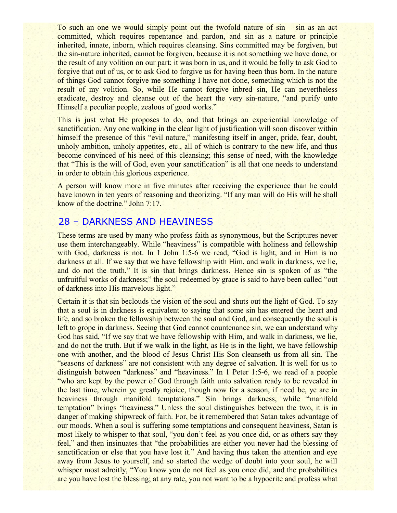To such an one we would simply point out the twofold nature of sin – sin as an act committed, which requires repentance and pardon, and sin as a nature or principle inherited, innate, inborn, which requires cleansing. Sins committed may be forgiven, but the sin-nature inherited, cannot be forgiven, because it is not something we have done, or the result of any volition on our part; it was born in us, and it would be folly to ask God to forgive that out of us, or to ask God to forgive us for having been thus born. In the nature of things God cannot forgive me something I have not done, something which is not the result of my volition. So, while He cannot forgive inbred sin, He can nevertheless eradicate, destroy and cleanse out of the heart the very sin-nature, "and purify unto Himself a peculiar people, zealous of good works."

This is just what He proposes to do, and that brings an experiential knowledge of sanctification. Any one walking in the clear light of justification will soon discover within himself the presence of this "evil nature," manifesting itself in anger, pride, fear, doubt, unholy ambition, unholy appetites, etc., all of which is contrary to the new life, and thus become convinced of his need of this cleansing; this sense of need, with the knowledge that "This is the will of God, even your sanctification" is all that one needs to understand in order to obtain this glorious experience.

A person will know more in five minutes after receiving the experience than he could have known in ten years of reasoning and theorizing. "If any man will do His will he shall know of the doctrine." John 7:17.

# 28 – DARKNESS AND HEAVINESS

These terms are used by many who profess faith as synonymous, but the Scriptures never use them interchangeably. While "heaviness" is compatible with holiness and fellowship with God, darkness is not. In 1 John 1:5-6 we read, "God is light, and in Him is no darkness at all. If we say that we have fellowship with Him, and walk in darkness, we lie, and do not the truth." It is sin that brings darkness. Hence sin is spoken of as "the unfruitful works of darkness;" the soul redeemed by grace is said to have been called "out of darkness into His marvelous light."

Certain it is that sin beclouds the vision of the soul and shuts out the light of God. To say that a soul is in darkness is equivalent to saying that some sin has entered the heart and life, and so broken the fellowship between the soul and God, and consequently the soul is left to grope in darkness. Seeing that God cannot countenance sin, we can understand why God has said, "If we say that we have fellowship with Him, and walk in darkness, we lie, and do not the truth. But if we walk in the light, as He is in the light, we have fellowship one with another, and the blood of Jesus Christ His Son cleanseth us from all sin. The "seasons of darkness" are not consistent with any degree of salvation. It is well for us to distinguish between "darkness" and "heaviness." In 1 Peter 1:5-6, we read of a people "who are kept by the power of God through faith unto salvation ready to be revealed in the last time, wherein ye greatly rejoice, though now for a season, if need be, ye are in heaviness through manifold temptations." Sin brings darkness, while "manifold temptation" brings "heaviness." Unless the soul distinguishes between the two, it is in danger of making shipwreck of faith. For, be it remembered that Satan takes advantage of our moods. When a soul is suffering some temptations and consequent heaviness, Satan is most likely to whisper to that soul, "you don't feel as you once did, or as others say they feel," and then insinuates that "the probabilities are either you never had the blessing of sanctification or else that you have lost it." And having thus taken the attention and eye away from Jesus to yourself, and so started the wedge of doubt into your soul, he will whisper most adroitly, "You know you do not feel as you once did, and the probabilities are you have lost the blessing; at any rate, you not want to be a hypocrite and profess what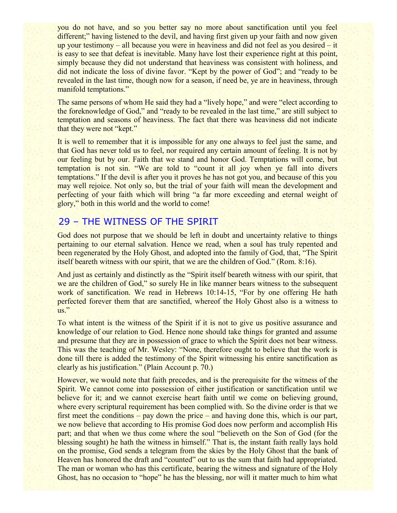you do not have, and so you better say no more about sanctification until you feel different;" having listened to the devil, and having first given up your faith and now given up your testimony – all because you were in heaviness and did not feel as you desired – it is easy to see that defeat is inevitable. Many have lost their experience right at this point, simply because they did not understand that heaviness was consistent with holiness, and did not indicate the loss of divine favor. "Kept by the power of God"; and "ready to be revealed in the last time, though now for a season, if need be, ye are in heaviness, through manifold temptations."

The same persons of whom He said they had a "lively hope," and were "elect according to the foreknowledge of God," and "ready to be revealed in the last time," are still subject to temptation and seasons of heaviness. The fact that there was heaviness did not indicate that they were not "kept."

It is well to remember that it is impossible for any one always to feel just the same, and that God has never told us to feel, nor required any certain amount of feeling. It is not by our feeling but by our. Faith that we stand and honor God. Temptations will come, but temptation is not sin. "We are told to "count it all joy when ye fall into divers temptations." If the devil is after you it proves he has not got you, and because of this you may well rejoice. Not only so, but the trial of your faith will mean the development and perfecting of your faith which will bring "a far more exceeding and eternal weight of glory," both in this world and the world to come!

# 29 – THE WITNESS OF THE SPIRIT

God does not purpose that we should be left in doubt and uncertainty relative to things pertaining to our eternal salvation. Hence we read, when a soul has truly repented and been regenerated by the Holy Ghost, and adopted into the family of God, that, "The Spirit itself beareth witness with our spirit, that we are the children of God." (Rom. 8:16).

And just as certainly and distinctly as the "Spirit itself beareth witness with our spirit, that we are the children of God," so surely He in like manner bears witness to the subsequent work of sanctification. We read in Hebrews 10:14-15, "For by one offering He hath perfected forever them that are sanctified, whereof the Holy Ghost also is a witness to us."

To what intent is the witness of the Spirit if it is not to give us positive assurance and knowledge of our relation to God. Hence none should take things for granted and assume and presume that they are in possession of grace to which the Spirit does not bear witness. This was the teaching of Mr. Wesley: "None, therefore ought to believe that the work is done till there is added the testimony of the Spirit witnessing his entire sanctification as clearly as his justification." (Plain Account p. 70.)

However, we would note that faith precedes, and is the prerequisite for the witness of the Spirit. We cannot come into possession of either justification or sanctification until we believe for it; and we cannot exercise heart faith until we come on believing ground, where every scriptural requirement has been complied with. So the divine order is that we first meet the conditions – pay down the price – and having done this, which is our part, we now believe that according to His promise God does now perform and accomplish His part; and that when we thus come where the soul "believeth on the Son of God (for the blessing sought) he hath the witness in himself." That is, the instant faith really lays hold on the promise, God sends a telegram from the skies by the Holy Ghost that the bank of Heaven has honored the draft and "counted" out to us the sum that faith had appropriated. The man or woman who has this certificate, bearing the witness and signature of the Holy Ghost, has no occasion to "hope" he has the blessing, nor will it matter much to him what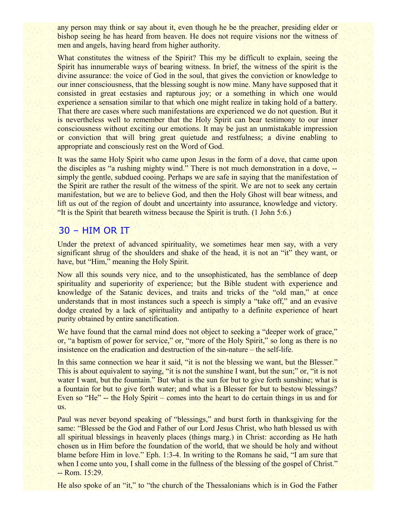any person may think or say about it, even though he be the preacher, presiding elder or bishop seeing he has heard from heaven. He does not require visions nor the witness of men and angels, having heard from higher authority.

What constitutes the witness of the Spirit? This my be difficult to explain, seeing the Spirit has innumerable ways of bearing witness. In brief, the witness of the spirit is the divine assurance: the voice of God in the soul, that gives the conviction or knowledge to our inner consciousness, that the blessing sought is now mine. Many have supposed that it consisted in great ecstasies and rapturous joy; or a something in which one would experience a sensation similar to that which one might realize in taking hold of a battery. That there are cases where such manifestations are experienced we do not question. But it is nevertheless well to remember that the Holy Spirit can bear testimony to our inner consciousness without exciting our emotions. It may be just an unmistakable impression or conviction that will bring great quietude and restfulness; a divine enabling to appropriate and consciously rest on the Word of God.

It was the same Holy Spirit who came upon Jesus in the form of a dove, that came upon the disciples as "a rushing mighty wind." There is not much demonstration in a dove, - simply the gentle, subdued cooing. Perhaps we are safe in saying that the manifestation of the Spirit are rather the result of the witness of the spirit. We are not to seek any certain manifestation, but we are to believe God, and then the Holy Ghost will bear witness, and lift us out of the region of doubt and uncertainty into assurance, knowledge and victory. "It is the Spirit that beareth witness because the Spirit is truth. (1 John 5:6.)

# 30 – HIM OR IT

Under the pretext of advanced spirituality, we sometimes hear men say, with a very significant shrug of the shoulders and shake of the head, it is not an "it" they want, or have, but "Him," meaning the Holy Spirit.

Now all this sounds very nice, and to the unsophisticated, has the semblance of deep spirituality and superiority of experience; but the Bible student with experience and knowledge of the Satanic devices, and traits and tricks of the "old man," at once understands that in most instances such a speech is simply a "take off," and an evasive dodge created by a lack of spirituality and antipathy to a definite experience of heart purity obtained by entire sanctification.

We have found that the carnal mind does not object to seeking a "deeper work of grace," or, "a baptism of power for service," or, "more of the Holy Spirit," so long as there is no insistence on the eradication and destruction of the sin-nature – the self-life.

In this same connection we hear it said, "it is not the blessing we want, but the Blesser." This is about equivalent to saying, "it is not the sunshine I want, but the sun;" or, "it is not water I want, but the fountain." But what is the sun for but to give forth sunshine; what is a fountain for but to give forth water; and what is a Blesser for but to bestow blessings? Even so "He" -- the Holy Spirit – comes into the heart to do certain things in us and for us.

Paul was never beyond speaking of "blessings," and burst forth in thanksgiving for the same: "Blessed be the God and Father of our Lord Jesus Christ, who hath blessed us with all spiritual blessings in heavenly places (things marg.) in Christ: according as He hath chosen us in Him before the foundation of the world, that we should be holy and without blame before Him in love." Eph. 1:3-4. In writing to the Romans he said, "I am sure that when I come unto you, I shall come in the fullness of the blessing of the gospel of Christ." -- Rom. 15:29.

He also spoke of an "it," to "the church of the Thessalonians which is in God the Father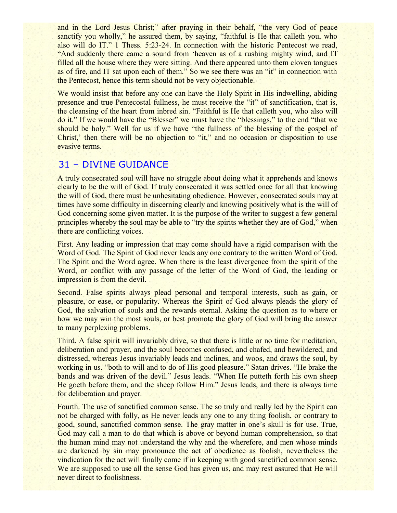and in the Lord Jesus Christ;" after praying in their behalf, "the very God of peace sanctify you wholly," he assured them, by saying, "faithful is He that calleth you, who also will do IT." 1 Thess. 5:23-24. In connection with the historic Pentecost we read, "And suddenly there came a sound from 'heaven as of a rushing mighty wind, and IT filled all the house where they were sitting. And there appeared unto them cloven tongues as of fire, and IT sat upon each of them." So we see there was an "it" in connection with the Pentecost, hence this term should not be very objectionable.

We would insist that before any one can have the Holy Spirit in His indwelling, abiding presence and true Pentecostal fullness, he must receive the "it" of sanctification, that is, the cleansing of the heart from inbred sin. "Faithful is He that calleth you, who also will do it." If we would have the "Blesser" we must have the "blessings," to the end "that we should be holy." Well for us if we have "the fullness of the blessing of the gospel of Christ,' then there will be no objection to "it," and no occasion or disposition to use evasive terms.

## 31 – DIVINE GUIDANCE

A truly consecrated soul will have no struggle about doing what it apprehends and knows clearly to be the will of God. If truly consecrated it was settled once for all that knowing the will of God, there must be unhesitating obedience. However, consecrated souls may at times have some difficulty in discerning clearly and knowing positively what is the will of God concerning some given matter. It is the purpose of the writer to suggest a few general principles whereby the soul may be able to "try the spirits whether they are of God," when there are conflicting voices.

First. Any leading or impression that may come should have a rigid comparison with the Word of God. The Spirit of God never leads any one contrary to the written Word of God. The Spirit and the Word agree. When there is the least divergence from the spirit of the Word, or conflict with any passage of the letter of the Word of God, the leading or impression is from the devil.

Second. False spirits always plead personal and temporal interests, such as gain, or pleasure, or ease, or popularity. Whereas the Spirit of God always pleads the glory of God, the salvation of souls and the rewards eternal. Asking the question as to where or how we may win the most souls, or best promote the glory of God will bring the answer to many perplexing problems.

Third. A false spirit will invariably drive, so that there is little or no time for meditation, deliberation and prayer, and the soul becomes confused, and chafed, and bewildered, and distressed, whereas Jesus invariably leads and inclines, and woos, and draws the soul, by working in us. "both to will and to do of His good pleasure." Satan drives. "He brake the bands and was driven of the devil." Jesus leads. "When He putteth forth his own sheep He goeth before them, and the sheep follow Him." Jesus leads, and there is always time for deliberation and prayer.

Fourth. The use of sanctified common sense. The so truly and really led by the Spirit can not be charged with folly, as He never leads any one to any thing foolish, or contrary to good, sound, sanctified common sense. The gray matter in one's skull is for use. True, God may call a man to do that which is above or beyond human comprehension, so that the human mind may not understand the why and the wherefore, and men whose minds are darkened by sin may pronounce the act of obedience as foolish, nevertheless the vindication for the act will finally come if in keeping with good sanctified common sense. We are supposed to use all the sense God has given us, and may rest assured that He will never direct to foolishness.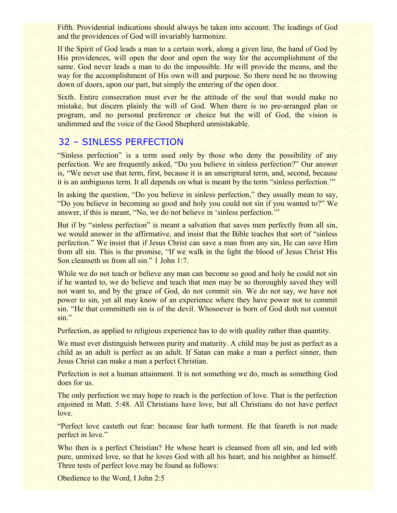Fifth. Providential indications should always be taken into account. The leadings of God and the providences of God will invariably harmonize.

If the Spirit of God leads a man to a certain work, along a given line, the hand of God by His providences, will open the door and open the way for the accomplishment of the same. God never leads a man to do the impossible. He will provide the means, and the way for the accomplishment of His own will and purpose. So there need be no throwing down of doors, upon our part, but simply the entering of the open door.

Sixth. Entire consecration must ever be the attitude of the soul that would make no mistake, but discern plainly the will of God. When there is no pre-arranged plan or program, and no personal preference or choice but the will of God, the vision is undimmed and the voice of the Good Shepherd unmistakable.

# 32 – SINLESS PERFECTION

"Sinless perfection" is a term used only by those who deny the possibility of any perfection. We are frequently asked, "Do you believe in sinless perfection?" Our answer is, "We never use that term, first, because it is an unscriptural term, and, second, because it is an ambiguous term. It all depends on what is meant by the term "sinless perfection.'"

In asking the question, "Do you believe in sinless perfection," they usually mean to say, "Do you believe in becoming so good and holy you could not sin if you wanted to?" We answer, if this is meant, "No, we do not believe in 'sinless perfection.'"

But if by "sinless perfection" is meant a salvation that saves men perfectly from all sin, we would answer in the affirmative, and insist that the Bible teaches that sort of "sinless perfection." We insist that if Jesus Christ can save a man from any sin, He can save Him from all sin. This is the promise, "If we walk in the light the blood of Jesus Christ His Son cleanseth us from all sin." 1 John 1:7.

While we do not teach or believe any man can become so good and holy he could not sin if he wanted to, we do believe and teach that men may be so thoroughly saved they will not want to, and by the grace of God, do not commit sin. We do not say, we have not power to sin, yet all may know of an experience where they have power not to commit sin. "He that committeth sin is of the devil. Whosoever is born of God doth not commit sin."

Perfection, as applied to religious experience has to do with quality rather than quantity.

We must ever distinguish between purity and maturity. A child may be just as perfect as a child as an adult is perfect as an adult. If Satan can make a man a perfect sinner, then Jesus Christ can make a man a perfect Christian.

Perfection is not a human attainment. It is not something we do, much as something God does for us.

The only perfection we may hope to reach is the perfection of love. That is the perfection enjoined in Matt. 5:48. All Christians have love, but all Christians do not have perfect love.

"Perfect love casteth out fear: because fear hath torment. He that feareth is not made perfect in love."

Who then is a perfect Christian? He whose heart is cleansed from all sin, and led with pure, unmixed love, so that he loves God with all his heart, and his neighbor as himself. Three tests of perfect love may be found as follows:

Obedience to the Word, I John 2:5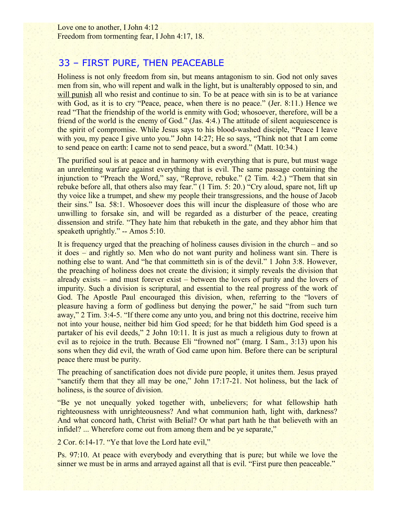Love one to another, I John 4:12 Freedom from tormenting fear, I John 4:17, 18.

# 33 – FIRST PURE, THEN PEACEABLE

Holiness is not only freedom from sin, but means antagonism to sin. God not only saves men from sin, who will repent and walk in the light, but is unalterably opposed to sin, and will punish all who resist and continue to sin. To be at peace with sin is to be at variance with God, as it is to cry "Peace, peace, when there is no peace." (Jer. 8:11.) Hence we read "That the friendship of the world is enmity with God; whosoever, therefore, will be a friend of the world is the enemy of God." (Jas. 4:4.) The attitude of silent acquiescence is the spirit of compromise. While Jesus says to his blood-washed disciple, "Peace I leave with you, my peace I give unto you." John 14:27; He so says, "Think not that I am come to send peace on earth: I came not to send peace, but a sword." (Matt. 10:34.)

The purified soul is at peace and in harmony with everything that is pure, but must wage an unrelenting warfare against everything that is evil. The same passage containing the injunction to "Preach the Word," say, "Reprove, rebuke." (2 Tim. 4:2.) "Them that sin rebuke before all, that others also may fear." (1 Tim. 5: 20.) "Cry aloud, spare not, lift up thy voice like a trumpet, and shew my people their transgressions, and the house of Jacob their sins." Isa. 58:1. Whosoever does this will incur the displeasure of those who are unwilling to forsake sin, and will be regarded as a disturber of the peace, creating dissension and strife. "They hate him that rebuketh in the gate, and they abhor him that speaketh uprightly." -- Amos 5:10.

It is frequency urged that the preaching of holiness causes division in the church – and so it does – and rightly so. Men who do not want purity and holiness want sin. There is nothing else to want. And "he that committeth sin is of the devil." 1 John 3:8. However, the preaching of holiness does not create the division; it simply reveals the division that already exists – and must forever exist – between the lovers of purity and the lovers of impurity. Such a division is scriptural, and essential to the real progress of the work of God. The Apostle Paul encouraged this division, when, referring to the "lovers of pleasure having a form of godliness but denying the power," he said "from such turn away," 2 Tim. 3:4-5. "If there come any unto you, and bring not this doctrine, receive him not into your house, neither bid him God speed; for he that biddeth him God speed is a partaker of his evil deeds," 2 John 10:11. It is just as much a religious duty to frown at evil as to rejoice in the truth. Because Eli "frowned not" (marg. I Sam., 3:13) upon his sons when they did evil, the wrath of God came upon him. Before there can be scriptural peace there must be purity.

The preaching of sanctification does not divide pure people, it unites them. Jesus prayed "sanctify them that they all may be one," John 17:17-21. Not holiness, but the lack of holiness, is the source of division.

"Be ye not unequally yoked together with, unbelievers; for what fellowship hath righteousness with unrighteousness? And what communion hath, light with, darkness? And what concord hath, Christ with Belial? Or what part hath he that believeth with an infidel? ... Wherefore come out from among them and be ye separate,"

2 Cor. 6:14-17. "Ye that love the Lord hate evil,"

Ps. 97:10. At peace with everybody and everything that is pure; but while we love the sinner we must be in arms and arrayed against all that is evil. "First pure then peaceable."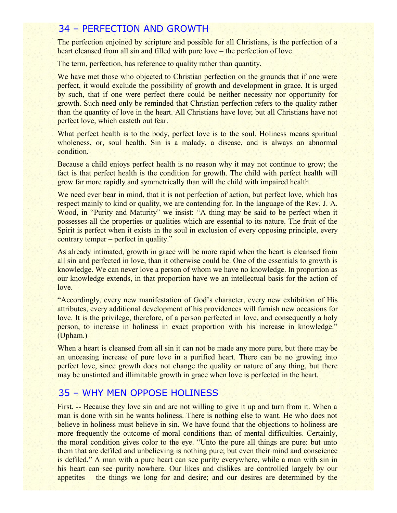# 34 – PERFECTION AND GROWTH

The perfection enjoined by scripture and possible for all Christians, is the perfection of a heart cleansed from all sin and filled with pure love – the perfection of love.

The term, perfection, has reference to quality rather than quantity.

We have met those who objected to Christian perfection on the grounds that if one were perfect, it would exclude the possibility of growth and development in grace. It is urged by such, that if one were perfect there could be neither necessity nor opportunity for growth. Such need only be reminded that Christian perfection refers to the quality rather than the quantity of love in the heart. All Christians have love; but all Christians have not perfect love, which casteth out fear.

What perfect health is to the body, perfect love is to the soul. Holiness means spiritual wholeness, or, soul health. Sin is a malady, a disease, and is always an abnormal condition.

Because a child enjoys perfect health is no reason why it may not continue to grow; the fact is that perfect health is the condition for growth. The child with perfect health will grow far more rapidly and symmetrically than will the child with impaired health.

We need ever bear in mind, that it is not perfection of action, but perfect love, which has respect mainly to kind or quality, we are contending for. In the language of the Rev. J. A. Wood, in "Purity and Maturity" we insist: "A thing may be said to be perfect when it possesses all the properties or qualities which are essential to its nature. The fruit of the Spirit is perfect when it exists in the soul in exclusion of every opposing principle, every contrary temper – perfect in quality."

As already intimated, growth in grace will be more rapid when the heart is cleansed from all sin and perfected in love, than it otherwise could be. One of the essentials to growth is knowledge. We can never love a person of whom we have no knowledge. In proportion as our knowledge extends, in that proportion have we an intellectual basis for the action of love.

"Accordingly, every new manifestation of God's character, every new exhibition of His attributes, every additional development of his providences will furnish new occasions for love. It is the privilege, therefore, of a person perfected in love, and consequently a holy person, to increase in holiness in exact proportion with his increase in knowledge." (Upham.)

When a heart is cleansed from all sin it can not be made any more pure, but there may be an unceasing increase of pure love in a purified heart. There can be no growing into perfect love, since growth does not change the quality or nature of any thing, but there may be unstinted and illimitable growth in grace when love is perfected in the heart.

# 35 – WHY MEN OPPOSE HOLINESS

First. -- Because they love sin and are not willing to give it up and turn from it. When a man is done with sin he wants holiness. There is nothing else to want. He who does not believe in holiness must believe in sin. We have found that the objections to holiness are more frequently the outcome of moral conditions than of mental difficulties. Certainly, the moral condition gives color to the eye. "Unto the pure all things are pure: but unto them that are defiled and unbelieving is nothing pure; but even their mind and conscience is defiled." A man with a pure heart can see purity everywhere, while a man with sin in his heart can see purity nowhere. Our likes and dislikes are controlled largely by our appetites – the things we long for and desire; and our desires are determined by the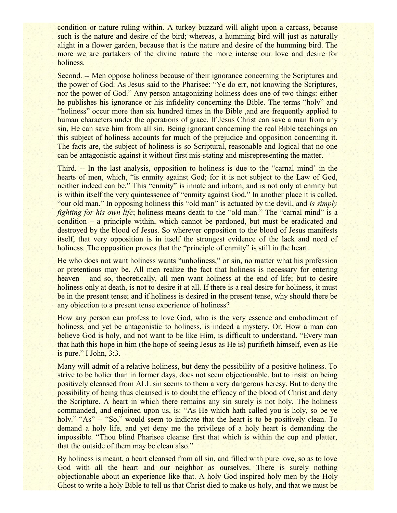condition or nature ruling within. A turkey buzzard will alight upon a carcass, because such is the nature and desire of the bird; whereas, a humming bird will just as naturally alight in a flower garden, because that is the nature and desire of the humming bird. The more we are partakers of the divine nature the more intense our love and desire for holiness.

Second. -- Men oppose holiness because of their ignorance concerning the Scriptures and the power of God. As Jesus said to the Pharisee: "Ye do err, not knowing the Scriptures, nor the power of God." Any person antagonizing holiness does one of two things: either he publishes his ignorance or his infidelity concerning the Bible. The terms "holy" and "holiness" occur more than six hundred times in the Bible ,and are frequently applied to human characters under the operations of grace. If Jesus Christ can save a man from any sin, He can save him from all sin. Being ignorant concerning the real Bible teachings on this subject of holiness accounts for much of the prejudice and opposition concerning it. The facts are, the subject of holiness is so Scriptural, reasonable and logical that no one can be antagonistic against it without first mis-stating and misrepresenting the matter.

Third. -- In the last analysis, opposition to holiness is due to the "carnal mind' in the hearts of men, which, "is enmity against God; for it is not subject to the Law of God, neither indeed can be." This "enmity" is innate and inborn, and is not only at enmity but is within itself the very quintessence of "enmity against God." In another place it is called, "our old man." In opposing holiness this "old man" is actuated by the devil, and *is simply fighting for his own life*; holiness means death to the "old man." The "carnal mind" is a condition – a principle within, which cannot be pardoned, but must be eradicated and destroyed by the blood of Jesus. So wherever opposition to the blood of Jesus manifests itself, that very opposition is in itself the strongest evidence of the lack and need of holiness. The opposition proves that the "principle of enmity" is still in the heart.

He who does not want holiness wants "unholiness," or sin, no matter what his profession or pretentious may be. All men realize the fact that holiness is necessary for entering heaven – and so, theoretically, all men want holiness at the end of life; but to desire holiness only at death, is not to desire it at all. If there is a real desire for holiness, it must be in the present tense; and if holiness is desired in the present tense, why should there be any objection to a present tense experience of holiness?

How any person can profess to love God, who is the very essence and embodiment of holiness, and yet be antagonistic to holiness, is indeed a mystery. Or. How a man can believe God is holy, and not want to be like Him, is difficult to understand. "Every man that hath this hope in him (the hope of seeing Jesus as He is) purifieth himself, even as He is pure." I John, 3:3.

Many will admit of a relative holiness, but deny the possibility of a positive holiness. To strive to be holier than in former days, does not seem objectionable, but to insist on being positively cleansed from ALL sin seems to them a very dangerous heresy. But to deny the possibility of being thus cleansed is to doubt the efficacy of the blood of Christ and deny the Scripture. A heart in which there remains any sin surely is not holy. The holiness commanded, and enjoined upon us, is: "As He which hath called you is holy, so be ye holy." "As" -- "So," would seem to indicate that the heart is to be positively clean. To demand a holy life, and yet deny me the privilege of a holy heart is demanding the impossible. "Thou blind Pharisee cleanse first that which is within the cup and platter, that the outside of them may be clean also."

By holiness is meant, a heart cleansed from all sin, and filled with pure love, so as to love God with all the heart and our neighbor as ourselves. There is surely nothing objectionable about an experience like that. A holy God inspired holy men by the Holy Ghost to write a holy Bible to tell us that Christ died to make us holy, and that we must be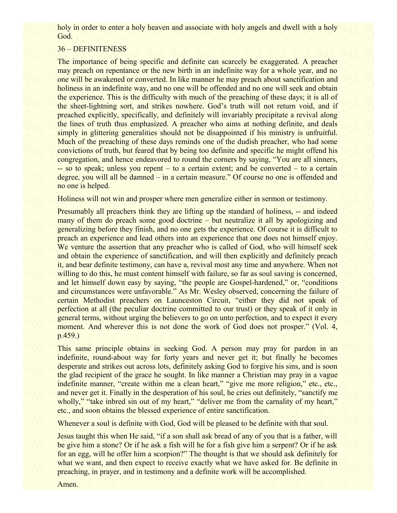holy in order to enter a holy heaven and associate with holy angels and dwell with a holy God.

## 36 – DEFINITENESS

The importance of being specific and definite can scarcely be exaggerated. A preacher may preach on repentance or the new birth in an indefinite way for a whole year, and no one will be awakened or converted. In like manner he may preach about sanctification and holiness in an indefinite way, and no one will be offended and no one will seek and obtain the experience. This is the difficulty with much of the preaching of these days; it is all of the sheet-lightning sort, and strikes nowhere. God's truth will not return void, and if preached explicitly, specifically, and definitely will invariably precipitate a revival along the lines of truth thus emphasized. A preacher who aims at nothing definite, and deals simply in glittering generalities should not be disappointed if his ministry is unfruitful. Much of the preaching of these days reminds one of the dudish preacher, who had some convictions of truth, but feared that by being too definite and specific he might offend his congregation, and hence endeavored to round the corners by saying, "You are all sinners, -- so to speak; unless you repent – to a certain extent; and be converted – to a certain degree, you will all be damned – in a certain measure." Of course no one is offended and no one is helped.

Holiness will not win and prosper where men generalize either in sermon or testimony.

Presumably all preachers think they are lifting up the standard of holiness, -- and indeed many of them do preach some good doctrine – but neutralize it all by apologizing and generalizing before they finish, and no one gets the experience. Of course it is difficult to preach an experience and lead others into an experience that one does not himself enjoy. We venture the assertion that any preacher who is called of God, who will himself seek and obtain the experience of sanctification, and will then explicitly and definitely preach it, and bear definite testimony, can have a, revival most any time and anywhere. When not willing to do this, he must content himself with failure, so far as soul saving is concerned, and let himself down easy by saying, "the people are Gospel-hardened," or, "conditions and circumstances were unfavorable." As Mr. Wesley observed, concerning the failure of certain Methodist preachers on Launceston Circuit, "either they did not speak of perfection at all (the peculiar doctrine committed to our trust) or they speak of it only in general terms, without urging the believers to go on unto perfection, and to expect it every moment. And wherever this is not done the work of God does not prosper." (Vol. 4, p.459.)

This same principle obtains in seeking God. A person may pray for pardon in an indefinite, round-about way for forty years and never get it; but finally he becomes desperate and strikes out across lots, definitely asking God to forgive his sins, and is soon the glad recipient of the grace he sought. In like manner a Christian may pray in a vague indefinite manner, "create within me a clean heart," "give me more religion," etc., etc., and never get it. Finally in the desperation of his soul, he cries out definitely, "sanctify me wholly," "take inbred sin out of my heart," "deliver me from the carnality of my heart," etc., and soon obtains the blessed experience of entire sanctification.

Whenever a soul is definite with God, God will be pleased to be definite with that soul.

Jesus taught this when He said, "if a son shall ask bread of any of you that is a father, will be give him a stone? Or if he ask a fish will he for a fish give him a serpent? Or if he ask for an egg, will he offer him a scorpion?" The thought is that we should ask definitely for what we want, and then expect to receive exactly what we have asked for. Be definite in preaching, in prayer, and in testimony and a definite work will be accomplished.

Amen.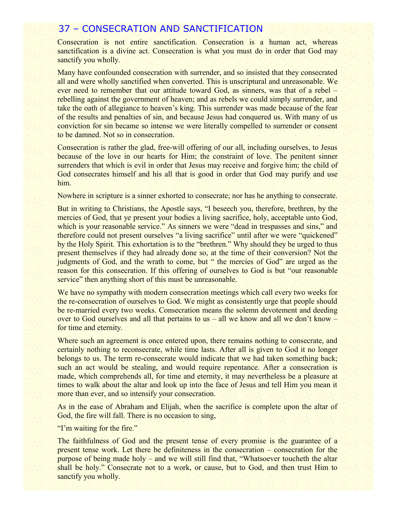## 37 – CONSECRATION AND SANCTIFICATION

Consecration is not entire sanctification. Consecration is a human act, whereas sanctification is a divine act. Consecration is what you must do in order that God may sanctify you wholly.

Many have confounded consecration with surrender, and so insisted that they consecrated all and were wholly sanctified when converted. This is unscriptural and unreasonable. We ever need to remember that our attitude toward God, as sinners, was that of a rebel – rebelling against the government of heaven; and as rebels we could simply surrender, and take the oath of allegiance to heaven's king. This surrender was made because of the fear of the results and penalties of sin, and because Jesus had conquered us. With many of us conviction for sin became so intense we were literally compelled to surrender or consent to be damned. Not so in consecration.

Consecration is rather the glad, free-will offering of our all, including ourselves, to Jesus because of the love in our hearts for Him; the constraint of love. The penitent sinner surrenders that which is evil in order that Jesus may receive and forgive him; the child of God consecrates himself and his all that is good in order that God may purify and use him.

Nowhere in scripture is a sinner exhorted to consecrate; nor has he anything to consecrate.

But in writing to Christians, the Apostle says, "I beseech you, therefore, brethren, by the mercies of God, that ye present your bodies a living sacrifice, holy, acceptable unto God, which is your reasonable service." As sinners we were "dead in trespasses and sins," and therefore could not present ourselves "a living sacrifice" until after we were "quickened" by the Holy Spirit. This exhortation is to the "brethren." Why should they be urged to thus present themselves if they had already done so, at the time of their conversion? Not the judgments of God, and the wrath to come, but " the mercies of God" are urged as the reason for this consecration. If this offering of ourselves to God is but "our reasonable service" then anything short of this must be unreasonable.

We have no sympathy with modern consecration meetings which call every two weeks for the re-consecration of ourselves to God. We might as consistently urge that people should be re-married every two weeks. Consecration means the solemn devotement and deeding over to God ourselves and all that pertains to us – all we know and all we don't know – for time and eternity.

Where such an agreement is once entered upon, there remains nothing to consecrate, and certainly nothing to reconsecrate, while time lasts. After all is given to God it no longer belongs to us. The term re-consecrate would indicate that we had taken something back; such an act would be stealing, and would require repentance. After a consecration is made, which comprehends all, for time and eternity, it may nevertheless be a pleasure at times to walk about the altar and look up into the face of Jesus and tell Him you mean it more than ever, and so intensify your consecration.

As in the ease of Abraham and Elijah, when the sacrifice is complete upon the altar of God, the fire will fall. There is no occasion to sing,

"I'm waiting for the fire."

The faithfulness of God and the present tense of every promise is the guarantee of a present tense work. Let there be definiteness in the consecration – consecration for the purpose of being made holy – and we will still find that, "Whatsoever toucheth the altar shall be holy." Consecrate not to a work, or cause, but to God, and then trust Him to sanctify you wholly.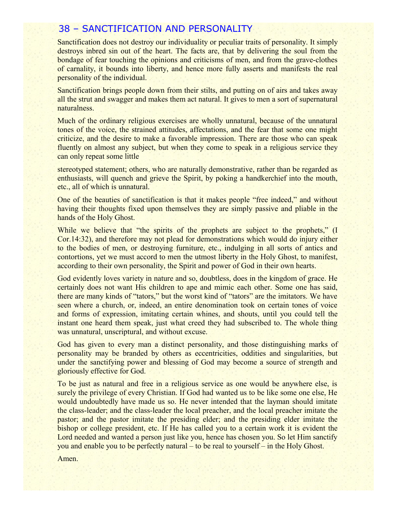## 38 – SANCTIFICATION AND PERSONALITY

Sanctification does not destroy our individuality or peculiar traits of personality. It simply destroys inbred sin out of the heart. The facts are, that by delivering the soul from the bondage of fear touching the opinions and criticisms of men, and from the grave-clothes of carnality, it bounds into liberty, and hence more fully asserts and manifests the real personality of the individual.

Sanctification brings people down from their stilts, and putting on of airs and takes away all the strut and swagger and makes them act natural. It gives to men a sort of supernatural naturalness.

Much of the ordinary religious exercises are wholly unnatural, because of the unnatural tones of the voice, the strained attitudes, affectations, and the fear that some one might criticize, and the desire to make a favorable impression. There are those who can speak fluently on almost any subject, but when they come to speak in a religious service they can only repeat some little

stereotyped statement; others, who are naturally demonstrative, rather than be regarded as enthusiasts, will quench and grieve the Spirit, by poking a handkerchief into the mouth, etc., all of which is unnatural.

One of the beauties of sanctification is that it makes people "free indeed," and without having their thoughts fixed upon themselves they are simply passive and pliable in the hands of the Holy Ghost.

While we believe that "the spirits of the prophets are subject to the prophets," (I Cor.14:32), and therefore may not plead for demonstrations which would do injury either to the bodies of men, or destroying furniture, etc., indulging in all sorts of antics and contortions, yet we must accord to men the utmost liberty in the Holy Ghost, to manifest, according to their own personality, the Spirit and power of God in their own hearts.

God evidently loves variety in nature and so, doubtless, does in the kingdom of grace. He certainly does not want His children to ape and mimic each other. Some one has said, there are many kinds of "tators," but the worst kind of "tators" are the imitators. We have seen where a church, or, indeed, an entire denomination took on certain tones of voice and forms of expression, imitating certain whines, and shouts, until you could tell the instant one heard them speak, just what creed they had subscribed to. The whole thing was unnatural, unscriptural, and without excuse.

God has given to every man a distinct personality, and those distinguishing marks of personality may be branded by others as eccentricities, oddities and singularities, but under the sanctifying power and blessing of God may become a source of strength and gloriously effective for God.

To be just as natural and free in a religious service as one would be anywhere else, is surely the privilege of every Christian. If God had wanted us to be like some one else, He would undoubtedly have made us so. He never intended that the layman should imitate the class-leader; and the class-leader the local preacher, and the local preacher imitate the pastor; and the pastor imitate the presiding elder; and the presiding elder imitate the bishop or college president, etc. If He has called you to a certain work it is evident the Lord needed and wanted a person just like you, hence has chosen you. So let Him sanctify you and enable you to be perfectly natural – to be real to yourself – in the Holy Ghost.

Amen.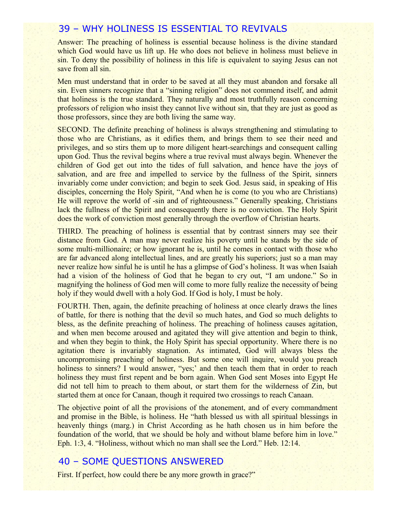# 39 – WHY HOLINESS IS ESSENTIAL TO REVIVALS

Answer: The preaching of holiness is essential because holiness is the divine standard which God would have us lift up. He who does not believe in holiness must believe in sin. To deny the possibility of holiness in this life is equivalent to saying Jesus can not save from all sin.

Men must understand that in order to be saved at all they must abandon and forsake all sin. Even sinners recognize that a "sinning religion" does not commend itself, and admit that holiness is the true standard. They naturally and most truthfully reason concerning professors of religion who insist they cannot live without sin, that they are just as good as those professors, since they are both living the same way.

SECOND. The definite preaching of holiness is always strengthening and stimulating to those who are Christians, as it edifies them, and brings them to see their need and privileges, and so stirs them up to more diligent heart-searchings and consequent calling upon God. Thus the revival begins where a true revival must always begin. Whenever the children of God get out into the tides of full salvation, and hence have the joys of salvation, and are free and impelled to service by the fullness of the Spirit, sinners invariably come under conviction; and begin to seek God. Jesus said, in speaking of His disciples, concerning the Holy Spirit, "And when he is come (to you who are Christians) He will reprove the world of -sin and of righteousness." Generally speaking, Christians lack the fullness of the Spirit and consequently there is no conviction. The Holy Spirit does the work of conviction most generally through the overflow of Christian hearts.

THIRD. The preaching of holiness is essential that by contrast sinners may see their distance from God. A man may never realize his poverty until he stands by the side of some multi-millionaire; or how ignorant he is, until he comes in contact with those who are far advanced along intellectual lines, and are greatly his superiors; just so a man may never realize how sinful he is until he has a glimpse of God's holiness. It was when Isaiah had a vision of the holiness of God that he began to cry out, "I am undone." So in magnifying the holiness of God men will come to more fully realize the necessity of being holy if they would dwell with a holy God. If God is holy, I must be holy.

FOURTH. Then, again, the definite preaching of holiness at once clearly draws the lines of battle, for there is nothing that the devil so much hates, and God so much delights to bless, as the definite preaching of holiness. The preaching of holiness causes agitation, and when men become aroused and agitated they will give attention and begin to think, and when they begin to think, the Holy Spirit has special opportunity. Where there is no agitation there is invariably stagnation. As intimated, God will always bless the uncompromising preaching of holiness. But some one will inquire, would you preach holiness to sinners? I would answer, "yes;' and then teach them that in order to reach holiness they must first repent and be born again. When God sent Moses into Egypt He did not tell him to preach to them about, or start them for the wilderness of Zin, but started them at once for Canaan, though it required two crossings to reach Canaan.

The objective point of all the provisions of the atonement, and of every commandment and promise in the Bible, is holiness. He "hath blessed us with all spiritual blessings in heavenly things (marg.) in Christ According as he hath chosen us in him before the foundation of the world, that we should be holy and without blame before him in love." Eph. 1:3, 4. "Holiness, without which no man shall see the Lord." Heb. 12:14.

# 40 – SOME QUESTIONS ANSWERED

First. If perfect, how could there be any more growth in grace?"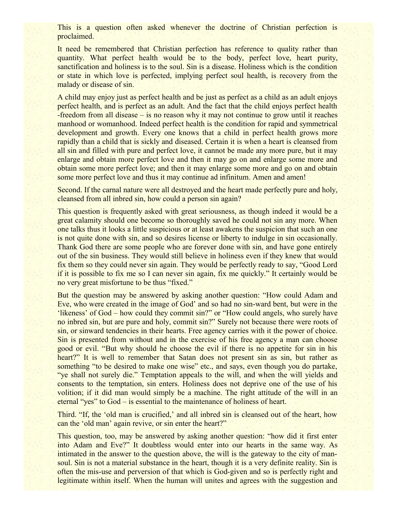This is a question often asked whenever the doctrine of Christian perfection is proclaimed.

It need be remembered that Christian perfection has reference to quality rather than quantity. What perfect health would be to the body, perfect love, heart purity, sanctification and holiness is to the soul. Sin is a disease. Holiness which is the condition or state in which love is perfected, implying perfect soul health, is recovery from the malady or disease of sin.

A child may enjoy just as perfect health and be just as perfect as a child as an adult enjoys perfect health, and is perfect as an adult. And the fact that the child enjoys perfect health -freedom from all disease – is no reason why it may not continue to grow until it reaches manhood or womanhood. Indeed perfect health is the condition for rapid and symmetrical development and growth. Every one knows that a child in perfect health grows more rapidly than a child that is sickly and diseased. Certain it is when a heart is cleansed from all sin and filled with pure and perfect love, it cannot be made any more pure, but it may enlarge and obtain more perfect love and then it may go on and enlarge some more and obtain some more perfect love; and then it may enlarge some more and go on and obtain some more perfect love and thus it may continue ad infinitum. Amen and amen!

Second. If the carnal nature were all destroyed and the heart made perfectly pure and holy, cleansed from all inbred sin, how could a person sin again?

This question is frequently asked with great seriousness, as though indeed it would be a great calamity should one become so thoroughly saved he could not sin any more. When one talks thus it looks a little suspicious or at least awakens the suspicion that such an one is not quite done with sin, and so desires license or liberty to indulge in sin occasionally. Thank God there are some people who are forever done with sin, and have gone entirely out of the sin business. They would still believe in holiness even if they knew that would fix them so they could never sin again. They would be perfectly ready to say, "Good Lord if it is possible to fix me so I can never sin again, fix me quickly." It certainly would be no very great misfortune to be thus "fixed."

But the question may be answered by asking another question: "How could Adam and Eve, who were created in the image of God' and so had no sin-ward bent, but were in the 'likeness' of God – how could they commit sin?" or "How could angels, who surely have no inbred sin, but are pure and holy, commit sin?" Surely not because there were roots of sin, or sinward tendencies in their hearts. Free agency carries with it the power of choice. Sin is presented from without and in the exercise of his free agency a man can choose good or evil. "But why should he choose the evil if there is no appetite for sin in his heart?" It is well to remember that Satan does not present sin as sin, but rather as something "to be desired to make one wise" etc., and says, even though you do partake, "ye shall not surely die." Temptation appeals to the will, and when the will yields and consents to the temptation, sin enters. Holiness does not deprive one of the use of his volition; if it did man would simply be a machine. The right attitude of the will in an eternal "yes" to God – is essential to the maintenance of holiness of heart.

Third. "If, the 'old man is crucified,' and all inbred sin is cleansed out of the heart, how can the 'old man' again revive, or sin enter the heart?"

This question, too, may be answered by asking another question: "how did it first enter into Adam and Eve?" It doubtless would enter into our hearts in the same way. As intimated in the answer to the question above, the will is the gateway to the city of mansoul. Sin is not a material substance in the heart, though it is a very definite reality. Sin is often the mis-use and perversion of that which is God-given and so is perfectly right and legitimate within itself. When the human will unites and agrees with the suggestion and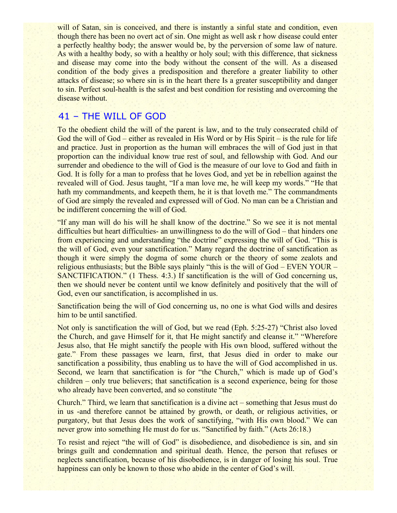will of Satan, sin is conceived, and there is instantly a sinful state and condition, even though there has been no overt act of sin. One might as well ask r how disease could enter a perfectly healthy body; the answer would be, by the perversion of some law of nature. As with a healthy body, so with a healthy or holy soul; with this difference, that sickness and disease may come into the body without the consent of the will. As a diseased condition of the body gives a predisposition and therefore a greater liability to other attacks of disease; so where sin is in the heart there Is a greater susceptibility and danger to sin. Perfect soul-health is the safest and best condition for resisting and overcoming the disease without.

# 41 – THE WILL OF GOD

To the obedient child the will of the parent is law, and to the truly consecrated child of God the will of God – either as revealed in His Word or by His Spirit – is the rule for life and practice. Just in proportion as the human will embraces the will of God just in that proportion can the individual know true rest of soul, and fellowship with God. And our surrender and obedience to the will of God is the measure of our love to God and faith in God. It is folly for a man to profess that he loves God, and yet be in rebellion against the revealed will of God. Jesus taught, "If a man love me, he will keep my words." "He that hath my commandments, and keepeth them, he it is that loveth me." The commandments of God are simply the revealed and expressed will of God. No man can be a Christian and be indifferent concerning the will of God.

"If any man will do his will he shall know of the doctrine." So we see it is not mental difficulties but heart difficulties- an unwillingness to do the will of God – that hinders one from experiencing and understanding "the doctrine" expressing the will of God. "This is the will of God, even your sanctification." Many regard the doctrine of sanctification as though it were simply the dogma of some church or the theory of some zealots and religious enthusiasts; but the Bible says plainly "this is the will of God – EVEN YOUR – SANCTIFICATION." (1 Thess. 4:3.) If sanctification is the will of God concerning us, then we should never be content until we know definitely and positively that the will of God, even our sanctification, is accomplished in us.

Sanctification being the will of God concerning us, no one is what God wills and desires him to be until sanctified.

Not only is sanctification the will of God, but we read (Eph. 5:25-27) "Christ also loved the Church, and gave Himself for it, that He might sanctify and cleanse it." "Wherefore Jesus also, that He might sanctify the people with His own blood, suffered without the gate." From these passages we learn, first, that Jesus died in order to make our sanctification a possibility, thus enabling us to have the will of God accomplished in us. Second, we learn that sanctification is for "the Church," which is made up of God's children – only true believers; that sanctification is a second experience, being for those who already have been converted, and so constitute "the

Church." Third, we learn that sanctification is a divine act – something that Jesus must do in us -and therefore cannot be attained by growth, or death, or religious activities, or purgatory, but that Jesus does the work of sanctifying, "with His own blood." We can never grow into something He must do for us. "Sanctified by faith." (Acts 26:18.)

To resist and reject "the will of God" is disobedience, and disobedience is sin, and sin brings guilt and condemnation and spiritual death. Hence, the person that refuses or neglects sanctification, because of his disobedience, is in danger of losing his soul. True happiness can only be known to those who abide in the center of God's will.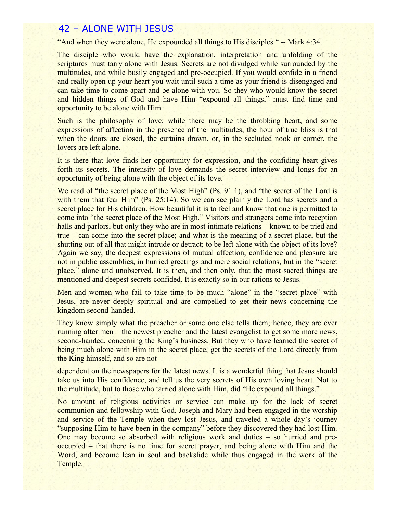## 42 – ALONE WITH JESUS

"And when they were alone, He expounded all things to His disciples " -- Mark 4:34.

The disciple who would have the explanation, interpretation and unfolding of the scriptures must tarry alone with Jesus. Secrets are not divulged while surrounded by the multitudes, and while busily engaged and pre-occupied. If you would confide in a friend and really open up your heart you wait until such a time as your friend is disengaged and can take time to come apart and be alone with you. So they who would know the secret and hidden things of God and have Him "expound all things," must find time and opportunity to be alone with Him.

Such is the philosophy of love; while there may be the throbbing heart, and some expressions of affection in the presence of the multitudes, the hour of true bliss is that when the doors are closed, the curtains drawn, or, in the secluded nook or corner, the lovers are left alone.

It is there that love finds her opportunity for expression, and the confiding heart gives forth its secrets. The intensity of love demands the secret interview and longs for an opportunity of being alone with the object of its love.

We read of "the secret place of the Most High" (Ps. 91:1), and "the secret of the Lord is with them that fear Him" (Ps. 25:14). So we can see plainly the Lord has secrets and a secret place for His children. How beautiful it is to feel and know that one is permitted to come into "the secret place of the Most High." Visitors and strangers come into reception halls and parlors, but only they who are in most intimate relations – known to be tried and true – can come into the secret place; and what is the meaning of a secret place, but the shutting out of all that might intrude or detract; to be left alone with the object of its love? Again we say, the deepest expressions of mutual affection, confidence and pleasure are not in public assemblies, in hurried greetings and mere social relations, but in the "secret place," alone and unobserved. It is then, and then only, that the most sacred things are mentioned and deepest secrets confided. It is exactly so in our rations to Jesus.

Men and women who fail to take time to be much "alone" in the "secret place" with Jesus, are never deeply spiritual and are compelled to get their news concerning the kingdom second-handed.

They know simply what the preacher or some one else tells them; hence, they are ever running after men – the newest preacher and the latest evangelist to get some more news, second-handed, concerning the King's business. But they who have learned the secret of being much alone with Him in the secret place, get the secrets of the Lord directly from the King himself, and so are not

dependent on the newspapers for the latest news. It is a wonderful thing that Jesus should take us into His confidence, and tell us the very secrets of His own loving heart. Not to the multitude, but to those who tarried alone with Him, did "He expound all things."

No amount of religious activities or service can make up for the lack of secret communion and fellowship with God. Joseph and Mary had been engaged in the worship and service of the Temple when they lost Jesus, and traveled a whole day's journey "supposing Him to have been in the company" before they discovered they had lost Him. One may become so absorbed with religious work and duties – so hurried and preoccupied – that there is no time for secret prayer, and being alone with Him and the Word, and become lean in soul and backslide while thus engaged in the work of the Temple.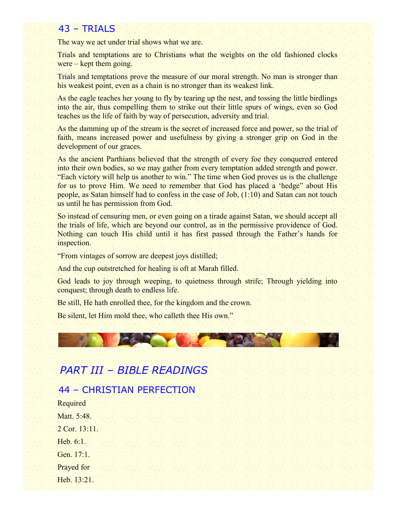## 43 – TRIALS

The way we act under trial shows what we are.

Trials and temptations are to Christians what the weights on the old fashioned clocks were – kept them going.

Trials and temptations prove the measure of our moral strength. No man is stronger than his weakest point, even as a chain is no stronger than its weakest link.

As the eagle teaches her young to fly by tearing up the nest, and tossing the little birdlings into the air, thus compelling them to strike out their little spurs of wings, even so God teaches us the life of faith by way of persecution, adversity and trial.

As the damming up of the stream is the secret of increased force and power, so the trial of faith, means increased power and usefulness by giving a stronger grip on God in the development of our graces.

As the ancient Parthians believed that the strength of every foe they conquered entered into their own bodies, so we may gather from every temptation added strength and power. "Each victory will help us another to win." The time when God proves us is the challenge for us to prove Him. We need to remember that God has placed a 'hedge" about His people, as Satan himself had to confess in the case of Job, (1:10) and Satan can not touch us until he has permission from God.

So instead of censuring men, or even going on a tirade against Satan, we should accept all the trials of life, which are beyond our control, as in the permissive providence of God. Nothing can touch His child until it has first passed through the Father's hands for inspection.

"From vintages of sorrow are deepest joys distilled;

And the cup outstretched for healing is oft at Marah filled.

God leads to joy through weeping, to quietness through strife; Through yielding into conquest; through death to endless life.

Be still, He hath enrolled thee, for the kingdom and the crown.

Be silent, let Him mold thee, who calleth thee His own."



# *PART III – BIBLE READINGS*

44 – CHRISTIAN PERFECTION

Required Matt. 5:48. 2 Cor. 13:11. Heb. 6:1. Gen. 17:1. Prayed for Heb. 13:21.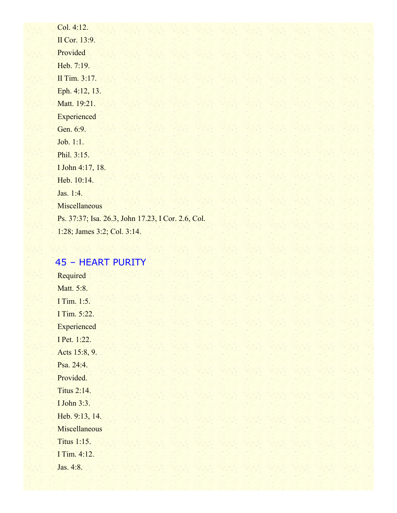Col. 4:12. II Cor. 13:9. Provided Heb. 7:19. II Tim. 3:17. Eph. 4:12, 13. Matt. 19:21. **Experienced** Gen. 6:9. Job. 1:1. Phil. 3:15. I John 4:17, 18. Heb. 10:14. Jas. 1:4. **Miscellaneous** Ps. 37:37; Isa. 26.3, John 17.23, I Cor. 2.6, Col. 1:28; James 3:2; Col. 3:14.

# 45 – HEART PURITY

Required Matt. 5:8. I Tim. 1:5. I Tim. 5:22. **Experienced** I Pet. 1:22. Acts 15:8, 9. Psa. 24:4. Provided. Titus 2:14. I John 3:3. Heb. 9:13, 14. Miscellaneous Titus 1:15. I Tim. 4:12. Jas. 4:8.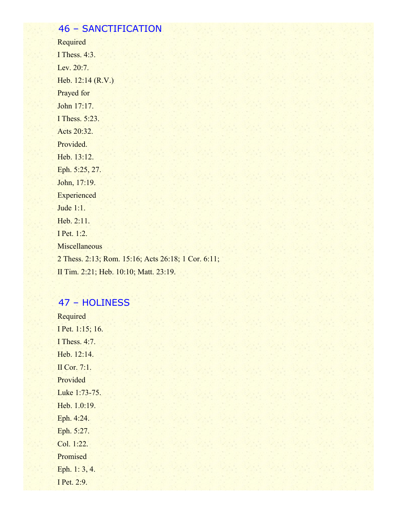# 46 – SANCTIFICATION

Required I Thess. 4:3. Lev. 20:7. Heb. 12:14 (R.V.) Prayed for John 17:17. I Thess. 5:23. Acts 20:32. Provided. Heb. 13:12. Eph. 5:25, 27. John, 17:19. **Experienced** Jude 1:1. Heb. 2:11. I Pet. 1:2. **Miscellaneous** 2 Thess. 2:13; Rom. 15:16; Acts 26:18; 1 Cor. 6:11; II Tim. 2:21; Heb. 10:10; Matt. 23:19.

# 47 – HOLINESS

Required I Pet. 1:15; 16. I Thess. 4:7. Heb. 12:14. II Cor. 7:1. Provided Luke 1:73-75. Heb. 1.0:19. Eph. 4:24. Eph. 5:27. Col. 1:22. Promised Eph. 1: 3, 4. I Pet. 2:9.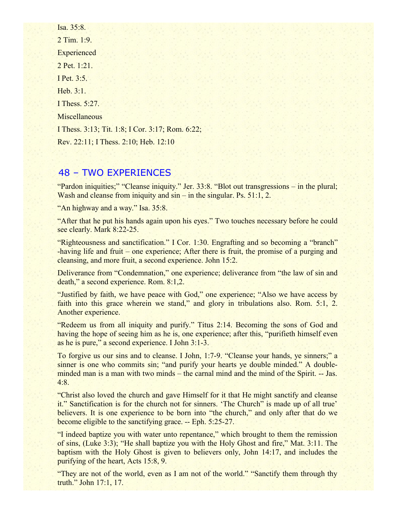Isa. 35:8. 2 Tim. 1:9. **Experienced** 2 Pet. 1:21. I Pet. 3:5. Heb. 3:1. I Thess. 5:27. **Miscellaneous** I Thess. 3:13; Tit. 1:8; I Cor. 3:17; Rom. 6:22; Rev. 22:11; I Thess. 2:10; Heb. 12:10

# 48 – TWO EXPERIENCES

"Pardon iniquities;" "Cleanse iniquity." Jer. 33:8. "Blot out transgressions – in the plural; Wash and cleanse from iniquity and  $\sin$  – in the singular. Ps. 51:1, 2.

"An highway and a way." Isa. 35:8.

"After that he put his hands again upon his eyes." Two touches necessary before he could see clearly. Mark 8:22-25.

"Righteousness and sanctification." I Cor. 1:30. Engrafting and so becoming a "branch" -having life and fruit – one experience; After there is fruit, the promise of a purging and cleansing, and more fruit, a second experience. John 15:2.

Deliverance from "Condemnation," one experience; deliverance from "the law of sin and death," a second experience. Rom. 8:1,2.

"Justified by faith, we have peace with God," one experience; "Also we have access by faith into this grace wherein we stand," and glory in tribulations also. Rom. 5:1, 2. Another experience.

"Redeem us from all iniquity and purify." Titus 2:14. Becoming the sons of God and having the hope of seeing him as he is, one experience; after this, "purifieth himself even as he is pure," a second experience. I John 3:1-3.

To forgive us our sins and to cleanse. I John, 1:7-9. "Cleanse your hands, ye sinners;" a sinner is one who commits sin; "and purify your hearts ye double minded." A doubleminded man is a man with two minds – the carnal mind and the mind of the Spirit. -- Jas. 4:8.

"Christ also loved the church and gave Himself for it that He might sanctify and cleanse it." Sanctification is for the church not for sinners. 'The Church" is made up of all true' believers. It is one experience to be born into "the church," and only after that do we become eligible to the sanctifying grace. -- Eph. 5:25-27.

"I indeed baptize you with water unto repentance," which brought to them the remission of sins, (Luke 3:3); "He shall baptize you with the Holy Ghost and fire," Mat. 3:11. The baptism with the Holy Ghost is given to believers only, John 14:17, and includes the purifying of the heart, Acts 15:8, 9.

"They are not of the world, even as I am not of the world." "Sanctify them through thy truth." John 17:1, 17.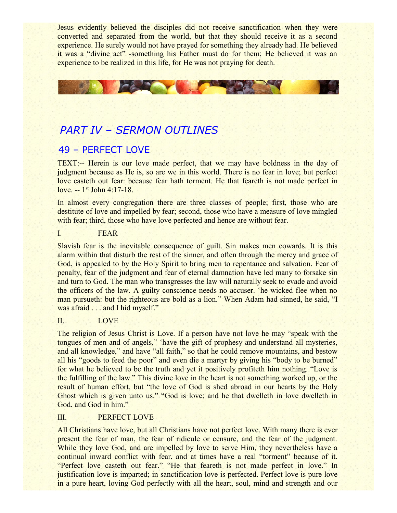Jesus evidently believed the disciples did not receive sanctification when they were converted and separated from the world, but that they should receive it as a second experience. He surely would not have prayed for something they already had. He believed it was a "divine act" -something his Father must do for them; He believed it was an experience to be realized in this life, for He was not praying for death.



# *PART IV – SERMON OUTLINES*

# 49 – PERFECT LOVE

TEXT:-- Herein is our love made perfect, that we may have boldness in the day of judgment because as He is, so are we in this world. There is no fear in love; but perfect love casteth out fear: because fear hath torment. He that feareth is not made perfect in love.  $-1$ <sup>st</sup> John 4:17-18.

In almost every congregation there are three classes of people; first, those who are destitute of love and impelled by fear; second, those who have a measure of love mingled with fear; third, those who have love perfected and hence are without fear.

I. FEAR

Slavish fear is the inevitable consequence of guilt. Sin makes men cowards. It is this alarm within that disturb the rest of the sinner, and often through the mercy and grace of God, is appealed to by the Holy Spirit to bring men to repentance and salvation. Fear of penalty, fear of the judgment and fear of eternal damnation have led many to forsake sin and turn to God. The man who transgresses the law will naturally seek to evade and avoid the officers of the law. A guilty conscience needs no accuser. 'he wicked flee when no man pursueth: but the righteous are bold as a lion." When Adam had sinned, he said, "I was afraid . . . and I hid myself."

## II. LOVE

The religion of Jesus Christ is Love. If a person have not love he may "speak with the tongues of men and of angels," 'have the gift of prophesy and understand all mysteries, and all knowledge," and have "all faith," so that he could remove mountains, and bestow all his "goods to feed the poor" and even die a martyr by giving his "body to be burned" for what he believed to be the truth and yet it positively profiteth him nothing. "Love is the fulfilling of the law." This divine love in the heart is not something worked up, or the result of human effort, but "the love of God is shed abroad in our hearts by the Holy Ghost which is given unto us." "God is love; and he that dwelleth in love dwelleth in God, and God in him."

### III. PERFECT LOVE

All Christians have love, but all Christians have not perfect love. With many there is ever present the fear of man, the fear of ridicule or censure, and the fear of the judgment. While they love God, and are impelled by love to serve Him, they nevertheless have a continual inward conflict with fear, and at times have a real "torment" because of it. "Perfect love casteth out fear." "He that feareth is not made perfect in love." In justification love is imparted; in sanctification love is perfected. Perfect love is pure love in a pure heart, loving God perfectly with all the heart, soul, mind and strength and our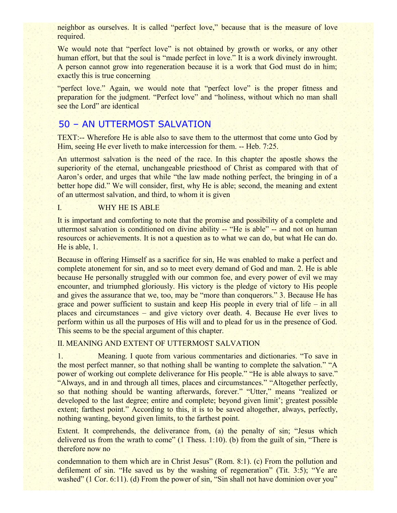neighbor as ourselves. It is called "perfect love," because that is the measure of love required.

We would note that "perfect love" is not obtained by growth or works, or any other human effort, but that the soul is "made perfect in love." It is a work divinely inwrought. A person cannot grow into regeneration because it is a work that God must do in him; exactly this is true concerning

"perfect love." Again, we would note that "perfect love" is the proper fitness and preparation for the judgment. "Perfect love" and "holiness, without which no man shall see the Lord" are identical

# 50 – AN UTTERMOST SALVATION

TEXT:-- Wherefore He is able also to save them to the uttermost that come unto God by Him, seeing He ever liveth to make intercession for them. -- Heb. 7:25.

An uttermost salvation is the need of the race. In this chapter the apostle shows the superiority of the eternal, unchangeable priesthood of Christ as compared with that of Aaron's order, and urges that while "the law made nothing perfect, the bringing in of a better hope did." We will consider, first, why He is able; second, the meaning and extent of an uttermost salvation, and third, to whom it is given

### I. WHY HE IS ABLE

It is important and comforting to note that the promise and possibility of a complete and uttermost salvation is conditioned on divine ability -- "He is able" -- and not on human resources or achievements. It is not a question as to what we can do, but what He can do. He is able, 1.

Because in offering Himself as a sacrifice for sin, He was enabled to make a perfect and complete atonement for sin, and so to meet every demand of God and man. 2. He is able because He personally struggled with our common foe, and every power of evil we may encounter, and triumphed gloriously. His victory is the pledge of victory to His people and gives the assurance that we, too, may be "more than conquerors." 3. Because He has grace and power sufficient to sustain and keep His people in every trial of life – in all places and circumstances – and give victory over death. 4. Because He ever lives to perform within us all the purposes of His will and to plead for us in the presence of God. This seems to be the special argument of this chapter.

### II. MEANING AND EXTENT OF UTTERMOST SALVATION

1. Meaning. I quote from various commentaries and dictionaries. "To save in the most perfect manner, so that nothing shall be wanting to complete the salvation." "A power of working out complete deliverance for His people." "He is able always to save." "Always, and in and through all times, places and circumstances." "Altogether perfectly, so that nothing should be wanting afterwards, forever." "Utter," means "realized or developed to the last degree; entire and complete; beyond given limit'; greatest possible extent; farthest point." According to this, it is to be saved altogether, always, perfectly, nothing wanting, beyond given limits, to the farthest point.

Extent. It comprehends, the deliverance from, (a) the penalty of sin; "Jesus which delivered us from the wrath to come" (1 Thess. 1:10). (b) from the guilt of sin, "There is therefore now no

condemnation to them which are in Christ Jesus" (Rom. 8:1). (c) From the pollution and defilement of sin. "He saved us by the washing of regeneration" (Tit. 3:5); "Ye are washed" (1 Cor. 6:11). (d) From the power of sin, "Sin shall not have dominion over you"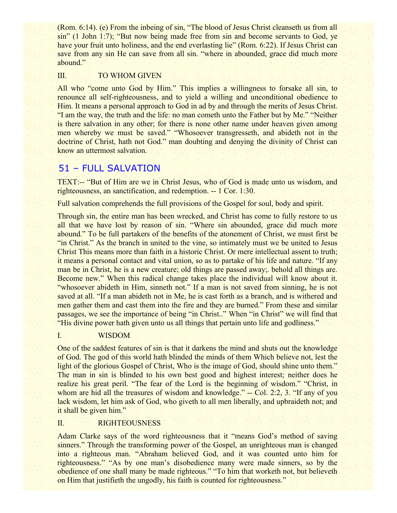(Rom. 6:14). (e) From the inbeing of sin, "The blood of Jesus Christ cleanseth us from all sin" (1 John 1:7); "But now being made free from sin and become servants to God, ye have your fruit unto holiness, and the end everlasting lie" (Rom. 6:22). If Jesus Christ can save from any sin He can save from all sin. "where in abounded, grace did much more abound."

### III. TO WHOM GIVEN

All who "come unto God by Him." This implies a willingness to forsake all sin, to renounce all self-righteousness, and to yield a willing and unconditional obedience to Him. It means a personal approach to God in ad by and through the merits of Jesus Christ. "I am the way, the truth and the life: no man cometh unto the Father but by Me." "Neither is there salvation in any other; for there is none other name under heaven given among men whereby we must be saved." "Whosoever transgresseth, and abideth not in the doctrine of Christ, hath not God." man doubting and denying the divinity of Christ can know an uttermost salvation.

# 51 – FULL SALVATION

TEXT:-- "But of Him are we in Christ Jesus, who of God is made unto us wisdom, and righteousness, an sanctification, and redemption. -- 1 Cor. 1:30.

Full salvation comprehends the full provisions of the Gospel for soul, body and spirit.

Through sin, the entire man has been wrecked, and Christ has come to fully restore to us all that we have lost by reason of sin. "Where sin abounded, grace did much more abound." To be full partakers of the benefits of the atonement of Christ, we must first be "in Christ." As the branch in united to the vine, so intimately must we be united to Jesus Christ This means more than faith in a historic Christ. Or mere intellectual assent to truth; it means a personal contact and vital union, so as to partake of his life and nature. "If any man be in Christ, he is a new creature; old things are passed away;. behold all things are. Become new." When this radical change takes place the individual will know about it. "whosoever abideth in Him, sinneth not." If a man is not saved from sinning, he is not saved at all. "If a man abideth not in Me, he is cast forth as a branch, and is withered and men gather them and cast them into the fire and they are burned." From these and similar passages, we see the importance of being "in Christ.." When "in Christ" we will find that "His divine power hath given unto us all things that pertain unto life and godliness."

#### I. WISDOM

One of the saddest features of sin is that it darkens the mind and shuts out the knowledge of God. The god of this world hath blinded the minds of them Which believe not, lest the light of the glorious Gospel of Christ, Who is the image of God, should shine unto them." The man in sin is blinded to his own best good and highest interest; neither does he realize his great peril. "The fear of the Lord is the beginning of wisdom." "Christ, in whom are hid all the treasures of wisdom and knowledge." -- Col. 2:2, 3. "If any of you lack wisdom, let him ask of God, who giveth to all men liberally, and upbraideth not; and it shall be given him."

### II. RIGHTEOUSNESS

Adam Clarke says of the word righteousness that it "means God's method of saving sinners." Through the transforming power of the Gospel, an unrighteous man is changed into a righteous man. "Abraham believed God, and it was counted unto him for righteousness." "As by one man's disobedience many were made sinners, so by the obedience of one shall many be made righteous." "To him that worketh not, but believeth on Him that justifieth the ungodly, his faith is counted for righteousness."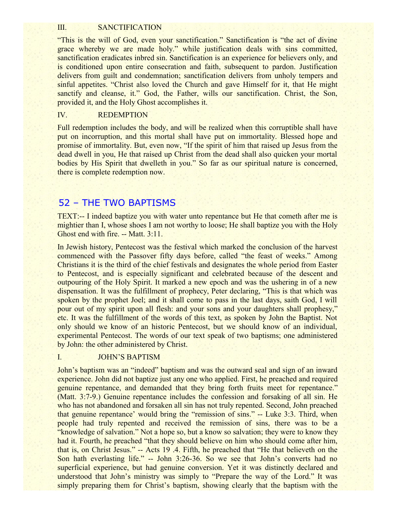#### III. SANCTIFICATION

"This is the will of God, even your sanctification." Sanctification is "the act of divine grace whereby we are made holy." while justification deals with sins committed, sanctification eradicates inbred sin. Sanctification is an experience for believers only, and is conditioned upon entire consecration and faith, subsequent to pardon. Justification delivers from guilt and condemnation; sanctification delivers from unholy tempers and sinful appetites. "Christ also loved the Church and gave Himself for it, that He might sanctify and cleanse, it." God, the Father, wills our sanctification. Christ, the Son, provided it, and the Holy Ghost accomplishes it.

#### IV. REDEMPTION

Full redemption includes the body, and will be realized when this corruptible shall have put on incorruption, and this mortal shall have put on immortality. Blessed hope and promise of immortality. But, even now, "If the spirit of him that raised up Jesus from the dead dwell in you, He that raised up Christ from the dead shall also quicken your mortal bodies by His Spirit that dwelleth in you." So far as our spiritual nature is concerned, there is complete redemption now.

## 52 – THE TWO BAPTISMS

TEXT:-- I indeed baptize you with water unto repentance but He that cometh after me is mightier than I, whose shoes I am not worthy to loose; He shall baptize you with the Holy Ghost end with fire. -- Matt. 3:11.

In Jewish history, Pentecost was the festival which marked the conclusion of the harvest commenced with the Passover fifty days before, called "the feast of weeks." Among Christians it is the third of the chief festivals and designates the whole period from Easter to Pentecost, and is especially significant and celebrated because of the descent and outpouring of the Holy Spirit. It marked a new epoch and was the ushering in of a new dispensation. It was the fulfillment of prophecy, Peter declaring, "This is that which was spoken by the prophet Joel; and it shall come to pass in the last days, saith God, I will pour out of my spirit upon all flesh: and your sons and your daughters shall prophesy," etc. It was the fulfillment of the words of this text, as spoken by John the Baptist. Not only should we know of an historic Pentecost, but we should know of an individual, experimental Pentecost. The words of our text speak of two baptisms; one administered by John: the other administered by Christ.

#### I. JOHN'S BAPTISM

John's baptism was an "indeed" baptism and was the outward seal and sign of an inward experience. John did not baptize just any one who applied. First, he preached and required genuine repentance, and demanded that they bring forth fruits meet for repentance." (Matt. 3:7-9.) Genuine repentance includes the confession and forsaking of all sin. He who has not abandoned and forsaken all sin has not truly repented. Second, John preached that genuine repentance' would bring the "remission of sins." -- Luke 3:3. Third, when people had truly repented and received the remission of sins, there was to be a "knowledge of salvation." Not a hope so, but a know so salvation; they were to know they had it. Fourth, he preached "that they should believe on him who should come after him, that is, on Christ Jesus." -- Acts 19 .4. Fifth, he preached that "He that believeth on the Son hath everlasting life." -- John 3:26-36. So we see that John's converts had no superficial experience, but had genuine conversion. Yet it was distinctly declared and understood that John's ministry was simply to "Prepare the way of the Lord." It was simply preparing them for Christ's baptism, showing clearly that the baptism with the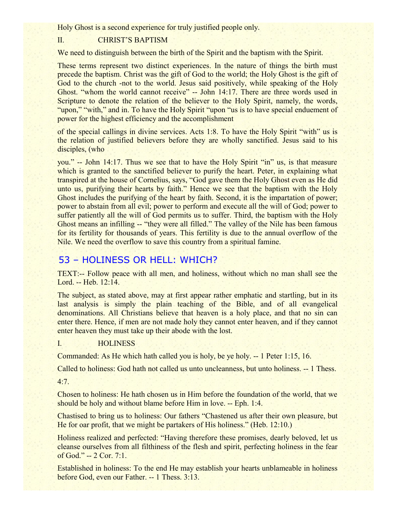Holy Ghost is a second experience for truly justified people only.

### II. CHRIST'S BAPTISM

We need to distinguish between the birth of the Spirit and the baptism with the Spirit.

These terms represent two distinct experiences. In the nature of things the birth must precede the baptism. Christ was the gift of God to the world; the Holy Ghost is the gift of God to the church -not to the world. Jesus said positively, while speaking of the Holy Ghost. "whom the world cannot receive" -- John 14:17. There are three words used in Scripture to denote the relation of the believer to the Holy Spirit, namely, the words, "upon," "with," and in. To have the Holy Spirit "upon "us is to have special enduement of power for the highest efficiency and the accomplishment

of the special callings in divine services. Acts 1:8. To have the Holy Spirit "with" us is the relation of justified believers before they are wholly sanctified. Jesus said to his disciples, (who

you." -- John 14:17. Thus we see that to have the Holy Spirit "in" us, is that measure which is granted to the sanctified believer to purify the heart. Peter, in explaining what transpired at the house of Cornelius, says, "God gave them the Holy Ghost even as He did unto us, purifying their hearts by faith." Hence we see that the baptism with the Holy Ghost includes the purifying of the heart by faith. Second, it is the impartation of power; power to abstain from all evil; power to perform and execute all the will of God; power to suffer patiently all the will of God permits us to suffer. Third, the baptism with the Holy Ghost means an infilling -- "they were all filled." The valley of the Nile has been famous for its fertility for thousands of years. This fertility is due to the annual overflow of the Nile. We need the overflow to save this country from a spiritual famine.

# 53 – HOLINESS OR HELL: WHICH?

TEXT:-- Follow peace with all men, and holiness, without which no man shall see the Lord. -- Heb. 12:14.

The subject, as stated above, may at first appear rather emphatic and startling, but in its last analysis is simply the plain teaching of the Bible, and of all evangelical denominations. All Christians believe that heaven is a holy place, and that no sin can enter there. Hence, if men are not made holy they cannot enter heaven, and if they cannot enter heaven they must take up their abode with the lost.

### I. HOLINESS

Commanded: As He which hath called you is holy, be ye holy. -- 1 Peter 1:15, 16.

Called to holiness: God hath not called us unto uncleanness, but unto holiness. -- 1 Thess.

4:7.

Chosen to holiness: He hath chosen us in Him before the foundation of the world, that we should be holy and without blame before Him in love. -- Eph. 1:4.

Chastised to bring us to holiness: Our fathers "Chastened us after their own pleasure, but He for oar profit, that we might be partakers of His holiness." (Heb. 12:10.)

Holiness realized and perfected: "Having therefore these promises, dearly beloved, let us cleanse ourselves from all filthiness of the flesh and spirit, perfecting holiness in the fear of God." -- 2 Cor. 7:1.

Established in holiness: To the end He may establish your hearts unblameable in holiness before God, even our Father. -- 1 Thess. 3:13.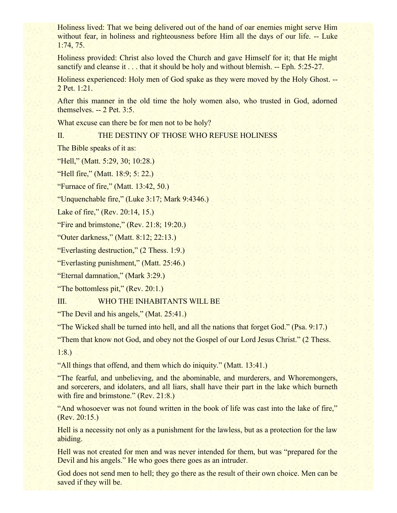Holiness lived: That we being delivered out of the hand of oar enemies might serve Him without fear, in holiness and righteousness before Him all the days of our life. -- Luke 1:74, 75.

Holiness provided: Christ also loved the Church and gave Himself for it; that He might sanctify and cleanse it . . . that it should be holy and without blemish. -- Eph. 5:25-27.

Holiness experienced: Holy men of God spake as they were moved by the Holy Ghost. -- 2 Pet. 1:21.

After this manner in the old time the holy women also, who trusted in God, adorned themselves. -- 2 Pet. 3:5.

What excuse can there be for men not to be holy?

### II. THE DESTINY OF THOSE WHO REFUSE HOLINESS

The Bible speaks of it as:

"Hell," (Matt. 5:29, 30; 10:28.)

"Hell fire," (Matt. 18:9; 5: 22.)

"Furnace of fire," (Matt. 13:42, 50.)

"Unquenchable fire," (Luke 3:17; Mark 9:4346.)

Lake of fire," (Rev. 20:14, 15.)

"Fire and brimstone,"  $(Rev. 21:8; 19:20.)$ 

"Outer darkness," (Matt. 8:12; 22:13.)

"Everlasting destruction," (2 Thess. 1:9.)

"Everlasting punishment," (Matt. 25:46.)

"Eternal damnation," (Mark 3:29.)

"The bottomless pit," (Rev. 20:1.)

III. WHO THE INHABITANTS WILL BE

"The Devil and his angels," (Mat. 25:41.)

"The Wicked shall be turned into hell, and all the nations that forget God." (Psa. 9:17.)

"Them that know not God, and obey not the Gospel of our Lord Jesus Christ." (2 Thess.

1:8.)

"All things that offend, and them which do iniquity." (Matt. 13:41.)

"The fearful, and unbelieving, and the abominable, and murderers, and Whoremongers, and sorcerers, and idolaters, and all liars, shall have their part in the lake which burneth with fire and brimstone." (Rev. 21:8.)

"And whosoever was not found written in the book of life was cast into the lake of fire," (Rev. 20:15.)

Hell is a necessity not only as a punishment for the lawless, but as a protection for the law abiding.

Hell was not created for men and was never intended for them, but was "prepared for the Devil and his angels." He who goes there goes as an intruder.

God does not send men to hell; they go there as the result of their own choice. Men can be saved if they will be.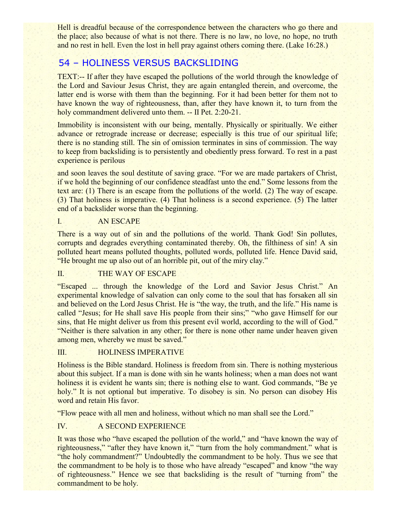Hell is dreadful because of the correspondence between the characters who go there and the place; also because of what is not there. There is no law, no love, no hope, no truth and no rest in hell. Even the lost in hell pray against others coming there. (Lake 16:28.)

# 54 – HOLINESS VERSUS BACKSLIDING

TEXT:-- If after they have escaped the pollutions of the world through the knowledge of the Lord and Saviour Jesus Christ, they are again entangled therein, and overcome, the latter end is worse with them than the beginning. For it had been better for them not to have known the way of righteousness, than, after they have known it, to turn from the holy commandment delivered unto them. -- II Pet. 2:20-21.

Immobility is inconsistent with our being, mentally. Physically or spiritually. We either advance or retrograde increase or decrease; especially is this true of our spiritual life; there is no standing still. The sin of omission terminates in sins of commission. The way to keep from backsliding is to persistently and obediently press forward. To rest in a past experience is perilous

and soon leaves the soul destitute of saving grace. "For we are made partakers of Christ, if we hold the beginning of our confidence steadfast unto the end." Some lessons from the text are: (1) There is an escape from the pollutions of the world. (2) The way of escape. (3) That holiness is imperative. (4) That holiness is a second experience. (5) The latter end of a backslider worse than the beginning.

### I. AN ESCAPE

There is a way out of sin and the pollutions of the world. Thank God! Sin pollutes, corrupts and degrades everything contaminated thereby. Oh, the filthiness of sin! A sin polluted heart means polluted thoughts, polluted words, polluted life. Hence David said, "He brought me up also out of an horrible pit, out of the miry clay."

## II. THE WAY OF ESCAPE

"Escaped ... through the knowledge of the Lord and Savior Jesus Christ." An experimental knowledge of salvation can only come to the soul that has forsaken all sin and believed on the Lord Jesus Christ. He is "the way, the truth, and the life." His name is called "Jesus; for He shall save His people from their sins;" "who gave Himself for our sins, that He might deliver us from this present evil world, according to the will of God." "Neither is there salvation in any other; for there is none other name under heaven given among men, whereby we must be saved."

## III. HOLINESS IMPERATIVE

Holiness is the Bible standard. Holiness is freedom from sin. There is nothing mysterious about this subject. If a man is done with sin he wants holiness; when a man does not want holiness it is evident he wants sin; there is nothing else to want. God commands, "Be ye" holy." It is not optional but imperative. To disobey is sin. No person can disobey His word and retain His favor.

"Flow peace with all men and holiness, without which no man shall see the Lord."

## IV. A SECOND EXPERIENCE

It was those who "have escaped the pollution of the world," and "have known the way of righteousness," "after they have known it," "turn from the holy commandment." what is "the holy commandment?" Undoubtedly the commandment to be holy. Thus we see that the commandment to be holy is to those who have already "escaped" and know "the way of righteousness." Hence we see that backsliding is the result of "turning from" the commandment to be holy.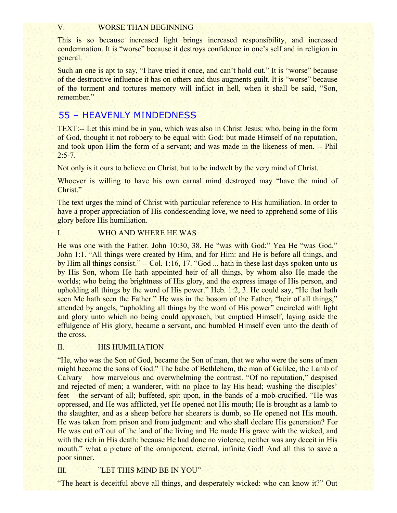#### V. WORSE THAN BEGINNING

This is so because increased light brings increased responsibility, and increased condemnation. It is "worse" because it destroys confidence in one's self and in religion in general.

Such an one is apt to say, "I have tried it once, and can't hold out." It is "worse" because of the destructive influence it has on others and thus augments guilt. It is "worse" because of the torment and tortures memory will inflict in hell, when it shall be said, "Son, remember."

# 55 – HEAVENLY MINDEDNESS

TEXT:-- Let this mind be in you, which was also in Christ Jesus: who, being in the form of God, thought it not robbery to be equal with God: but made Himself of no reputation, and took upon Him the form of a servant; and was made in the likeness of men. -- Phil  $2:5-7.$ 

Not only is it ours to believe on Christ, but to be indwelt by the very mind of Christ.

Whoever is willing to have his own carnal mind destroyed may "have the mind of Christ."

The text urges the mind of Christ with particular reference to His humiliation. In order to have a proper appreciation of His condescending love, we need to apprehend some of His glory before His humiliation.

#### I. WHO AND WHERE HE WAS

He was one with the Father. John 10:30, 38. He "was with God:" Yea He "was God." John 1:1. "All things were created by Him, and for Him: and He is before all things, and by Him all things consist." -- Col. 1:16, 17. "God ... hath in these last days spoken unto us by His Son, whom He hath appointed heir of all things, by whom also He made the worlds; who being the brightness of His glory, and the express image of His person, and upholding all things by the word of His power." Heb. 1:2, 3. He could say, "He that hath seen Me hath seen the Father." He was in the bosom of the Father, "heir of all things," attended by angels, "upholding all things by the word of His power" encircled with light and glory unto which no being could approach, but emptied Himself, laying aside the effulgence of His glory, became a servant, and bumbled Himself even unto the death of the cross.

#### II. HIS HUMILIATION

"He, who was the Son of God, became the Son of man, that we who were the sons of men might become the sons of God." The babe of Bethlehem, the man of Galilee, the Lamb of Calvary – how marvelous and overwhelming the contrast. "Of no reputation," despised and rejected of men; a wanderer, with no place to lay His head; washing the disciples' feet – the servant of all; buffeted, spit upon, in the bands of a mob-crucified. "He was oppressed, and He was afflicted, yet He opened not His mouth; He is brought as a lamb to the slaughter, and as a sheep before her shearers is dumb, so He opened not His mouth. He was taken from prison and from judgment: and who shall declare His generation? For He was cut off out of the land of the living and He made His grave with the wicked, and with the rich in His death: because He had done no violence, neither was any deceit in His mouth." what a picture of the omnipotent, eternal, infinite God! And all this to save a poor sinner.

## III. "LET THIS MIND BE IN YOU"

"The heart is deceitful above all things, and desperately wicked: who can know it?" Out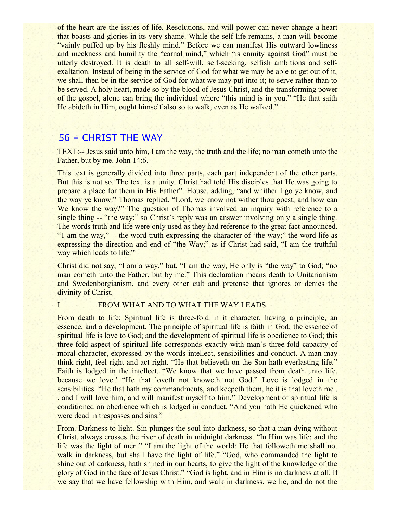of the heart are the issues of life. Resolutions, and will power can never change a heart that boasts and glories in its very shame. While the self-life remains, a man will become "vainly puffed up by his fleshly mind." Before we can manifest His outward lowliness and meekness and humility the "carnal mind," which "is enmity against God" must be utterly destroyed. It is death to all self-will, self-seeking, selfish ambitions and selfexaltation. Instead of being in the service of God for what we may be able to get out of it, we shall then be in the service of God for what we may put into it; to serve rather than to be served. A holy heart, made so by the blood of Jesus Christ, and the transforming power of the gospel, alone can bring the individual where "this mind is in you." "He that saith He abideth in Him, ought himself also so to walk, even as He walked."

# 56 – CHRIST THE WAY

TEXT:-- Jesus said unto him, I am the way, the truth and the life; no man cometh unto the Father, but by me. John 14:6.

This text is generally divided into three parts, each part independent of the other parts. But this is not so. The text is a unity. Christ had told His disciples that He was going to prepare a place for them in His Father". House, adding, "and whither I go ye know, and the way ye know." Thomas replied, "Lord, we know not wither thou goest; and how can We know the way?" The question of Thomas involved an inquiry with reference to a single thing -- "the way:" so Christ's reply was an answer involving only a single thing. The words truth and life were only used as they had reference to the great fact announced. "1 am the way," -- the word truth expressing the character of 'the way;" the word life as expressing the direction and end of "the Way;" as if Christ had said, "I am the truthful way which leads to life."

Christ did not say, "I am a way," but, "I am the way, He only is "the way" to God; "no man cometh unto the Father, but by me." This declaration means death to Unitarianism and Swedenborgianism, and every other cult and pretense that ignores or denies the divinity of Christ.

#### I. FROM WHAT AND TO WHAT THE WAY LEADS

From death to life: Spiritual life is three-fold in it character, having a principle, an essence, and a development. The principle of spiritual life is faith in God; the essence of spiritual life is love to God; and the development of spiritual life is obedience to God; this three-fold aspect of spiritual life corresponds exactly with man's three-fold capacity of moral character, expressed by the words intellect, sensibilities and conduct. A man may think right, feel right and act right. "He that believeth on the Son hath everlasting life." Faith is lodged in the intellect. "We know that we have passed from death unto life, because we love.' "He that loveth not knoweth not God." Love is lodged in the sensibilities. "He that hath my commandments, and keepeth them, he it is that loveth me . . and I will love him, and will manifest myself to him." Development of spiritual life is conditioned on obedience which is lodged in conduct. "And you hath He quickened who were dead in trespasses and sins."

From. Darkness to light. Sin plunges the soul into darkness, so that a man dying without Christ, always crosses the river of death in midnight darkness. "In Him was life; and the life was the light of men." "I am the light of the world: He that followeth me shall not walk in darkness, but shall have the light of life." "God, who commanded the light to shine out of darkness, hath shined in our hearts, to give the light of the knowledge of the glory of God in the face of Jesus Christ." "God is light, and in Him is no darkness at all. If we say that we have fellowship with Him, and walk in darkness, we lie, and do not the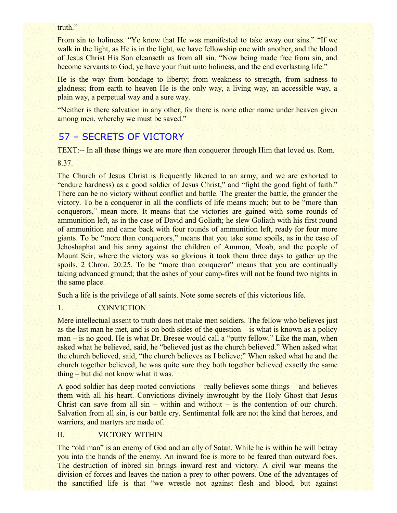#### truth."

From sin to holiness. "Ye know that He was manifested to take away our sins." "If we walk in the light, as He is in the light, we have fellowship one with another, and the blood of Jesus Christ His Son cleanseth us from all sin. "Now being made free from sin, and become servants to God, ye have your fruit unto holiness, and the end everlasting life."

He is the way from bondage to liberty; from weakness to strength, from sadness to gladness; from earth to heaven He is the only way, a living way, an accessible way, a plain way, a perpetual way and a sure way.

"Neither is there salvation in any other; for there is none other name under heaven given among men, whereby we must be saved."

# 57 – SECRETS OF VICTORY

TEXT:-- In all these things we are more than conqueror through Him that loved us. Rom.

#### 8.37.

The Church of Jesus Christ is frequently likened to an army, and we are exhorted to "endure hardness) as a good soldier of Jesus Christ," and "fight the good fight of faith." There can be no victory without conflict and battle. The greater the battle, the grander the victory. To be a conqueror in all the conflicts of life means much; but to be "more than conquerors," mean more. It means that the victories are gained with some rounds of ammunition left, as in the case of David and Goliath; he slew Goliath with his first round of ammunition and came back with four rounds of ammunition left, ready for four more giants. To be "more than conquerors," means that you take some spoils, as in the case of Jehoshaphat and his army against the children of Ammon, Moab, and the people of Mount Seir, where the victory was so glorious it took them three days to gather up the spoils. 2 Chron. 20:25. To be "more than conqueror" means that you are continually taking advanced ground; that the ashes of your camp-fires will not be found two nights in the same place.

Such a life is the privilege of all saints. Note some secrets of this victorious life.

### 1. CONVICTION

Mere intellectual assent to truth does not make men soldiers. The fellow who believes just as the last man he met, and is on both sides of the question – is what is known as a policy man – is no good. He is what Dr. Bresee would call a "putty fellow." Like the man, when asked what he believed, said, he "believed just as the church believed." When asked what the church believed, said, "the church believes as I believe;" When asked what he and the church together believed, he was quite sure they both together believed exactly the same thing – but did not know what it was.

A good soldier has deep rooted convictions – really believes some things – and believes them with all his heart. Convictions divinely inwrought by the Holy Ghost that Jesus Christ can save from all  $sin -$  within and without – is the contention of our church. Salvation from all sin, is our battle cry. Sentimental folk are not the kind that heroes, and warriors, and martyrs are made of.

### II. VICTORY WITHIN

The "old man" is an enemy of God and an ally of Satan. While he is within he will betray you into the hands of the enemy. An inward foe is more to be feared than outward foes. The destruction of inbred sin brings inward rest and victory. A civil war means the division of forces and leaves the nation a prey to other powers. One of the advantages of the sanctified life is that "we wrestle not against flesh and blood, but against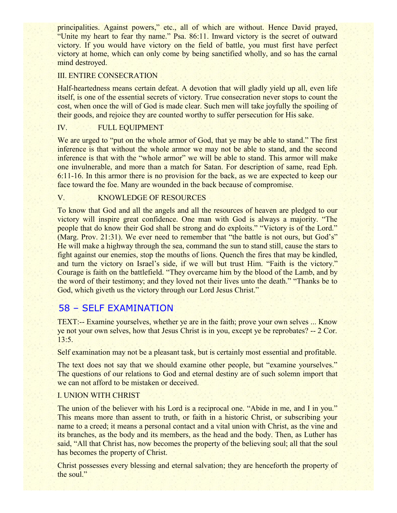principalities. Against powers," etc., all of which are without. Hence David prayed, "Unite my heart to fear thy name." Psa. 86:11. Inward victory is the secret of outward victory. If you would have victory on the field of battle, you must first have perfect victory at home, which can only come by being sanctified wholly, and so has the carnal mind destroyed.

### III. ENTIRE CONSECRATION

Half-heartedness means certain defeat. A devotion that will gladly yield up all, even life itself, is one of the essential secrets of victory. True consecration never stops to count the cost, when once the will of God is made clear. Such men will take joyfully the spoiling of their goods, and rejoice they are counted worthy to suffer persecution for His sake.

### IV. FULL EQUIPMENT

We are urged to "put on the whole armor of God, that ye may be able to stand." The first inference is that without the whole armor we may not be able to stand, and the second inference is that with the "whole armor" we will be able to stand. This armor will make one invulnerable, and more than a match for Satan. For description of same, read Eph. 6:11-16. In this armor there is no provision for the back, as we are expected to keep our face toward the foe. Many are wounded in the back because of compromise.

#### V. KNOWLEDGE OF RESOURCES

To know that God and all the angels and all the resources of heaven are pledged to our victory will inspire great confidence. One man with God is always a majority. "The people that do know their God shall be strong and do exploits." "Victory is of the Lord." (Marg. Prov. 21:31). We ever need to remember that "the battle is not ours, but God's" He will make a highway through the sea, command the sun to stand still, cause the stars to fight against our enemies, stop the mouths of lions. Quench the fires that may be kindled, and turn the victory on Israel's side, if we will but trust Him. "Faith is the victory." Courage is faith on the battlefield. "They overcame him by the blood of the Lamb, and by the word of their testimony; and they loved not their lives unto the death." "Thanks be to God, which giveth us the victory through our Lord Jesus Christ."

# 58 – SELF EXAMINATION

TEXT:-- Examine yourselves, whether ye are in the faith; prove your own selves ... Know ye not your own selves, how that Jesus Christ is in you, except ye be reprobates? -- 2 Cor. 13:5.

Self examination may not be a pleasant task, but is certainly most essential and profitable.

The text does not say that we should examine other people, but "examine yourselves." The questions of our relations to God and eternal destiny are of such solemn import that we can not afford to be mistaken or deceived.

## I. UNION WITH CHRIST

The union of the believer with his Lord is a reciprocal one. "Abide in me, and I in you." This means more than assent to truth, or faith in a historic Christ, or subscribing your name to a creed; it means a personal contact and a vital union with Christ, as the vine and its branches, as the body and its members, as the head and the body. Then, as Luther has said, "All that Christ has, now becomes the property of the believing soul; all that the soul has becomes the property of Christ.

Christ possesses every blessing and eternal salvation; they are henceforth the property of the soul."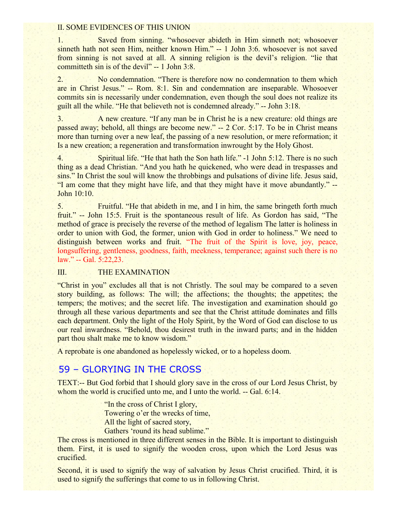#### II. SOME EVIDENCES OF THIS UNION

1. Saved from sinning. "whosoever abideth in Him sinneth not; whosoever sinneth hath not seen Him, neither known Him." -- 1 John 3:6. whosoever is not saved from sinning is not saved at all. A sinning religion is the devil's religion. "lie that committeth sin is of the devil" -- 1 John 3:8.

2. No condemnation. "There is therefore now no condemnation to them which are in Christ Jesus." -- Rom. 8:1. Sin and condemnation are inseparable. Whosoever commits sin is necessarily under condemnation, even though the soul does not realize its guilt all the while. "He that believeth not is condemned already." -- John 3:18.

3. A new creature. "If any man be in Christ he is a new creature: old things are passed away; behold, all things are become new." -- 2 Cor. 5:17. To be in Christ means more than turning over a new leaf, the passing of a new resolution, or mere reformation; it Is a new creation; a regeneration and transformation inwrought by the Holy Ghost.

4. Spiritual life. "He that hath the Son hath life." -1 John 5:12. There is no such thing as a dead Christian. "And you hath he quickened, who were dead in trespasses and sins." In Christ the soul will know the throbbings and pulsations of divine life. Jesus said, "I am come that they might have life, and that they might have it move abundantly." -- John 10:10.

5. Fruitful. "He that abideth in me, and I in him, the same bringeth forth much fruit." -- John 15:5. Fruit is the spontaneous result of life. As Gordon has said, "The method of grace is precisely the reverse of the method of legalism The latter is holiness in order to union with God, the former, union with God in order to holiness." We need to distinguish between works and fruit. "The fruit of the Spirit is love, joy, peace, longsuffering, gentleness, goodness, faith, meekness, temperance; against such there is no law." -- Gal. 5:22,23.

### III. THE EXAMINATION

"Christ in you" excludes all that is not Christly. The soul may be compared to a seven story building, as follows: The will; the affections; the thoughts; the appetites; the tempers; the motives; and the secret life. The investigation and examination should go through all these various departments and see that the Christ attitude dominates and fills each department. Only the light of the Holy Spirit, by the Word of God can disclose to us our real inwardness. "Behold, thou desirest truth in the inward parts; and in the hidden part thou shalt make me to know wisdom."

A reprobate is one abandoned as hopelessly wicked, or to a hopeless doom.

# 59 – GLORYING IN THE CROSS

TEXT:-- But God forbid that I should glory save in the cross of our Lord Jesus Christ, by whom the world is crucified unto me, and I unto the world. -- Gal. 6:14.

> "In the cross of Christ I glory, Towering o'er the wrecks of time, All the light of sacred story, Gathers 'round its head sublime."

The cross is mentioned in three different senses in the Bible. It is important to distinguish them. First, it is used to signify the wooden cross, upon which the Lord Jesus was crucified.

Second, it is used to signify the way of salvation by Jesus Christ crucified. Third, it is used to signify the sufferings that come to us in following Christ.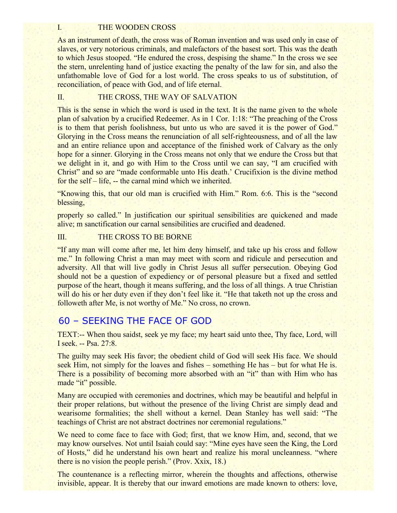#### I. THE WOODEN CROSS

As an instrument of death, the cross was of Roman invention and was used only in case of slaves, or very notorious criminals, and malefactors of the basest sort. This was the death to which Jesus stooped. "He endured the cross, despising the shame." In the cross we see the stern, unrelenting hand of justice exacting the penalty of the law for sin, and also the unfathomable love of God for a lost world. The cross speaks to us of substitution, of reconciliation, of peace with God, and of life eternal.

## II. THE CROSS, THE WAY OF SALVATION

This is the sense in which the word is used in the text. It is the name given to the whole plan of salvation by a crucified Redeemer. As in 1 Cor. 1:18: "The preaching of the Cross is to them that perish foolishness, but unto us who are saved it is the power of God." Glorying in the Cross means the renunciation of all self-righteousness, and of all the law and an entire reliance upon and acceptance of the finished work of Calvary as the only hope for a sinner. Glorying in the Cross means not only that we endure the Cross but that we delight in it, and go with Him to the Cross until we can say, "I am crucified with Christ" and so are "made conformable unto His death.' Crucifixion is the divine method for the self – life, -- the carnal mind which we inherited.

"Knowing this, that our old man is crucified with Him." Rom. 6:6. This is the "second blessing,

properly so called." In justification our spiritual sensibilities are quickened and made alive; m sanctification our carnal sensibilities are crucified and deadened.

## III. THE CROSS TO BE BORNE

"If any man will come after me, let him deny himself, and take up his cross and follow me." In following Christ a man may meet with scorn and ridicule and persecution and adversity. All that will live godly in Christ Jesus all suffer persecution. Obeying God should not be a question of expediency or of personal pleasure but a fixed and settled purpose of the heart, though it means suffering, and the loss of all things. A true Christian will do his or her duty even if they don't feel like it. "He that taketh not up the cross and followeth after Me, is not worthy of Me." No cross, no crown.

## 60 – SEEKING THE FACE OF GOD

TEXT:-- When thou saidst, seek ye my face; my heart said unto thee, Thy face, Lord, will I seek. -- Psa. 27:8.

The guilty may seek His favor; the obedient child of God will seek His face. We should seek Him, not simply for the loaves and fishes – something He has – but for what He is. There is a possibility of becoming more absorbed with an "it" than with Him who has made "it" possible.

Many are occupied with ceremonies and doctrines, which may be beautiful and helpful in their proper relations, but without the presence of the living Christ are simply dead and wearisome formalities; the shell without a kernel. Dean Stanley has well said: "The teachings of Christ are not abstract doctrines nor ceremonial regulations."

We need to come face to face with God; first, that we know Him, and, second, that we may know ourselves. Not until Isaiah could say: "Mine eyes have seen the King, the Lord of Hosts," did he understand his own heart and realize his moral uncleanness. "where there is no vision the people perish." (Prov. Xxix, 18.)

The countenance is a reflecting mirror, wherein the thoughts and affections, otherwise invisible, appear. It is thereby that our inward emotions are made known to others: love,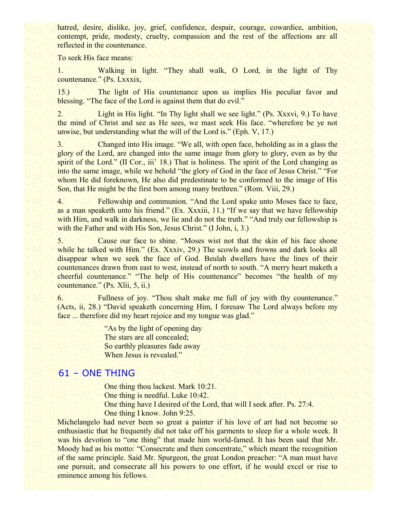hatred, desire, dislike, joy, grief, confidence, despair, courage, cowardice, ambition, contempt, pride, modesty, cruelty, compassion and the rest of the affections are all reflected in the countenance.

To seek His face means:

1. Walking in light. "They shall walk, O Lord, in the light of Thy countenance." (Ps. Lxxxix,

15.) The light of His countenance upon us implies His peculiar favor and blessing. "The face of the Lord is against them that do evil."

2. Light in His light. "In Thy light shall we see light." (Ps. Xxxvi, 9.) To have the mind of Christ and see as He sees, we mast seek His face. "wherefore be ye not unwise, but understanding what the will of the Lord is." (Eph. V, 17.)

3. Changed into His image. "We all, with open face, beholding as in a glass the glory of the Lord, are changed into the same image from glory to glory, even as by the spirit of the Lord." (II Cor., iii' 18.) That is holiness. The spirit of the Lord changing as into the same image, while we behold "the glory of God in the face of Jesus Christ." "For whom He did foreknown, He also did predestinate to be conformed to the image of His Son, that He might be the first born among many brethren." (Rom. Viii, 29.)

4. Fellowship and communion. "And the Lord spake unto Moses face to face, as a man speaketh unto his friend." (Ex. Xxxiii, 11.) "If we say that we have fellowship with Him, and walk in darkness, we lie and do not the truth." "And truly our fellowship is with the Father and with His Son, Jesus Christ." (I John, i, 3.)

5. Cause our face to shine. "Moses wist not that the skin of his face shone while he talked with Him." (Ex. Xxxiv, 29.) The scowls and frowns and dark looks all disappear when we seek the face of God. Beulah dwellers have the lines of their countenances drawn from east to west, instead of north to south. "A merry heart maketh a cheerful countenance." "The help of His countenance" becomes "the health of my countenance." (Ps. Xlii, 5, ii.)

6. Fullness of joy. "Thou shalt make me full of joy with thy countenance." (Acts, ii, 28.) "David speaketh concerning Him, I foresaw The Lord always before my face ... therefore did my heart rejoice and my tongue was glad."

> "As by the light of opening day The stars are all concealed; So earthly pleasures fade away When Jesus is revealed."

# 61 – ONE THING

One thing thou lackest. Mark 10:21.

One thing is needful. Luke 10:42.

One thing have I desired of the Lord, that will I seek after. Ps. 27:4. One thing I know. John 9:25.

Michelangelo had never been so great a painter if his love of art had not become so enthusiastic that he frequently did not take off his garments to sleep for a whole week. It was his devotion to "one thing" that made him world-famed. It has been said that Mr. Moody had as his motto: "Consecrate and then concentrate," which meant the recognition of the same principle. Said Mr. Spurgeon, the great London preacher: "A man must have one pursuit, and consecrate all his powers to one effort, if he would excel or rise to eminence among his fellows.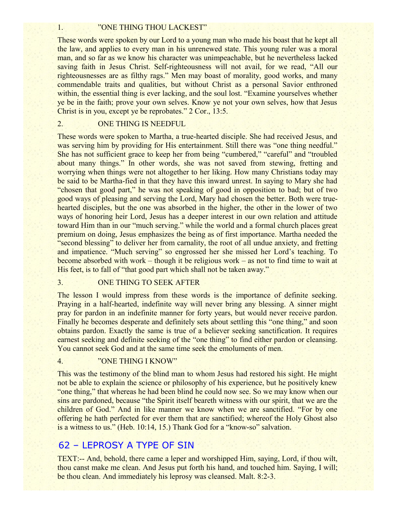#### 1. "ONE THING THOU LACKEST"

These words were spoken by our Lord to a young man who made his boast that he kept all the law, and applies to every man in his unrenewed state. This young ruler was a moral man, and so far as we know his character was unimpeachable, but he nevertheless lacked saving faith in Jesus Christ. Self-righteousness will not avail, for we read, "All our righteousnesses are as filthy rags." Men may boast of morality, good works, and many commendable traits and qualities, but without Christ as a personal Savior enthroned within, the essential thing is ever lacking, and the soul lost. "Examine yourselves whether ye be in the faith; prove your own selves. Know ye not your own selves, how that Jesus Christ is in you, except ye be reprobates." 2 Cor., 13:5.

#### 2. ONE THING IS NEEDFUL

These words were spoken to Martha, a true-hearted disciple. She had received Jesus, and was serving him by providing for His entertainment. Still there was "one thing needful." She has not sufficient grace to keep her from being "cumbered," "careful" and "troubled about many things." In other words, she was not saved from stewing, fretting and worrying when things were not altogether to her liking. How many Christians today may be said to be Martha-fied in that they have this inward unrest. In saying to Mary she had "chosen that good part," he was not speaking of good in opposition to bad; but of two good ways of pleasing and serving the Lord, Mary had chosen the better. Both were truehearted disciples, but the one was absorbed in the higher, the other in the lower of two ways of honoring heir Lord, Jesus has a deeper interest in our own relation and attitude toward Him than in our "much serving." while the world and a formal church places great premium on doing, Jesus emphasizes the being as of first importance. Martha needed the "second blessing" to deliver her from carnality, the root of all undue anxiety, and fretting and impatience. "Much serving" so engrossed her she missed her Lord's teaching. To become absorbed with work – though it be religious work – as not to find time to wait at His feet, is to fall of "that good part which shall not be taken away."

### 3. ONE THING TO SEEK AFTER

The lesson I would impress from these words is the importance of definite seeking. Praying in a half-hearted, indefinite way will never bring any blessing. A sinner might pray for pardon in an indefinite manner for forty years, but would never receive pardon. Finally he becomes desperate and definitely sets about settling this "one thing," and soon obtains pardon. Exactly the same is true of a believer seeking sanctification. It requires earnest seeking and definite seeking of the "one thing" to find either pardon or cleansing. You cannot seek God and at the same time seek the emoluments of men.

#### 4. "ONE THING I KNOW"

This was the testimony of the blind man to whom Jesus had restored his sight. He might not be able to explain the science or philosophy of his experience, but he positively knew "one thing," that whereas he had been blind he could now see. So we may know when our sins are pardoned, because "the Spirit itself beareth witness with our spirit, that we are the children of God." And in like manner we know when we are sanctified. "For by one offering he hath perfected for ever them that are sanctified; whereof the Holy Ghost also is a witness to us." (Heb. 10:14, 15.) Thank God for a "know-so" salvation.

## 62 – LEPROSY A TYPE OF SIN

TEXT:-- And, behold, there came a leper and worshipped Him, saying, Lord, if thou wilt, thou canst make me clean. And Jesus put forth his hand, and touched him. Saying, I will; be thou clean. And immediately his leprosy was cleansed. Malt. 8:2-3.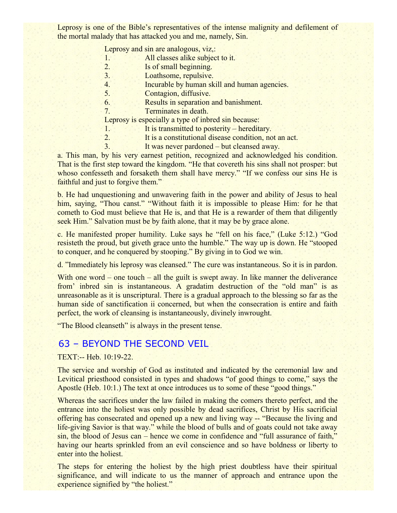Leprosy is one of the Bible's representatives of the intense malignity and defilement of the mortal malady that has attacked you and me, namely, Sin.

| Leprosy and sin are analogous, viz,: |  |  |  |
|--------------------------------------|--|--|--|

- 1. All classes alike subject to it.
- 2. Is of small beginning.
- 3. Loathsome, repulsive.
- 4. Incurable by human skill and human agencies.
- 5. Contagion, diffusive.
- 6. Results in separation and banishment.
- 7. Terminates in death.

Leprosy is especially a type of inbred sin because:

- 1. It is transmitted to posterity hereditary.
- 2. It is a constitutional disease condition, not an act.
- 3. It was never pardoned but cleansed away.

a. This man, by his very earnest petition, recognized and acknowledged his condition. That is the first step toward the kingdom. "He that covereth his sins shall not prosper: but whoso confesseth and forsaketh them shall have mercy." "If we confess our sins He is faithful and just to forgive them."

b. He had unquestioning and unwavering faith in the power and ability of Jesus to heal him, saying, "Thou canst." "Without faith it is impossible to please Him: for he that cometh to God must believe that He is, and that He is a rewarder of them that diligently seek Him." Salvation must be by faith alone, that it may be by grace alone.

c. He manifested proper humility. Luke says he "fell on his face," (Luke 5:12.) "God resisteth the proud, but giveth grace unto the humble." The way up is down. He "stooped to conquer, and he conquered by stooping." By giving in to God we win.

d. "Immediately his leprosy was cleansed." The cure was instantaneous. So it is in pardon.

With one word – one touch – all the guilt is swept away. In like manner the deliverance from' inbred sin is instantaneous. A gradatim destruction of the "old man" is as unreasonable as it is unscriptural. There is a gradual approach to the blessing so far as the human side of sanctification ii concerned, but when the consecration is entire and faith perfect, the work of cleansing is instantaneously, divinely inwrought.

"The Blood cleanseth" is always in the present tense.

## 63 – BEYOND THE SECOND VEIL

TEXT:-- Heb. 10:19-22.

The service and worship of God as instituted and indicated by the ceremonial law and Levitical priesthood consisted in types and shadows "of good things to come," says the Apostle (Heb. 10:1.) The text at once introduces us to some of these "good things."

Whereas the sacrifices under the law failed in making the comers thereto perfect, and the entrance into the holiest was only possible by dead sacrifices, Christ by His sacrificial offering has consecrated and opened up a new and living way -- "Because the living and life-giving Savior is that way." while the blood of bulls and of goats could not take away sin, the blood of Jesus can – hence we come in confidence and "full assurance of faith," having our hearts sprinkled from an evil conscience and so have boldness or liberty to enter into the holiest.

The steps for entering the holiest by the high priest doubtless have their spiritual significance, and will indicate to us the manner of approach and entrance upon the experience signified by "the holiest."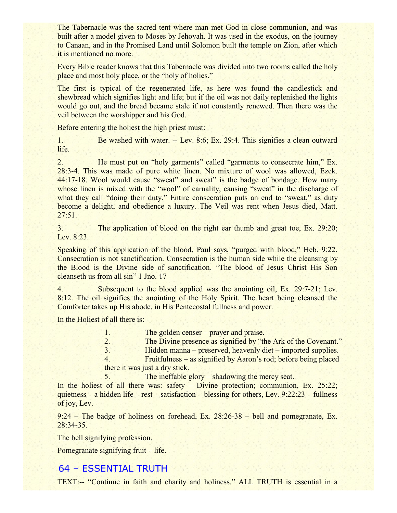The Tabernacle was the sacred tent where man met God in close communion, and was built after a model given to Moses by Jehovah. It was used in the exodus, on the journey to Canaan, and in the Promised Land until Solomon built the temple on Zion, after which it is mentioned no more.

Every Bible reader knows that this Tabernacle was divided into two rooms called the holy place and most holy place, or the "holy of holies."

The first is typical of the regenerated life, as here was found the candlestick and shewbread which signifies light and life; but if the oil was not daily replenished the lights would go out, and the bread became stale if not constantly renewed. Then there was the veil between the worshipper and his God.

Before entering the holiest the high priest must:

1. Be washed with water. -- Lev. 8:6; Ex. 29:4. This signifies a clean outward life.

2. He must put on "holy garments" called "garments to consecrate him," Ex. 28:3-4. This was made of pure white linen. No mixture of wool was allowed, Ezek. 44:17-18. Wool would cause "sweat" and sweat" is the badge of bondage. How many whose linen is mixed with the "wool" of carnality, causing "sweat" in the discharge of what they call "doing their duty." Entire consecration puts an end to "sweat," as duty become a delight, and obedience a luxury. The Veil was rent when Jesus died, Matt. 27:51.

3. The application of blood on the right ear thumb and great toe, Ex. 29:20; Lev. 8:23.

Speaking of this application of the blood, Paul says, "purged with blood," Heb. 9:22. Consecration is not sanctification. Consecration is the human side while the cleansing by the Blood is the Divine side of sanctification. "The blood of Jesus Christ His Son cleanseth us from all sin" 1 Jno. 17

4. Subsequent to the blood applied was the anointing oil, Ex. 29:7-21; Lev. 8:12. The oil signifies the anointing of the Holy Spirit. The heart being cleansed the Comforter takes up His abode, in His Pentecostal fullness and power.

In the Holiest of all there is:

| T. | The golden censer – prayer and praise.                          |
|----|-----------------------------------------------------------------|
| 2. | The Divine presence as signified by "the Ark of the Covenant."  |
| 3. | Hidden manna – preserved, heavenly diet – imported supplies.    |
| 4  | Fruitfulness – as signified by Aaron's rod; before being placed |
|    | there it was just a dry stick.                                  |

5. The ineffable glory – shadowing the mercy seat.

In the holiest of all there was: safety – Divine protection; communion, Ex. 25:22; quietness – a hidden life – rest – satisfaction – blessing for others, Lev. 9:22:23 – fullness of joy, Lev.

9:24 – The badge of holiness on forehead, Ex. 28:26-38 – bell and pomegranate, Ex. 28:34-35.

The bell signifying profession.

Pomegranate signifying fruit – life.

## 64 – ESSENTIAL TRUTH

TEXT:-- "Continue in faith and charity and holiness." ALL TRUTH is essential in a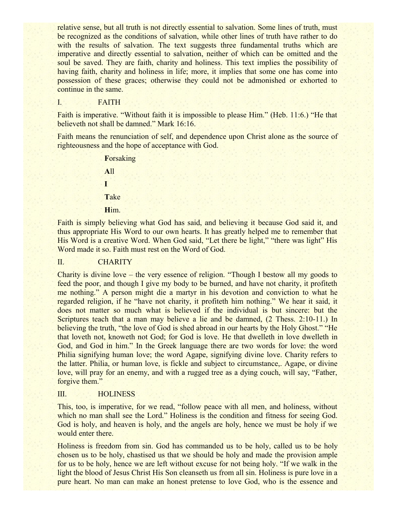relative sense, but all truth is not directly essential to salvation. Some lines of truth, must be recognized as the conditions of salvation, while other lines of truth have rather to do with the results of salvation. The text suggests three fundamental truths which are imperative and directly essential to salvation, neither of which can be omitted and the soul be saved. They are faith, charity and holiness. This text implies the possibility of having faith, charity and holiness in life; more, it implies that some one has come into possession of these graces; otherwise they could not be admonished or exhorted to continue in the same.

#### I. FAITH

Faith is imperative. "Without faith it is impossible to please Him." (Heb. 11:6.) "He that believeth not shall be damned." Mark 16:16.

Faith means the renunciation of self, and dependence upon Christ alone as the source of righteousness and the hope of acceptance with God.

> **F**orsaking **A**ll **I T**ake **H**im.

Faith is simply believing what God has said, and believing it because God said it, and thus appropriate His Word to our own hearts. It has greatly helped me to remember that His Word is a creative Word. When God said, "Let there be light," "there was light" His Word made it so. Faith must rest on the Word of God.

#### II. CHARITY

Charity is divine love – the very essence of religion. "Though I bestow all my goods to feed the poor, and though I give my body to be burned, and have not charity, it profiteth me nothing." A person might die a martyr in his devotion and conviction to what he regarded religion, if he "have not charity, it profiteth him nothing." We hear it said, it does not matter so much what is believed if the individual is but sincere: but the Scriptures teach that a man may believe a lie and be damned, (2 Thess. 2:10-11.) In believing the truth, "the love of God is shed abroad in our hearts by the Holy Ghost." "He that loveth not, knoweth not God; for God is love. He that dwelleth in love dwelleth in God, and God in him." In the Greek language there are two words for love: the word Philia signifying human love; the word Agape, signifying divine love. Charity refers to the latter. Philia, or human love, is fickle and subject to circumstance,. Agape, or divine love, will pray for an enemy, and with a rugged tree as a dying couch, will say, "Father, forgive them."

#### III. HOLINESS

This, too, is imperative, for we read, "follow peace with all men, and holiness, without which no man shall see the Lord." Holiness is the condition and fitness for seeing God. God is holy, and heaven is holy, and the angels are holy, hence we must be holy if we would enter there.

Holiness is freedom from sin. God has commanded us to be holy, called us to be holy chosen us to be holy, chastised us that we should be holy and made the provision ample for us to be holy, hence we are left without excuse for not being holy. "If we walk in the light the blood of Jesus Christ His Son cleanseth us from all sin. Holiness is pure love in a pure heart. No man can make an honest pretense to love God, who is the essence and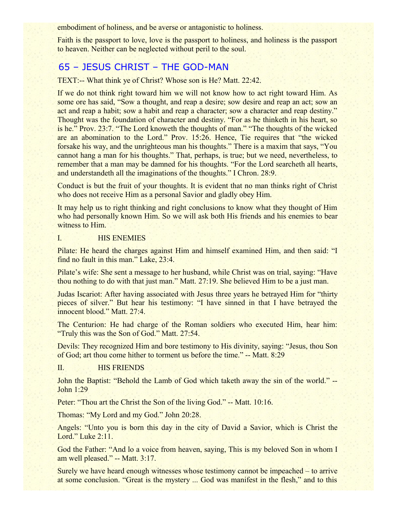embodiment of holiness, and be averse or antagonistic to holiness.

Faith is the passport to love, love is the passport to holiness, and holiness is the passport to heaven. Neither can be neglected without peril to the soul.

## 65 – JESUS CHRIST – THE GOD-MAN

TEXT:-- What think ye of Christ? Whose son is He? Matt. 22:42.

If we do not think right toward him we will not know how to act right toward Him. As some ore has said, "Sow a thought, and reap a desire; sow desire and reap an act; sow an act and reap a habit; sow a habit and reap a character; sow a character and reap destiny." Thought was the foundation of character and destiny. "For as he thinketh in his heart, so is he." Prov. 23:7. "The Lord knoweth the thoughts of man." "The thoughts of the wicked are an abomination to the Lord." Prov. 15:26. Hence, Tie requires that "the wicked forsake his way, and the unrighteous man his thoughts." There is a maxim that says, "You cannot hang a man for his thoughts." That, perhaps, is true; but we need, nevertheless, to remember that a man may be damned for his thoughts. "For the Lord searcheth all hearts, and understandeth all the imaginations of the thoughts." I Chron. 28:9.

Conduct is but the fruit of your thoughts. It is evident that no man thinks right of Christ who does not receive Him as a personal Savior and gladly obey Him.

It may help us to right thinking and right conclusions to know what they thought of Him who had personally known Him. So we will ask both His friends and his enemies to bear witness to Him.

#### I. HIS ENEMIES

Pilate: He heard the charges against Him and himself examined Him, and then said: "I find no fault in this man." Lake, 23:4.

Pilate's wife: She sent a message to her husband, while Christ was on trial, saying: "Have thou nothing to do with that just man." Matt. 27:19. She believed Him to be a just man.

Judas Iscariot: After having associated with Jesus three years he betrayed Him for "thirty pieces of silver." But hear his testimony: "I have sinned in that I have betrayed the innocent blood." Matt. 27:4.

The Centurion: He had charge of the Roman soldiers who executed Him, hear him: "Truly this was the Son of God." Matt. 27:54.

Devils: They recognized Him and bore testimony to His divinity, saying: "Jesus, thou Son of God; art thou come hither to torment us before the time." -- Matt. 8:29

#### II. HIS FRIENDS

John the Baptist: "Behold the Lamb of God which taketh away the sin of the world." -- John 1:29

Peter: "Thou art the Christ the Son of the living God." -- Matt. 10:16.

Thomas: "My Lord and my God." John 20:28.

Angels: "Unto you is born this day in the city of David a Savior, which is Christ the Lord." Luke 2:11.

God the Father: "And lo a voice from heaven, saying, This is my beloved Son in whom I am well pleased." -- Matt. 3:17.

Surely we have heard enough witnesses whose testimony cannot be impeached – to arrive at some conclusion. "Great is the mystery ... God was manifest in the flesh," and to this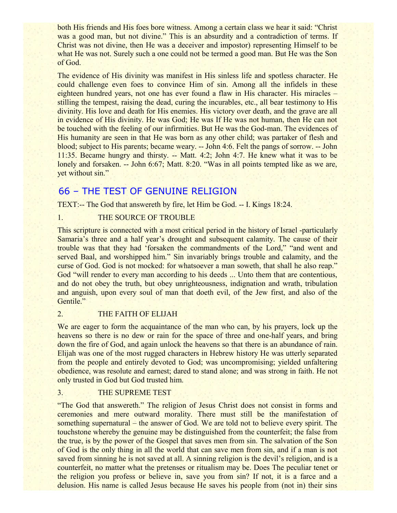both His friends and His foes bore witness. Among a certain class we hear it said: "Christ was a good man, but not divine." This is an absurdity and a contradiction of terms. If Christ was not divine, then He was a deceiver and impostor) representing Himself to be what He was not. Surely such a one could not be termed a good man. But He was the Son of God.

The evidence of His divinity was manifest in His sinless life and spotless character. He could challenge even foes to convince Him of sin. Among all the infidels in these eighteen hundred years, not one has ever found a flaw in His character. His miracles – stilling the tempest, raising the dead, curing the incurables, etc., all bear testimony to His divinity. His love and death for His enemies. His victory over death, and the grave are all in evidence of His divinity. He was God; He was If He was not human, then He can not be touched with the feeling of our infirmities. But He was the God-man. The evidences of His humanity are seen in that He was born as any other child; was partaker of flesh and blood; subject to His parents; became weary. -- John 4:6. Felt the pangs of sorrow. -- John 11:35. Became hungry and thirsty. -- Matt. 4:2; John 4:7. He knew what it was to be lonely and forsaken. -- John 6:67; Matt. 8:20. "Was in all points tempted like as we are, yet without sin."

# 66 – THE TEST OF GENUINE RELIGION

TEXT:-- The God that answereth by fire, let Him be God. -- I. Kings 18:24.

## 1. THE SOURCE OF TROUBLE

This scripture is connected with a most critical period in the history of Israel -particularly Samaria's three and a half year's drought and subsequent calamity. The cause of their trouble was that they had 'forsaken the commandments of the Lord," "and went and served Baal, and worshipped him." Sin invariably brings trouble and calamity, and the curse of God. God is not mocked: for whatsoever a man soweth, that shall he also reap." God "will render to every man according to his deeds ... Unto them that are contentious, and do not obey the truth, but obey unrighteousness, indignation and wrath, tribulation and anguish, upon every soul of man that doeth evil, of the Jew first, and also of the Gentile."

#### 2. THE FAITH OF ELIJAH

We are eager to form the acquaintance of the man who can, by his prayers, lock up the heavens so there is no dew or rain for the space of three and one-half years, and bring down the fire of God, and again unlock the heavens so that there is an abundance of rain. Elijah was one of the most rugged characters in Hebrew history He was utterly separated from the people and entirely devoted to God; was uncompromising; yielded unfaltering obedience, was resolute and earnest; dared to stand alone; and was strong in faith. He not only trusted in God but God trusted him.

### 3. THE SUPREME TEST

"The God that answereth." The religion of Jesus Christ does not consist in forms and ceremonies and mere outward morality. There must still be the manifestation of something supernatural – the answer of God. We are told not to believe every spirit. The touchstone whereby the genuine may be distinguished from the counterfeit; the false from the true, is by the power of the Gospel that saves men from sin. The salvation of the Son of God is the only thing in all the world that can save men from sin, and if a man is not saved from sinning he is not saved at all. A sinning religion is the devil's religion, and is a counterfeit, no matter what the pretenses or ritualism may be. Does The peculiar tenet or the religion you profess or believe in, save you from sin? If not, it is a farce and a delusion. His name is called Jesus because He saves his people from (not in) their sins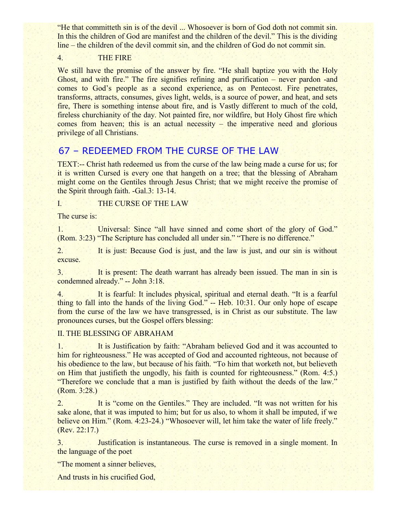"He that committeth sin is of the devil ... Whosoever is born of God doth not commit sin. In this the children of God are manifest and the children of the devil." This is the dividing line – the children of the devil commit sin, and the children of God do not commit sin.

## 4. THE FIRE

We still have the promise of the answer by fire. "He shall baptize you with the Holy Ghost, and with fire." The fire signifies refining and purification – never pardon -and comes to God's people as a second experience, as on Pentecost. Fire penetrates, transforms, attracts, consumes, gives light, welds, is a source of power, and heat, and sets fire, There is something intense about fire, and is Vastly different to much of the cold, fireless churchianity of the day. Not painted fire, nor wildfire, but Holy Ghost fire which comes from heaven; this is an actual necessity – the imperative need and glorious privilege of all Christians.

# 67 – REDEEMED FROM THE CURSE OF THE LAW

TEXT:-- Christ hath redeemed us from the curse of the law being made a curse for us; for it is written Cursed is every one that hangeth on a tree; that the blessing of Abraham might come on the Gentiles through Jesus Christ; that we might receive the promise of the Spirit through faith. -Gal.3: 13-14.

# I. THE CURSE OF THE LAW

The curse is:

1. Universal: Since "all have sinned and come short of the glory of God." (Rom. 3:23) "The Scripture has concluded all under sin." "There is no difference."

2. It is just: Because God is just, and the law is just, and our sin is without excuse.

3. It is present: The death warrant has already been issued. The man in sin is condemned already." -- John 3:18.

4. It is fearful: It includes physical, spiritual and eternal death. "It is a fearful thing to fall into the hands of the living God." -- Heb. 10:31. Our only hope of escape from the curse of the law we have transgressed, is in Christ as our substitute. The law pronounces curses, but the Gospel offers blessing:

## II. THE BLESSING OF ABRAHAM

1. It is Justification by faith: "Abraham believed God and it was accounted to him for righteousness." He was accepted of God and accounted righteous, not because of his obedience to the law, but because of his faith. "To him that worketh not, but believeth on Him that justifieth the ungodly, his faith is counted for righteousness." (Rom. 4:5.) "Therefore we conclude that a man is justified by faith without the deeds of the law." (Rom. 3:28.)

2. It is "come on the Gentiles." They are included. "It was not written for his sake alone, that it was imputed to him; but for us also, to whom it shall be imputed, if we believe on Him." (Rom. 4:23-24.) "Whosoever will, let him take the water of life freely." (Rev. 22:17.)

3. Justification is instantaneous. The curse is removed in a single moment. In the language of the poet

"The moment a sinner believes,

And trusts in his crucified God,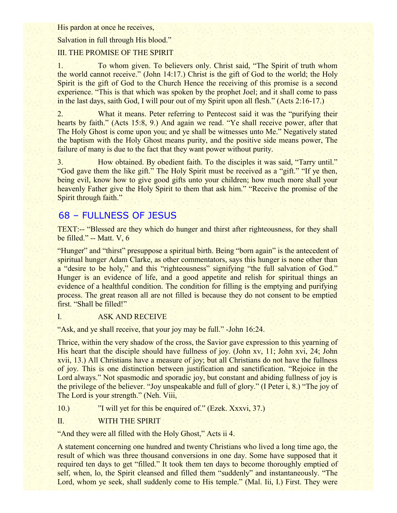His pardon at once he receives,

Salvation in full through His blood."

## III. THE PROMISE OF THE SPIRIT

1. To whom given. To believers only. Christ said, "The Spirit of truth whom the world cannot receive." (John 14:17.) Christ is the gift of God to the world; the Holy Spirit is the gift of God to the Church Hence the receiving of this promise is a second experience. "This is that which was spoken by the prophet Joel; and it shall come to pass in the last days, saith God, I will pour out of my Spirit upon all flesh." (Acts 2:16-17.)

2. What it means. Peter referring to Pentecost said it was the "purifying their hearts by faith." (Acts 15:8, 9.) And again we read. "Ye shall receive power, after that The Holy Ghost is come upon you; and ye shall be witnesses unto Me." Negatively stated the baptism with the Holy Ghost means purity, and the positive side means power, The failure of many is due to the fact that they want power without purity.

3. How obtained. By obedient faith. To the disciples it was said, "Tarry until." "God gave them the like gift." The Holy Spirit must be received as a "gift." "If ye then, being evil, know how to give good gifts unto your children; how much more shall your heavenly Father give the Holy Spirit to them that ask him." "Receive the promise of the Spirit through faith."

# 68 – FULLNESS OF JESUS

TEXT:-- "Blessed are they which do hunger and thirst after righteousness, for they shall be filled." -- Matt. V, 6

"Hunger" and "thirst" presuppose a spiritual birth. Being "born again" is the antecedent of spiritual hunger Adam Clarke, as other commentators, says this hunger is none other than a "desire to be holy," and this "righteousness" signifying "the full salvation of God." Hunger is an evidence of life, and a good appetite and relish for spiritual things an evidence of a healthful condition. The condition for filling is the emptying and purifying process. The great reason all are not filled is because they do not consent to be emptied first. "Shall be filled!"

## I. ASK AND RECEIVE

"Ask, and ye shall receive, that your joy may be full." -John 16:24.

Thrice, within the very shadow of the cross, the Savior gave expression to this yearning of His heart that the disciple should have fullness of joy. (John xv, 11; John xvi, 24; John xvii, 13.) All Christians have a measure of joy; but all Christians do not have the fullness of joy. This is one distinction between justification and sanctification. "Rejoice in the Lord always." Not spasmodic and sporadic joy, but constant and abiding fullness of joy is the privilege of the believer. "Joy unspeakable and full of glory." (I Peter i, 8.) "The joy of The Lord is your strength." (Neh. Viii,

10.) "I will yet for this be enquired of." (Ezek. Xxxvi, 37.)

## II. WITH THE SPIRIT

"And they were all filled with the Holy Ghost," Acts ii 4.

A statement concerning one hundred and twenty Christians who lived a long time ago, the result of which was three thousand conversions in one day. Some have supposed that it required ten days to get "filled." It took them ten days to become thoroughly emptied of self, when, lo, the Spirit cleansed and filled them "suddenly" and instantaneously. "The Lord, whom ye seek, shall suddenly come to His temple." (Mal. Iii, I.) First. They were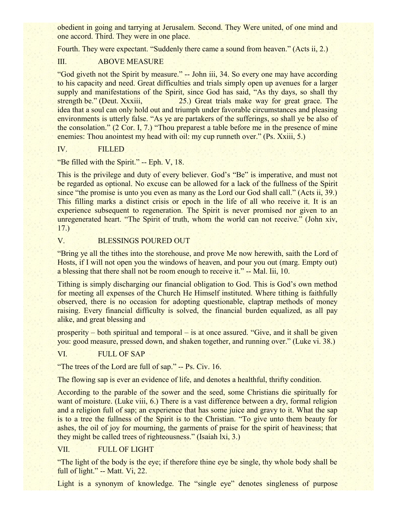obedient in going and tarrying at Jerusalem. Second. They Were united, of one mind and one accord. Third. They were in one place.

Fourth. They were expectant. "Suddenly there came a sound from heaven." (Acts ii, 2.)

## III. ABOVE MEASURE

"God giveth not the Spirit by measure." -- John iii, 34. So every one may have according to his capacity and need. Great difficulties and trials simply open up avenues for a larger supply and manifestations of the Spirit, since God has said, "As thy days, so shall thy strength be." (Deut. Xxxiii, 25.) Great trials make way for great grace. The idea that a soul can only hold out and triumph under favorable circumstances and pleasing environments is utterly false. "As ye are partakers of the sufferings, so shall ye be also of the consolation." (2 Cor. I, 7.) "Thou preparest a table before me in the presence of mine enemies: Thou anointest my head with oil: my cup runneth over." (Ps. Xxiii, 5.)

IV. FILLED

"Be filled with the Spirit." -- Eph. V, 18.

This is the privilege and duty of every believer. God's "Be" is imperative, and must not be regarded as optional. No excuse can be allowed for a lack of the fullness of the Spirit since "the promise is unto you even as many as the Lord our God shall call." (Acts ii, 39.) This filling marks a distinct crisis or epoch in the life of all who receive it. It is an experience subsequent to regeneration. The Spirit is never promised nor given to an unregenerated heart. "The Spirit of truth, whom the world can not receive." (John xiv, 17.)

## V. BLESSINGS POURED OUT

"Bring ye all the tithes into the storehouse, and prove Me now herewith, saith the Lord of Hosts, if I will not open you the windows of heaven, and pour you out (marg. Empty out) a blessing that there shall not be room enough to receive it." -- Mal. Iii, 10.

Tithing is simply discharging our financial obligation to God. This is God's own method for meeting all expenses of the Church He Himself instituted. Where tithing is faithfully observed, there is no occasion for adopting questionable, claptrap methods of money raising. Every financial difficulty is solved, the financial burden equalized, as all pay alike, and great blessing and

prosperity – both spiritual and temporal – is at once assured. "Give, and it shall be given you: good measure, pressed down, and shaken together, and running over." (Luke vi. 38.)

# VI. FULL OF SAP

"The trees of the Lord are full of sap." -- Ps. Civ. 16.

The flowing sap is ever an evidence of life, and denotes a healthful, thrifty condition.

According to the parable of the sower and the seed, some Christians die spiritually for want of moisture. (Luke viii, 6.) There is a vast difference between a dry, formal religion and a religion full of sap; an experience that has some juice and gravy to it. What the sap is to a tree the fullness of the Spirit is to the Christian. "To give unto them beauty for ashes, the oil of joy for mourning, the garments of praise for the spirit of heaviness; that they might be called trees of righteousness." (Isaiah lxi, 3.)

## VII. FULL OF LIGHT

"The light of the body is the eye; if therefore thine eye be single, thy whole body shall be full of light." -- Matt. Vi, 22.

Light is a synonym of knowledge. The "single eye" denotes singleness of purpose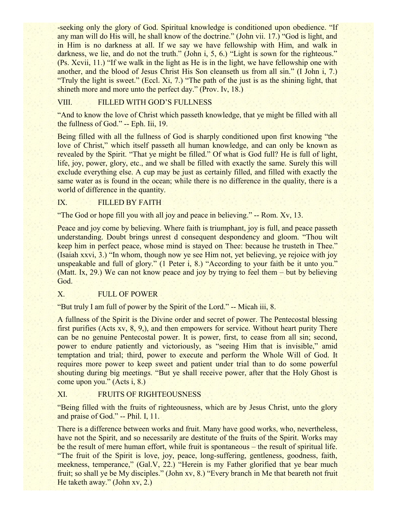-seeking only the glory of God. Spiritual knowledge is conditioned upon obedience. "If any man will do His will, he shall know of the doctrine." (John vii. 17.) "God is light, and in Him is no darkness at all. If we say we have fellowship with Him, and walk in darkness, we lie, and do not the truth." (John i, 5, 6.) "Light is sown for the righteous." (Ps. Xcvii, 11.) "If we walk in the light as He is in the light, we have fellowship one with another, and the blood of Jesus Christ His Son cleanseth us from all sin." (I John i, 7.) "Truly the light is sweet." (Eccl. Xi, 7.) "The path of the just is as the shining light, that shineth more and more unto the perfect day." (Prov. Iv, 18.)

## VIII. FILLED WITH GOD'S FULLNESS

"And to know the love of Christ which passeth knowledge, that ye might be filled with all the fullness of God." -- Eph. Iii, 19.

Being filled with all the fullness of God is sharply conditioned upon first knowing "the love of Christ," which itself passeth all human knowledge, and can only be known as revealed by the Spirit. "That ye might be filled." Of what is God full? He is full of light, life, joy, power, glory, etc., and we shall be filled with exactly the same. Surely this will exclude everything else. A cup may be just as certainly filled, and filled with exactly the same water as is found in the ocean; while there is no difference in the quality, there is a world of difference in the quantity.

### IX. FILLED BY FAITH

"The God or hope fill you with all joy and peace in believing."  $-$  Rom. Xv, 13.

Peace and joy come by believing. Where faith is triumphant, joy is full, and peace passeth understanding. Doubt brings unrest d consequent despondency and gloom. "Thou wilt keep him in perfect peace, whose mind is stayed on Thee: because he trusteth in Thee." (Isaiah xxvi, 3.) "In whom, though now ye see Him not, yet believing, ye rejoice with joy unspeakable and full of glory." (1 Peter i, 8.) "According to your faith be it unto you." (Matt. Ix, 29.) We can not know peace and joy by trying to feel them – but by believing God.

## X. FULL OF POWER

"But truly I am full of power by the Spirit of the Lord." -- Micah iii, 8.

A fullness of the Spirit is the Divine order and secret of power. The Pentecostal blessing first purifies (Acts xv, 8, 9,), and then empowers for service. Without heart purity There can be no genuine Pentecostal power. It is power, first, to cease from all sin; second, power to endure patiently and victoriously, as "seeing Him that is invisible," amid temptation and trial; third, power to execute and perform the Whole Will of God. It requires more power to keep sweet and patient under trial than to do some powerful shouting during big meetings. "But ye shall receive power, after that the Holy Ghost is come upon you." (Acts i, 8.)

#### XI. FRUITS OF RIGHTEOUSNESS

"Being filled with the fruits of righteousness, which are by Jesus Christ, unto the glory and praise of God." -- Phil. I, 11.

There is a difference between works and fruit. Many have good works, who, nevertheless, have not the Spirit, and so necessarily are destitute of the fruits of the Spirit. Works may be the result of mere human effort, while fruit is spontaneous – the result of spiritual life. "The fruit of the Spirit is love, joy, peace, long-suffering, gentleness, goodness, faith, meekness, temperance," (Gal.V, 22.) "Herein is my Father glorified that ye bear much fruit; so shall ye be My disciples." (John xv, 8.) "Every branch in Me that beareth not fruit He taketh away." (John xv, 2.)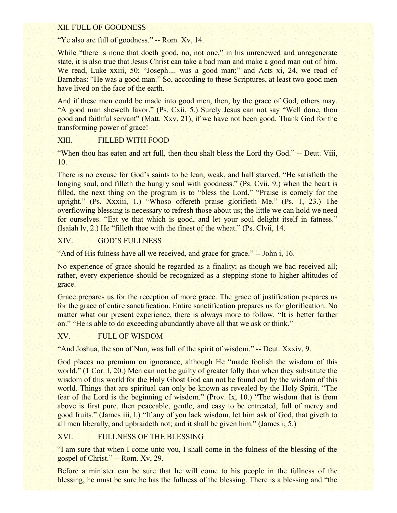## XII. FULL OF GOODNESS

"Ye also are full of goodness." -- Rom. Xv, 14.

While "there is none that doeth good, no, not one," in his unrenewed and unregenerate state, it is also true that Jesus Christ can take a bad man and make a good man out of him. We read, Luke xxiii, 50; "Joseph.... was a good man;" and Acts xi, 24, we read of Barnabas: "He was a good man." So, according to these Scriptures, at least two good men have lived on the face of the earth.

And if these men could be made into good men, then, by the grace of God, others may. "A good man sheweth favor." (Ps. Cxii, 5.) Surely Jesus can not say "Well done, thou good and faithful servant" (Matt. Xxv, 21), if we have not been good. Thank God for the transforming power of grace!

## XIII. FILLED WITH FOOD

"When thou has eaten and art full, then thou shalt bless the Lord thy God." -- Deut. Viii, 10.

There is no excuse for God's saints to be lean, weak, and half starved. "He satisfieth the longing soul, and filleth the hungry soul with goodness." (Ps. Cvii, 9.) when the heart is filled, the next thing on the program is to "bless the Lord." "Praise is comely for the upright." (Ps. Xxxiii, 1.) "Whoso offereth praise glorifieth Me." (Ps. 1, 23.) The overflowing blessing is necessary to refresh those about us; the little we can hold we need for ourselves. "Eat ye that which is good, and let your soul delight itself in fatness." (Isaiah lv, 2.) He "filleth thee with the finest of the wheat." (Ps. Clvii, 14.

#### XIV. GOD'S FULLNESS

"And of His fulness have all we received, and grace for grace." -- John i, 16.

No experience of grace should be regarded as a finality; as though we bad received all; rather, every experience should be recognized as a stepping-stone to higher altitudes of grace.

Grace prepares us for the reception of more grace. The grace of justification prepares us for the grace of entire sanctification. Entire sanctification prepares us for glorification. No matter what our present experience, there is always more to follow. "It is better farther on." "He is able to do exceeding abundantly above all that we ask or think."

#### XV. FULL OF WISDOM

"And Joshua, the son of Nun, was full of the spirit of wisdom." -- Deut. Xxxiv, 9.

God places no premium on ignorance, although He "made foolish the wisdom of this world." (1 Cor. I, 20.) Men can not be guilty of greater folly than when they substitute the wisdom of this world for the Holy Ghost God can not be found out by the wisdom of this world. Things that are spiritual can only be known as revealed by the Holy Spirit. "The fear of the Lord is the beginning of wisdom." (Prov. Ix, 10.) "The wisdom that is from above is first pure, then peaceable, gentle, and easy to be entreated, full of mercy and good fruits." (James iii, l.) "If any of you lack wisdom, let him ask of God, that giveth to all men liberally, and upbraideth not; and it shall be given him." (James i, 5.)

#### XVI. FULLNESS OF THE BLESSING

"I am sure that when I come unto you, I shall come in the fulness of the blessing of the gospel of Christ." -- Rom. Xv, 29.

Before a minister can be sure that he will come to his people in the fullness of the blessing, he must be sure he has the fullness of the blessing. There is a blessing and "the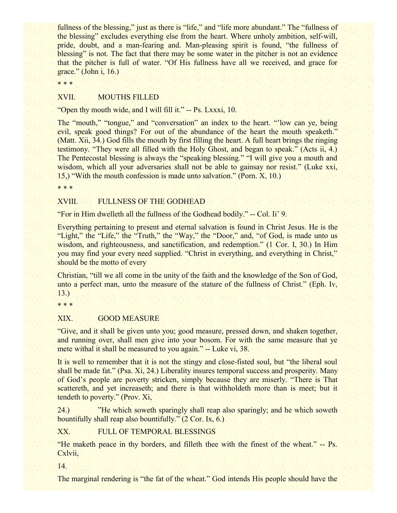fullness of the blessing," just as there is "life," and "life more abundant." The "fullness of the blessing" excludes everything else from the heart. Where unholy ambition, self-will, pride, doubt, and a man-fearing and. Man-pleasing spirit is found, "the fullness of blessing" is not. The fact that there may be some water in the pitcher is not an evidence that the pitcher is full of water. "Of His fullness have all we received, and grace for grace." (John i, 16.)

\* \* \*

## XVII. MOUTHS FILLED

"Open thy mouth wide, and I will fill it." -- Ps. Lxxxi, 10.

The "mouth," "tongue," and "conversation" an index to the heart. "'low can ye, being evil, speak good things? For out of the abundance of the heart the mouth speaketh." (Matt. Xii, 34.) God fills the mouth by first filling the heart. A full heart brings the ringing testimony. "They were all filled with the Holy Ghost, and began to speak." (Acts ii, 4.) The Pentecostal blessing is always the "speaking blessing." "I will give you a mouth and wisdom, which all your adversaries shall not be able to gainsay nor resist." (Luke xxi, 15,) "With the mouth confession is made unto salvation." (Porn. X, 10.)

\* \* \*

#### XVIII. FULLNESS OF THE GODHEAD

"For in Him dwelleth all the fullness of the Godhead bodily." -- Col. Ii' 9.

Everything pertaining to present and eternal salvation is found in Christ Jesus. He is the "Light," the "Life," the "Truth," the "Way," the "Door," and, "of God, is made unto us wisdom, and righteousness, and sanctification, and redemption." (1 Cor. I, 30.) In Him you may find your every need supplied. "Christ in everything, and everything in Christ," should be the motto of every

Christian, "till we all come in the unity of the faith and the knowledge of the Son of God, unto a perfect man, unto the measure of the stature of the fullness of Christ." (Eph. Iv, 13.)

\* \* \*

#### XIX. GOOD MEASURE

"Give, and it shall be given unto you; good measure, pressed down, and shaken together, and running over, shall men give into your bosom. For with the same measure that ye mete withal it shall be measured to you again." -- Luke vi, 38.

It is well to remember that it is not the stingy and close-fisted soul, but "the liberal soul shall be made fat." (Psa. Xi, 24.) Liberality insures temporal success and prosperity. Many of God's people are poverty stricken, simply because they are miserly. "There is That scattereth, and yet increaseth; and there is that withholdeth more than is meet; but it tendeth to poverty." (Prov. Xi,

24.) "He which soweth sparingly shall reap also sparingly; and he which soweth bountifully shall reap also bountifully." (2 Cor. Ix, 6.)

XX. FULL OF TEMPORAL BLESSINGS

"He maketh peace in thy borders, and filleth thee with the finest of the wheat." -- Ps. Cxlvii,

14.

The marginal rendering is "the fat of the wheat." God intends His people should have the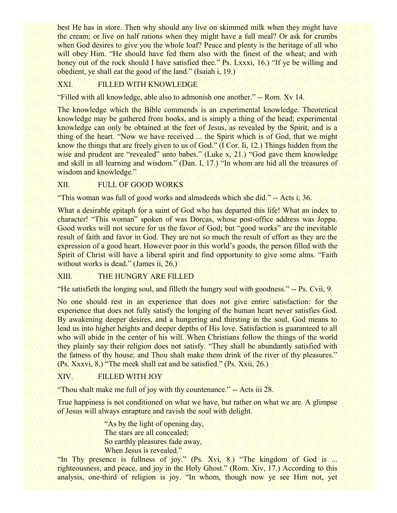best He has in store. Then why should any live on skimmed milk when they might have the cream; or live on half rations when they might have a full meal? Or ask for crumbs when God desires to give you the whole loaf? Peace and plenty is the heritage of all who will obey Him. "He should have fed them also with the finest of the wheat; and with honey out of the rock should I have satisfied thee." Ps. Lxxxi, 16.) "If ye be willing and obedient, ye shall eat the good of the land." (Isaiah i, 19.)

## XXI. FILLED WITH KNOWLEDGE

"Filled with all knowledge, able also to admonish one another." -- Rom. Xv 14.

The knowledge which the Bible commends is an experimental knowledge. Theoretical knowledge may be gathered from books, and is simply a thing of the head; experimental knowledge can only be obtained at the feet of Jesus, as revealed by the Spirit, and is a thing of the heart. "Now we have received ... the Spirit which is of God, that we might know the things that are freely given to us of God." (I Cor. Ii, 12.) Things hidden from the wise and prudent are "revealed" unto babes." (Luke x, 21.) "God gave them knowledge and skill in all learning and wisdom." (Dan. I, 17.) "In whom are hid all the treasures of wisdom and knowledge."

#### XII. FULL OF GOOD WORKS

"This woman was full of good works and almsdeeds which she did." -- Acts i; 36.

What a desirable epitaph for a saint of God who has departed this life! What an index to character! "This woman" spoken of was Dorcas, whose post-office address was Joppa. Good works will not secure for us the favor of God; but "good works" are the inevitable result of faith and favor in God. They are not so much the result of effort as they are the expression of a good heart. However poor in this world's goods, the person filled with the Spirit of Christ will have a liberal spirit and find opportunity to give some alms. "Faith without works is dead." (James ii, 26.)

## XIII. THE HUNGRY ARE FILLED

"He satisfieth the longing soul, and filleth the hungry soul with goodness." -- Ps. Cvii, 9.

No one should rest in an experience that does not give entire satisfaction: for the experience that does not fully satisfy the longing of the human heart never satisfies God. By awakening deeper desires, and a hungering and thirsting in the soul, God means to lead us into higher heights and deeper depths of His love. Satisfaction is guaranteed to all who will abide in the center of his will. When Christians follow the things of the world they plainly say their religion does not satisfy. "They shall be abundantly satisfied with the fatness of thy house; and Thou shalt make them drink of the river of thy pleasures." (Ps. Xxxvi, 8.) "The meek shall eat and be satisfied." (Ps. Xxii, 26.)

## XIV. FILLED WITH JOY

"Thou shalt make me full of joy with thy countenance." -- Acts iii 28.

True happiness is not conditioned on what we have, but rather on what we are. A glimpse of Jesus will always enrapture and ravish the soul with delight.

> "As by the light of opening day, The stars are all concealed; So earthly pleasures fade away, When Jesus is revealed."

"In Thy presence is fullness of joy." (Ps. Xvi, 8.) "The kingdom of God is ... righteousness, and peace, and joy in the Holy Ghost." (Rom. Xiv, 17.) According to this analysis, one-third of religion is joy. "In whom, though now ye see Him not, yet